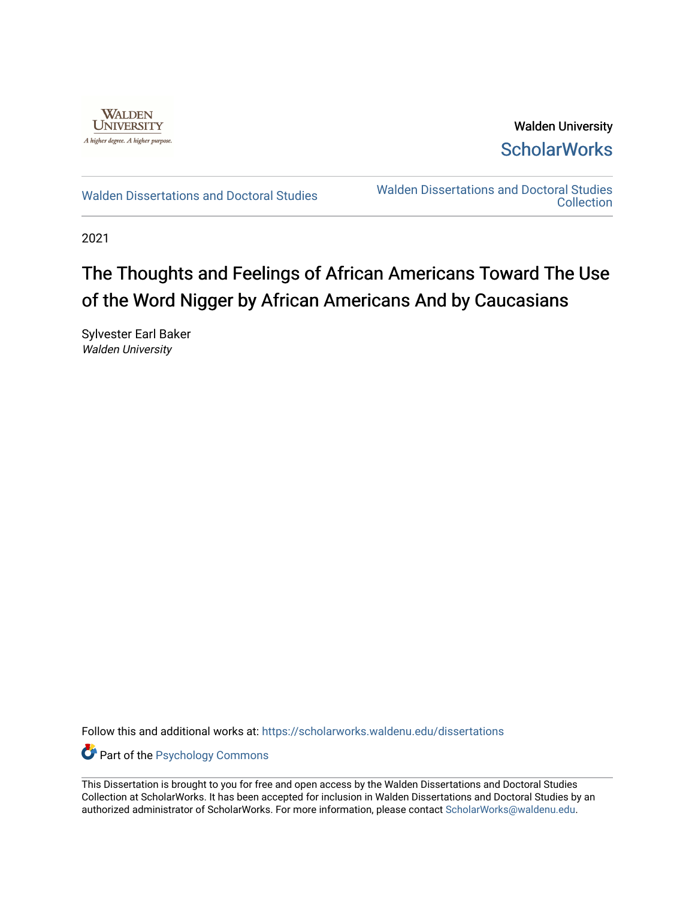

Walden University **ScholarWorks** 

[Walden Dissertations and Doctoral Studies](https://scholarworks.waldenu.edu/dissertations) Walden Dissertations and Doctoral Studies **Collection** 

2021

# The Thoughts and Feelings of African Americans Toward The Use of the Word Nigger by African Americans And by Caucasians

Sylvester Earl Baker Walden University

Follow this and additional works at: [https://scholarworks.waldenu.edu/dissertations](https://scholarworks.waldenu.edu/dissertations?utm_source=scholarworks.waldenu.edu%2Fdissertations%2F10288&utm_medium=PDF&utm_campaign=PDFCoverPages)

Part of the [Psychology Commons](http://network.bepress.com/hgg/discipline/404?utm_source=scholarworks.waldenu.edu%2Fdissertations%2F10288&utm_medium=PDF&utm_campaign=PDFCoverPages) 

This Dissertation is brought to you for free and open access by the Walden Dissertations and Doctoral Studies Collection at ScholarWorks. It has been accepted for inclusion in Walden Dissertations and Doctoral Studies by an authorized administrator of ScholarWorks. For more information, please contact [ScholarWorks@waldenu.edu](mailto:ScholarWorks@waldenu.edu).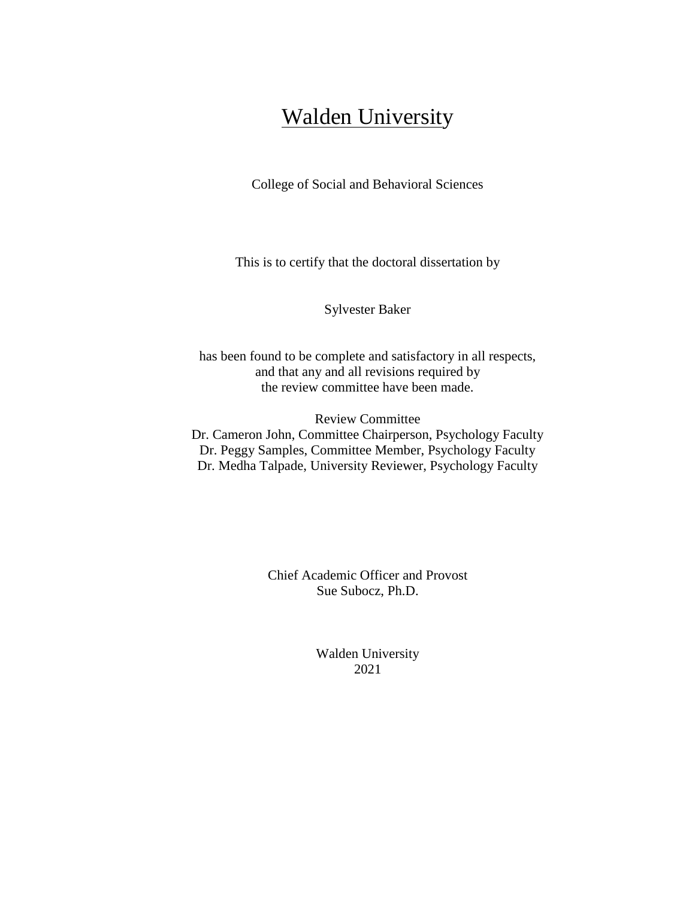# **Walden University**

College of Social and Behavioral Sciences

This is to certify that the doctoral dissertation by

Sylvester Baker

has been found to be complete and satisfactory in all respects, and that any and all revisions required by the review committee have been made.

Review Committee Dr. Cameron John, Committee Chairperson, Psychology Faculty Dr. Peggy Samples, Committee Member, Psychology Faculty Dr. Medha Talpade, University Reviewer, Psychology Faculty

> Chief Academic Officer and Provost Sue Subocz, Ph.D.

> > Walden University 2021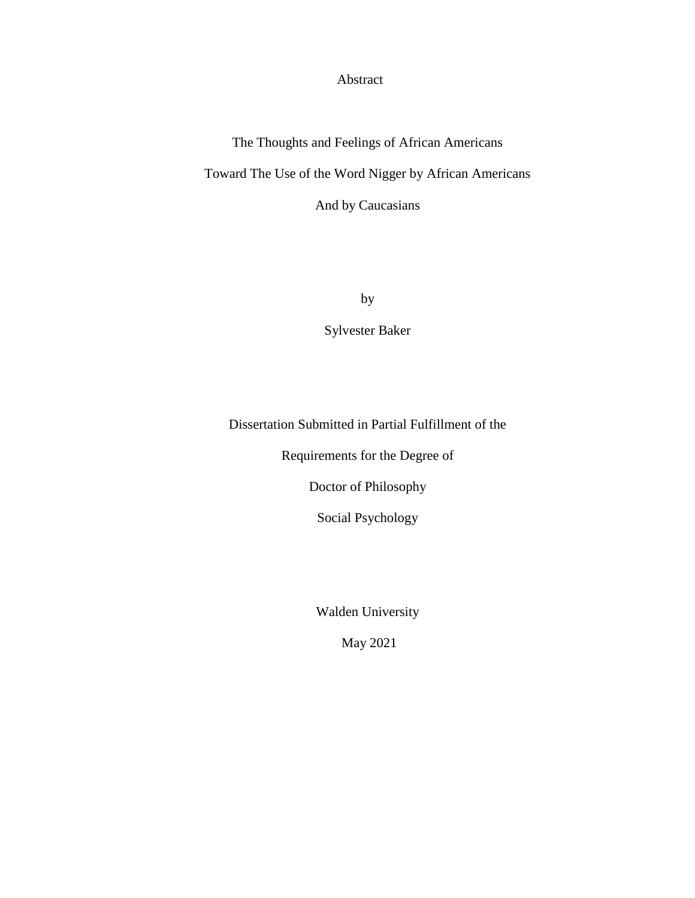Abstract

The Thoughts and Feelings of African Americans Toward The Use of the Word Nigger by African Americans And by Caucasians

by

Sylvester Baker

Dissertation Submitted in Partial Fulfillment of the

Requirements for the Degree of

Doctor of Philosophy

Social Psychology

Walden University

May 2021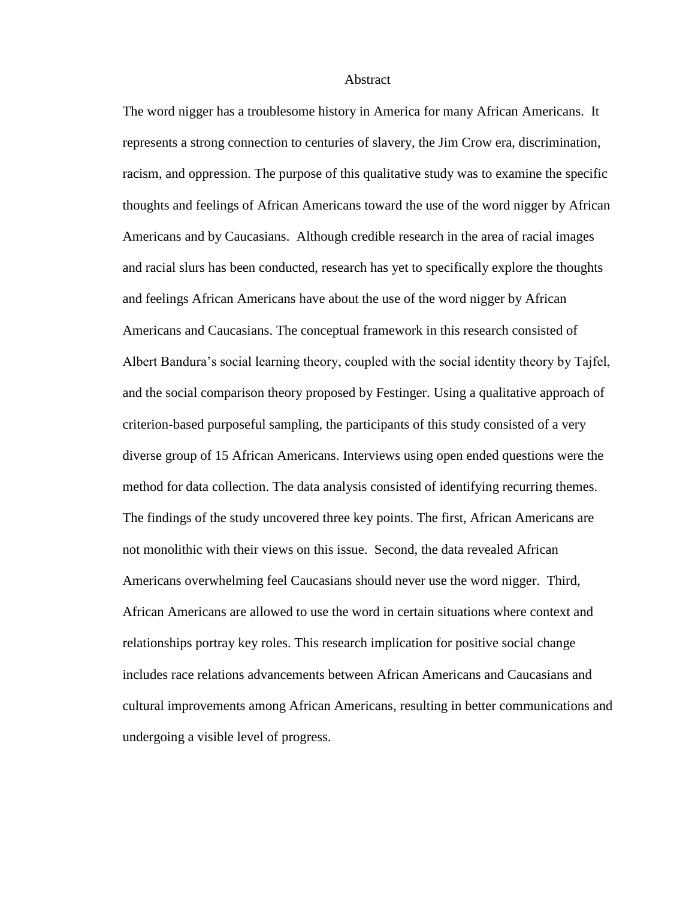#### Abstract

The word nigger has a troublesome history in America for many African Americans. It represents a strong connection to centuries of slavery, the Jim Crow era, discrimination, racism, and oppression. The purpose of this qualitative study was to examine the specific thoughts and feelings of African Americans toward the use of the word nigger by African Americans and by Caucasians. Although credible research in the area of racial images and racial slurs has been conducted, research has yet to specifically explore the thoughts and feelings African Americans have about the use of the word nigger by African Americans and Caucasians. The conceptual framework in this research consisted of Albert Bandura's social learning theory, coupled with the social identity theory by Tajfel, and the social comparison theory proposed by Festinger. Using a qualitative approach of criterion-based purposeful sampling, the participants of this study consisted of a very diverse group of 15 African Americans. Interviews using open ended questions were the method for data collection. The data analysis consisted of identifying recurring themes. The findings of the study uncovered three key points. The first, African Americans are not monolithic with their views on this issue. Second, the data revealed African Americans overwhelming feel Caucasians should never use the word nigger. Third, African Americans are allowed to use the word in certain situations where context and relationships portray key roles. This research implication for positive social change includes race relations advancements between African Americans and Caucasians and cultural improvements among African Americans, resulting in better communications and undergoing a visible level of progress.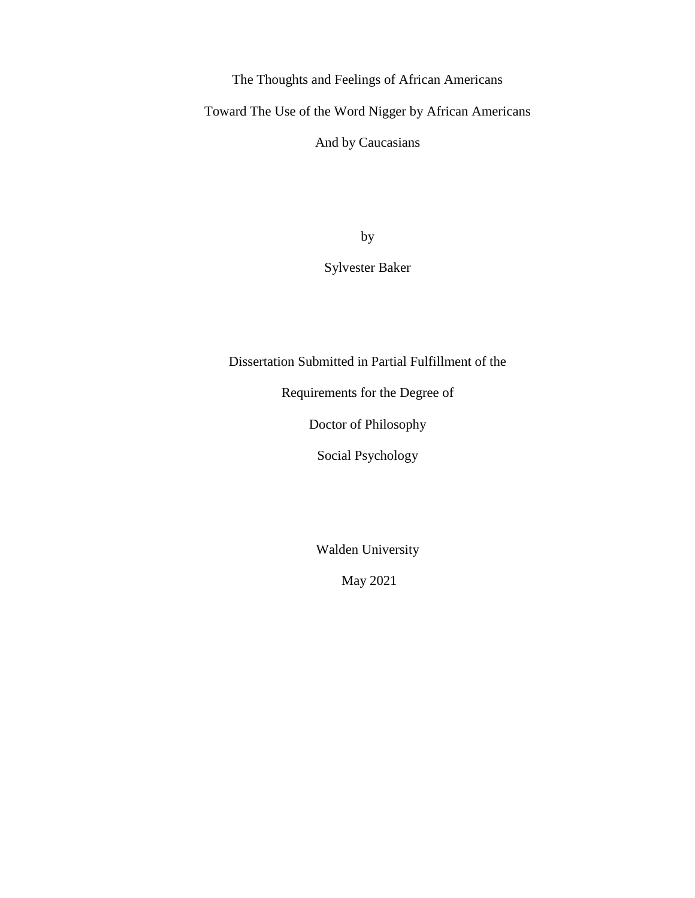The Thoughts and Feelings of African Americans

Toward The Use of the Word Nigger by African Americans

And by Caucasians

by

Sylvester Baker

Dissertation Submitted in Partial Fulfillment of the

Requirements for the Degree of

Doctor of Philosophy

Social Psychology

Walden University

May 2021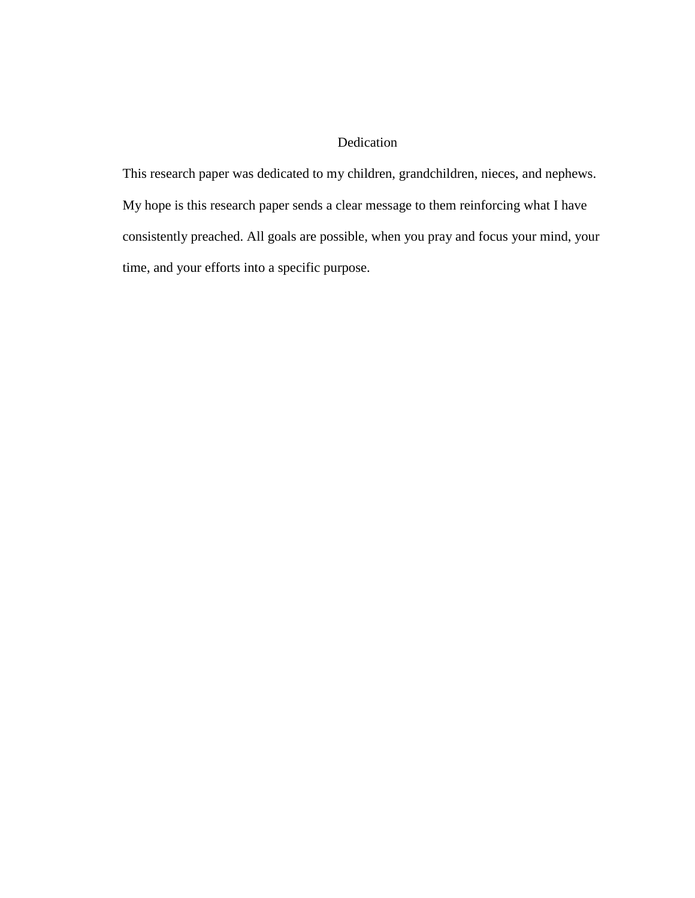# Dedication

This research paper was dedicated to my children, grandchildren, nieces, and nephews. My hope is this research paper sends a clear message to them reinforcing what I have consistently preached. All goals are possible, when you pray and focus your mind, your time, and your efforts into a specific purpose.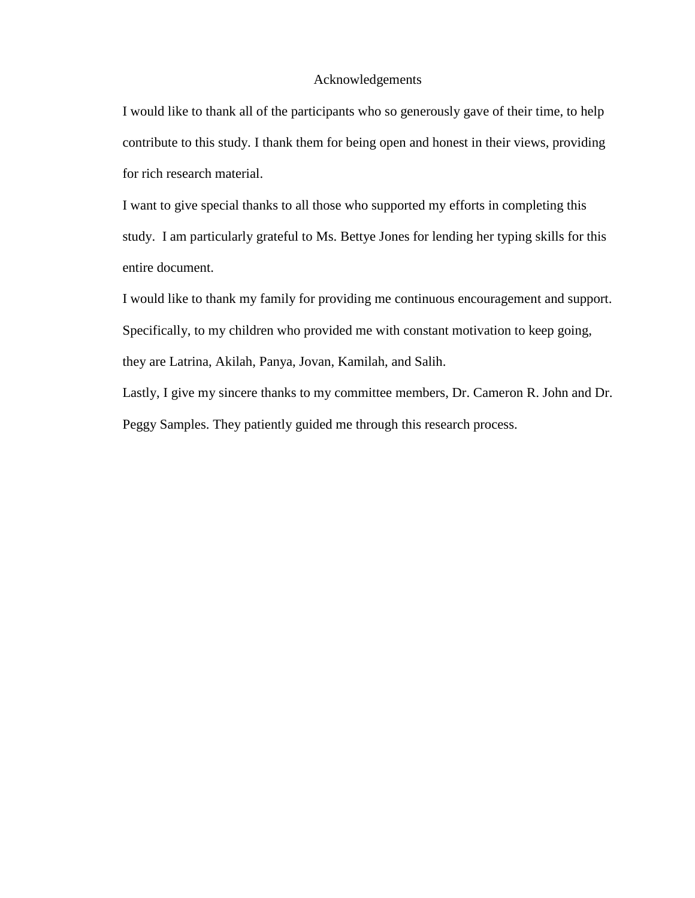# Acknowledgements

I would like to thank all of the participants who so generously gave of their time, to help contribute to this study. I thank them for being open and honest in their views, providing for rich research material.

I want to give special thanks to all those who supported my efforts in completing this study. I am particularly grateful to Ms. Bettye Jones for lending her typing skills for this entire document.

I would like to thank my family for providing me continuous encouragement and support. Specifically, to my children who provided me with constant motivation to keep going, they are Latrina, Akilah, Panya, Jovan, Kamilah, and Salih.

Lastly, I give my sincere thanks to my committee members, Dr. Cameron R. John and Dr. Peggy Samples. They patiently guided me through this research process.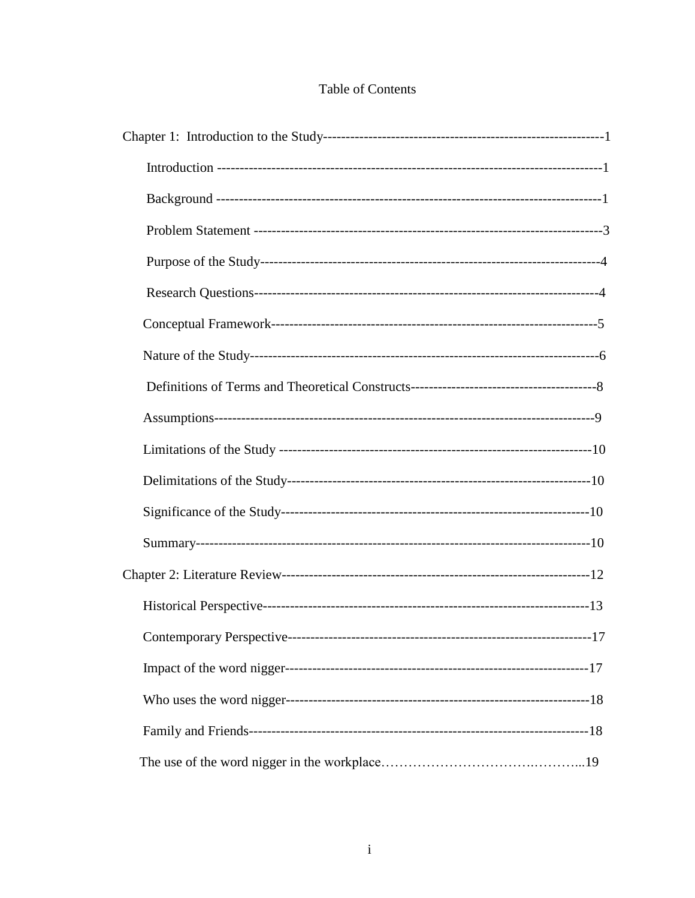|  |  |  | <b>Table of Contents</b> |
|--|--|--|--------------------------|
|--|--|--|--------------------------|

| $-17$ |
|-------|
|       |
|       |
|       |
|       |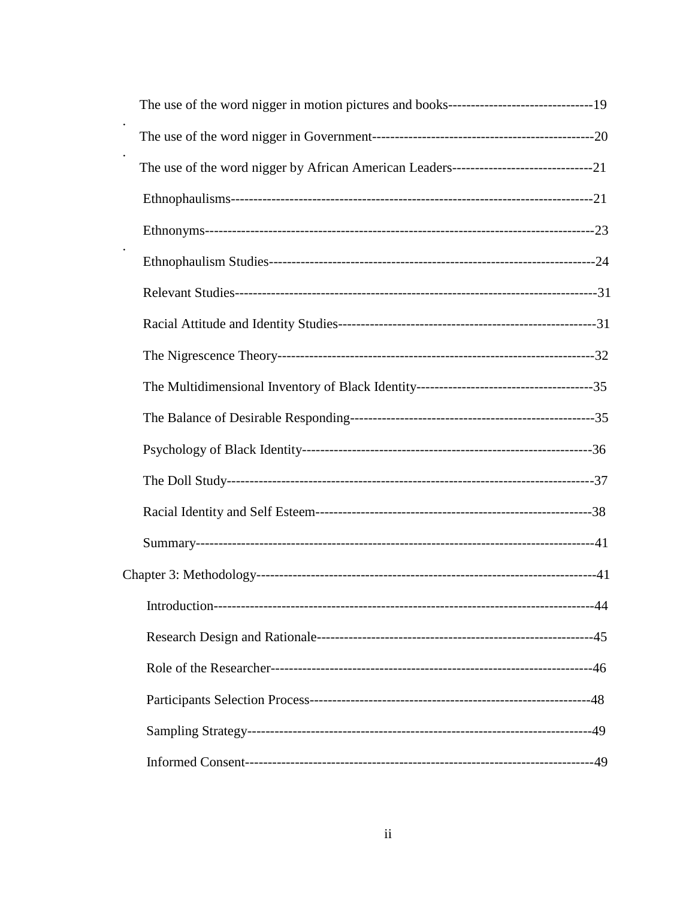| Introduction- | -44 |
|---------------|-----|
|               |     |
|               |     |
|               |     |
|               |     |
|               |     |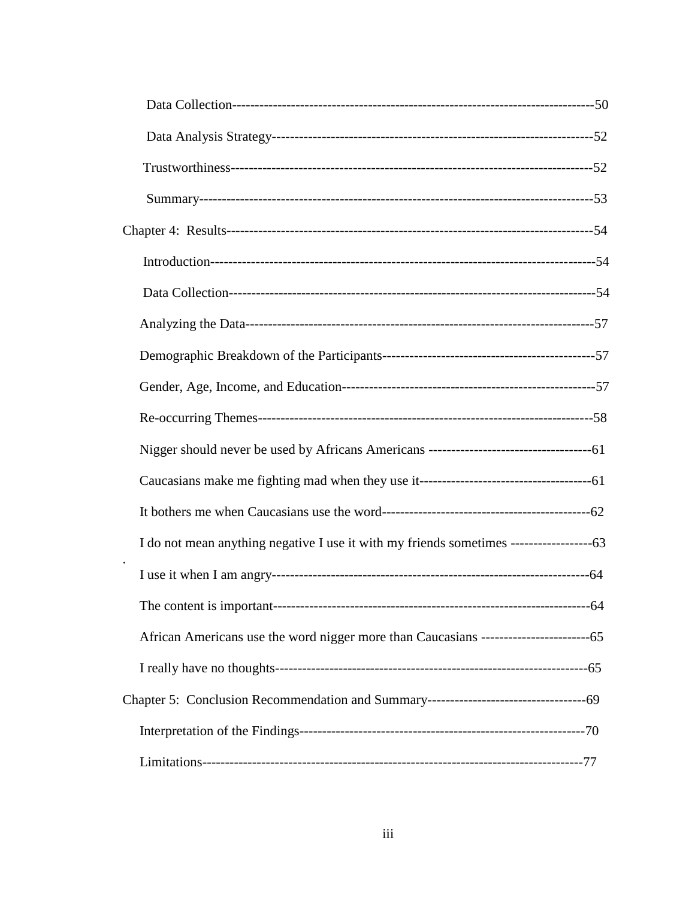| $-64$ |
|-------|
|       |
|       |
|       |
|       |
|       |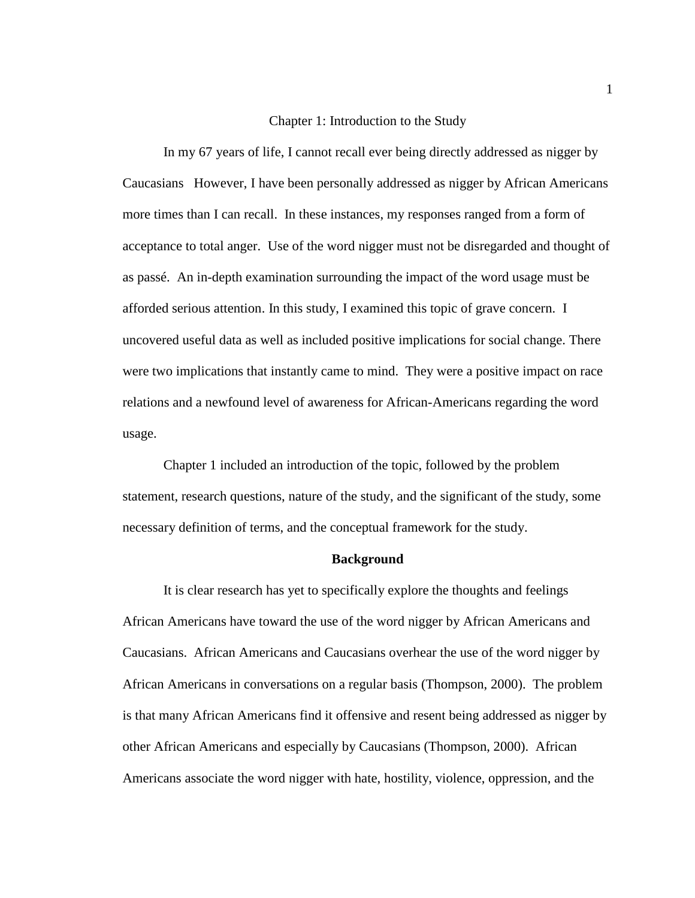# Chapter 1: Introduction to the Study

In my 67 years of life, I cannot recall ever being directly addressed as nigger by Caucasians However, I have been personally addressed as nigger by African Americans more times than I can recall. In these instances, my responses ranged from a form of acceptance to total anger. Use of the word nigger must not be disregarded and thought of as passé. An in-depth examination surrounding the impact of the word usage must be afforded serious attention. In this study, I examined this topic of grave concern. I uncovered useful data as well as included positive implications for social change. There were two implications that instantly came to mind. They were a positive impact on race relations and a newfound level of awareness for African-Americans regarding the word usage.

Chapter 1 included an introduction of the topic, followed by the problem statement, research questions, nature of the study, and the significant of the study, some necessary definition of terms, and the conceptual framework for the study.

#### **Background**

It is clear research has yet to specifically explore the thoughts and feelings African Americans have toward the use of the word nigger by African Americans and Caucasians. African Americans and Caucasians overhear the use of the word nigger by African Americans in conversations on a regular basis (Thompson, 2000). The problem is that many African Americans find it offensive and resent being addressed as nigger by other African Americans and especially by Caucasians (Thompson, 2000). African Americans associate the word nigger with hate, hostility, violence, oppression, and the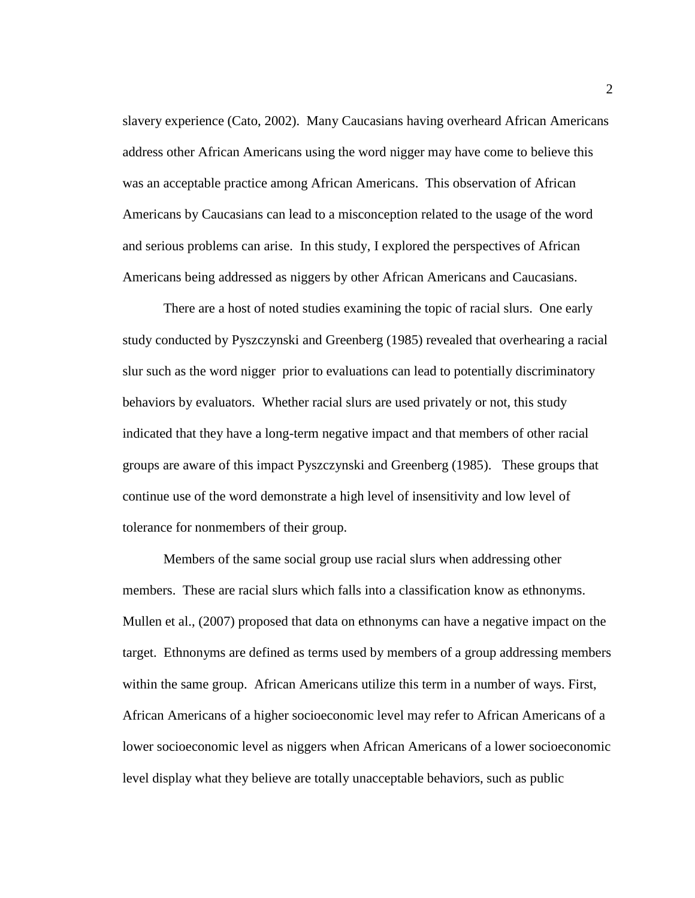slavery experience (Cato, 2002). Many Caucasians having overheard African Americans address other African Americans using the word nigger may have come to believe this was an acceptable practice among African Americans. This observation of African Americans by Caucasians can lead to a misconception related to the usage of the word and serious problems can arise. In this study, I explored the perspectives of African Americans being addressed as niggers by other African Americans and Caucasians.

There are a host of noted studies examining the topic of racial slurs. One early study conducted by Pyszczynski and Greenberg (1985) revealed that overhearing a racial slur such as the word nigger prior to evaluations can lead to potentially discriminatory behaviors by evaluators. Whether racial slurs are used privately or not, this study indicated that they have a long-term negative impact and that members of other racial groups are aware of this impact Pyszczynski and Greenberg (1985). These groups that continue use of the word demonstrate a high level of insensitivity and low level of tolerance for nonmembers of their group.

Members of the same social group use racial slurs when addressing other members. These are racial slurs which falls into a classification know as ethnonyms. Mullen et al., (2007) proposed that data on ethnonyms can have a negative impact on the target. Ethnonyms are defined as terms used by members of a group addressing members within the same group. African Americans utilize this term in a number of ways. First, African Americans of a higher socioeconomic level may refer to African Americans of a lower socioeconomic level as niggers when African Americans of a lower socioeconomic level display what they believe are totally unacceptable behaviors, such as public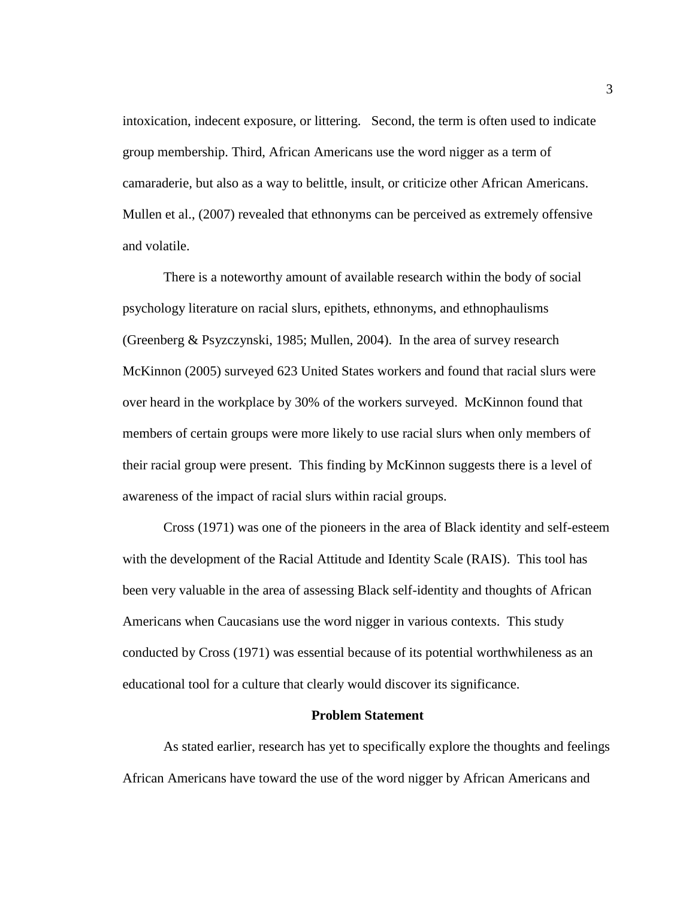intoxication, indecent exposure, or littering. Second, the term is often used to indicate group membership. Third, African Americans use the word nigger as a term of camaraderie, but also as a way to belittle, insult, or criticize other African Americans. Mullen et al., (2007) revealed that ethnonyms can be perceived as extremely offensive and volatile.

There is a noteworthy amount of available research within the body of social psychology literature on racial slurs, epithets, ethnonyms, and ethnophaulisms (Greenberg & Psyzczynski, 1985; Mullen, 2004). In the area of survey research McKinnon (2005) surveyed 623 United States workers and found that racial slurs were over heard in the workplace by 30% of the workers surveyed. McKinnon found that members of certain groups were more likely to use racial slurs when only members of their racial group were present. This finding by McKinnon suggests there is a level of awareness of the impact of racial slurs within racial groups.

Cross (1971) was one of the pioneers in the area of Black identity and self-esteem with the development of the Racial Attitude and Identity Scale (RAIS). This tool has been very valuable in the area of assessing Black self-identity and thoughts of African Americans when Caucasians use the word nigger in various contexts. This study conducted by Cross (1971) was essential because of its potential worthwhileness as an educational tool for a culture that clearly would discover its significance.

## **Problem Statement**

As stated earlier, research has yet to specifically explore the thoughts and feelings African Americans have toward the use of the word nigger by African Americans and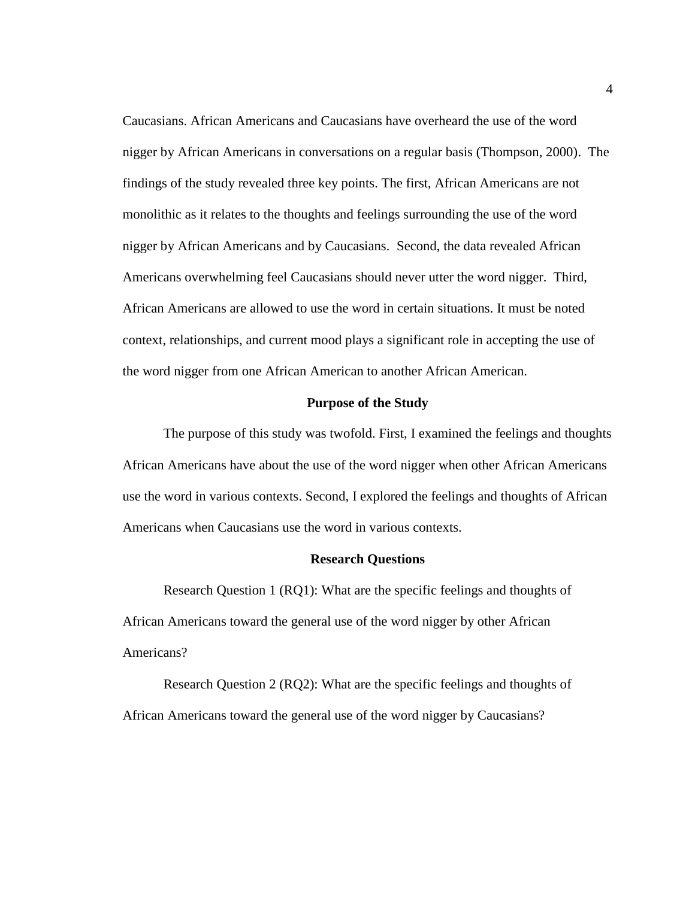Caucasians. African Americans and Caucasians have overheard the use of the word nigger by African Americans in conversations on a regular basis (Thompson, 2000). The findings of the study revealed three key points. The first, African Americans are not monolithic as it relates to the thoughts and feelings surrounding the use of the word nigger by African Americans and by Caucasians. Second, the data revealed African Americans overwhelming feel Caucasians should never utter the word nigger. Third, African Americans are allowed to use the word in certain situations. It must be noted context, relationships, and current mood plays a significant role in accepting the use of the word nigger from one African American to another African American.

#### **Purpose of the Study**

The purpose of this study was twofold. First, I examined the feelings and thoughts African Americans have about the use of the word nigger when other African Americans use the word in various contexts. Second, I explored the feelings and thoughts of African Americans when Caucasians use the word in various contexts.

#### **Research Questions**

Research Question 1 (RQ1): What are the specific feelings and thoughts of African Americans toward the general use of the word nigger by other African Americans?

Research Question 2 (RQ2): What are the specific feelings and thoughts of African Americans toward the general use of the word nigger by Caucasians?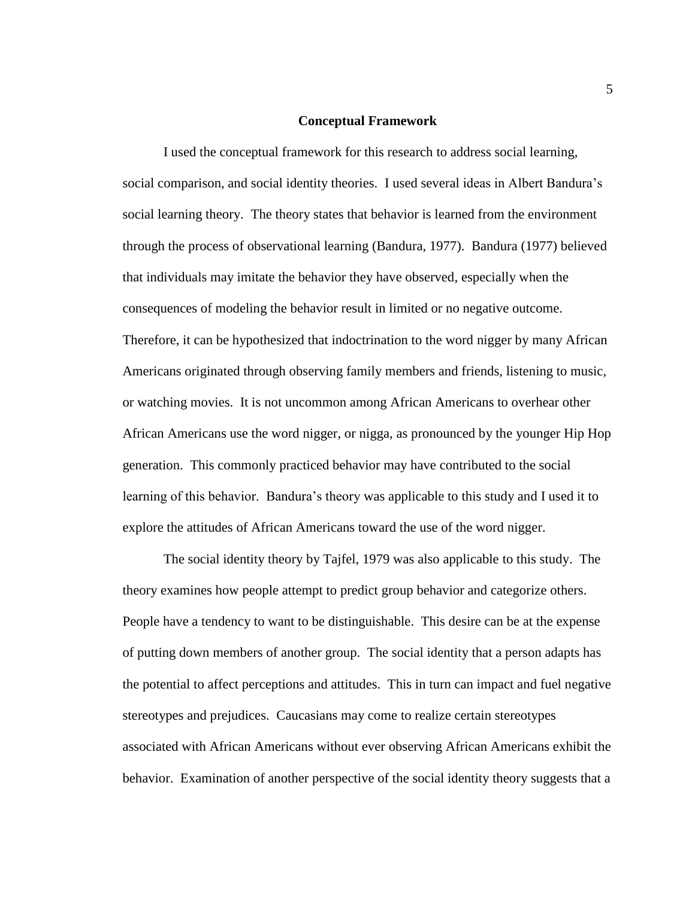### **Conceptual Framework**

I used the conceptual framework for this research to address social learning, social comparison, and social identity theories. I used several ideas in Albert Bandura's social learning theory. The theory states that behavior is learned from the environment through the process of observational learning (Bandura, 1977). Bandura (1977) believed that individuals may imitate the behavior they have observed, especially when the consequences of modeling the behavior result in limited or no negative outcome. Therefore, it can be hypothesized that indoctrination to the word nigger by many African Americans originated through observing family members and friends, listening to music, or watching movies. It is not uncommon among African Americans to overhear other African Americans use the word nigger, or nigga, as pronounced by the younger Hip Hop generation. This commonly practiced behavior may have contributed to the social learning of this behavior. Bandura's theory was applicable to this study and I used it to explore the attitudes of African Americans toward the use of the word nigger.

The social identity theory by Tajfel, 1979 was also applicable to this study. The theory examines how people attempt to predict group behavior and categorize others. People have a tendency to want to be distinguishable. This desire can be at the expense of putting down members of another group. The social identity that a person adapts has the potential to affect perceptions and attitudes. This in turn can impact and fuel negative stereotypes and prejudices. Caucasians may come to realize certain stereotypes associated with African Americans without ever observing African Americans exhibit the behavior. Examination of another perspective of the social identity theory suggests that a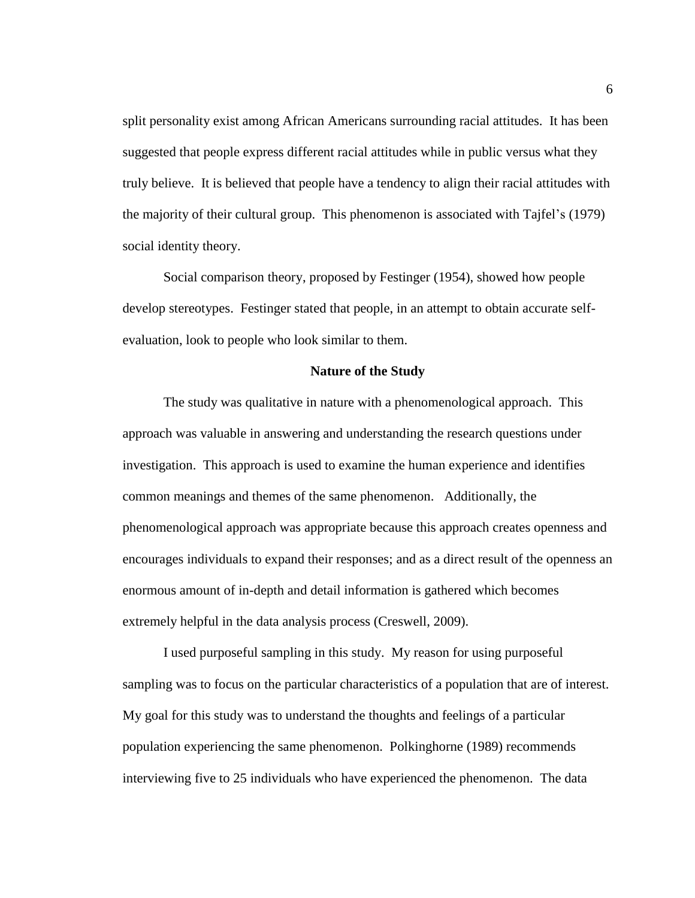split personality exist among African Americans surrounding racial attitudes. It has been suggested that people express different racial attitudes while in public versus what they truly believe. It is believed that people have a tendency to align their racial attitudes with the majority of their cultural group. This phenomenon is associated with Tajfel's (1979) social identity theory.

Social comparison theory, proposed by Festinger (1954), showed how people develop stereotypes. Festinger stated that people, in an attempt to obtain accurate selfevaluation, look to people who look similar to them.

# **Nature of the Study**

The study was qualitative in nature with a phenomenological approach. This approach was valuable in answering and understanding the research questions under investigation. This approach is used to examine the human experience and identifies common meanings and themes of the same phenomenon. Additionally, the phenomenological approach was appropriate because this approach creates openness and encourages individuals to expand their responses; and as a direct result of the openness an enormous amount of in-depth and detail information is gathered which becomes extremely helpful in the data analysis process (Creswell, 2009).

I used purposeful sampling in this study. My reason for using purposeful sampling was to focus on the particular characteristics of a population that are of interest. My goal for this study was to understand the thoughts and feelings of a particular population experiencing the same phenomenon. Polkinghorne (1989) recommends interviewing five to 25 individuals who have experienced the phenomenon. The data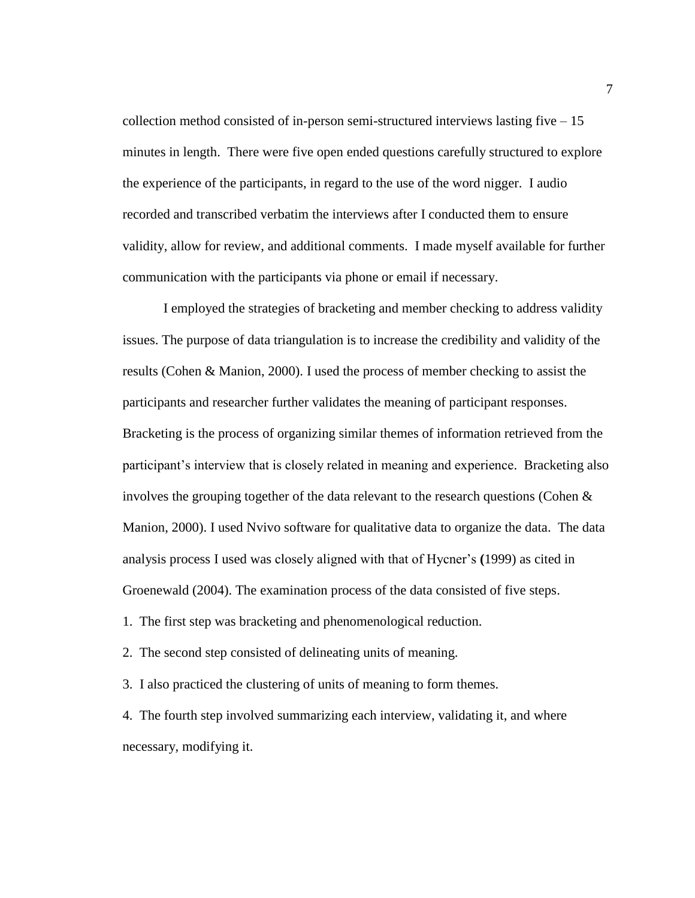collection method consisted of in-person semi-structured interviews lasting five – 15 minutes in length. There were five open ended questions carefully structured to explore the experience of the participants, in regard to the use of the word nigger. I audio recorded and transcribed verbatim the interviews after I conducted them to ensure validity, allow for review, and additional comments. I made myself available for further communication with the participants via phone or email if necessary.

I employed the strategies of bracketing and member checking to address validity issues. The purpose of data triangulation is to increase the credibility and validity of the results (Cohen & Manion, 2000). I used the process of member checking to assist the participants and researcher further validates the meaning of participant responses. Bracketing is the process of organizing similar themes of information retrieved from the participant's interview that is closely related in meaning and experience. Bracketing also involves the grouping together of the data relevant to the research questions (Cohen  $\&$ Manion, 2000). I used Nvivo software for qualitative data to organize the data. The data analysis process I used was closely aligned with that of Hycner's **(**1999) as cited in Groenewald (2004). The examination process of the data consisted of five steps.

1. The first step was bracketing and phenomenological reduction.

2. The second step consisted of delineating units of meaning.

3. I also practiced the clustering of units of meaning to form themes.

4. The fourth step involved summarizing each interview, validating it, and where necessary, modifying it.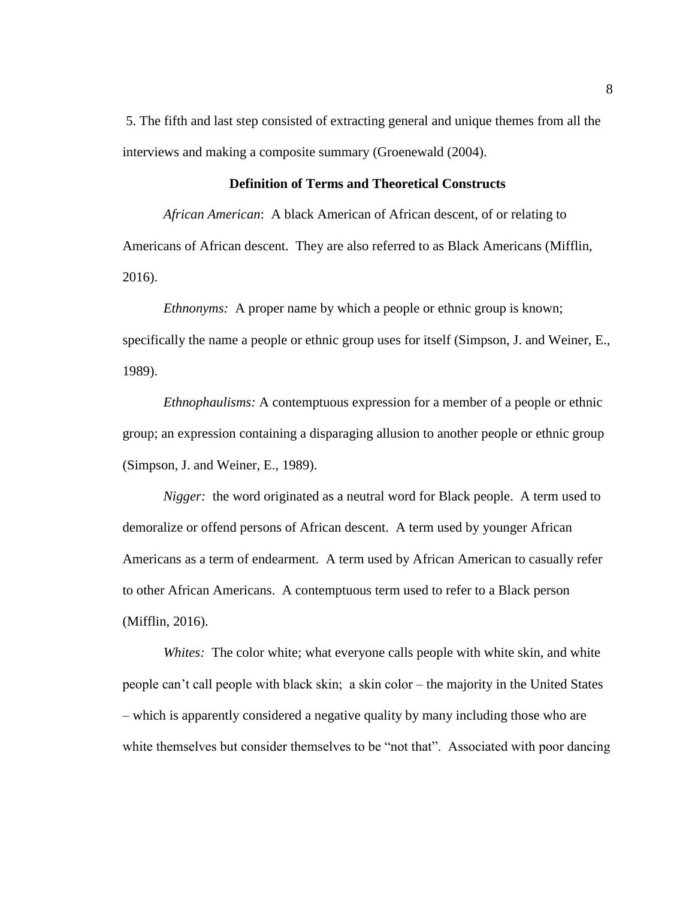5. The fifth and last step consisted of extracting general and unique themes from all the interviews and making a composite summary (Groenewald (2004).

# **Definition of Terms and Theoretical Constructs**

*African American*: A black American of African descent, of or relating to Americans of African descent. They are also referred to as Black Americans (Mifflin, 2016).

*Ethnonyms:* A proper name by which a people or ethnic group is known; specifically the name a people or ethnic group uses for itself (Simpson, J. and Weiner, E., 1989).

*Ethnophaulisms:* A contemptuous expression for a member of a people or ethnic group; an expression containing a disparaging allusion to another people or ethnic group (Simpson, J. and Weiner, E., 1989).

*Nigger:* the word originated as a neutral word for Black people. A term used to demoralize or offend persons of African descent. A term used by younger African Americans as a term of endearment. A term used by African American to casually refer to other African Americans. A contemptuous term used to refer to a Black person (Mifflin, 2016).

*Whites:* The color white; what everyone calls people with white skin, and white people can't call people with black skin; a skin color – the majority in the United States – which is apparently considered a negative quality by many including those who are white themselves but consider themselves to be "not that". Associated with poor dancing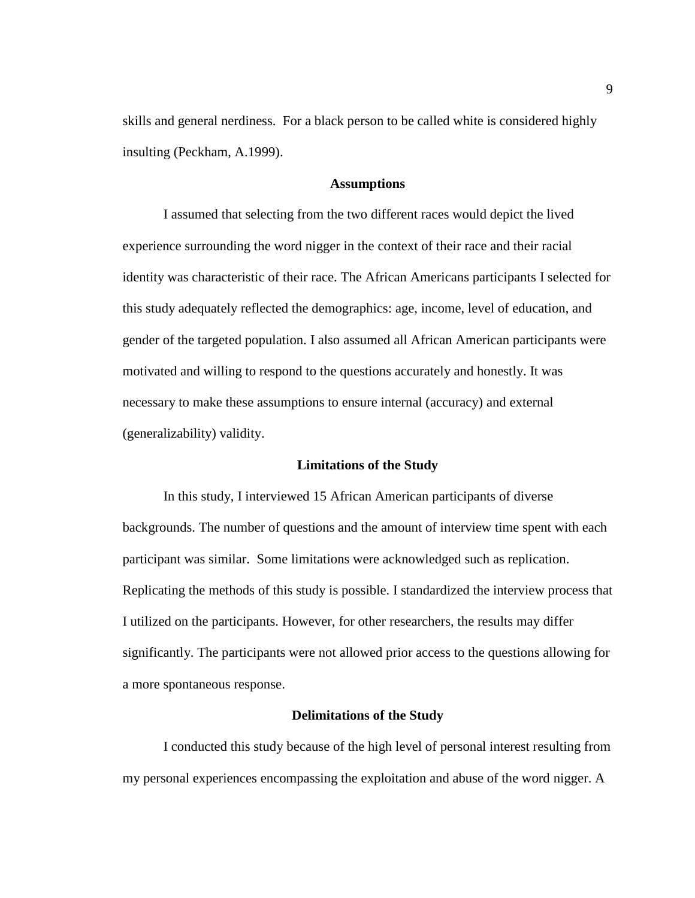skills and general nerdiness. For a black person to be called white is considered highly insulting (Peckham, A.1999).

# **Assumptions**

I assumed that selecting from the two different races would depict the lived experience surrounding the word nigger in the context of their race and their racial identity was characteristic of their race. The African Americans participants I selected for this study adequately reflected the demographics: age, income, level of education, and gender of the targeted population. I also assumed all African American participants were motivated and willing to respond to the questions accurately and honestly. It was necessary to make these assumptions to ensure internal (accuracy) and external (generalizability) validity.

#### **Limitations of the Study**

In this study, I interviewed 15 African American participants of diverse backgrounds. The number of questions and the amount of interview time spent with each participant was similar. Some limitations were acknowledged such as replication. Replicating the methods of this study is possible. I standardized the interview process that I utilized on the participants. However, for other researchers, the results may differ significantly. The participants were not allowed prior access to the questions allowing for a more spontaneous response.

#### **Delimitations of the Study**

I conducted this study because of the high level of personal interest resulting from my personal experiences encompassing the exploitation and abuse of the word nigger. A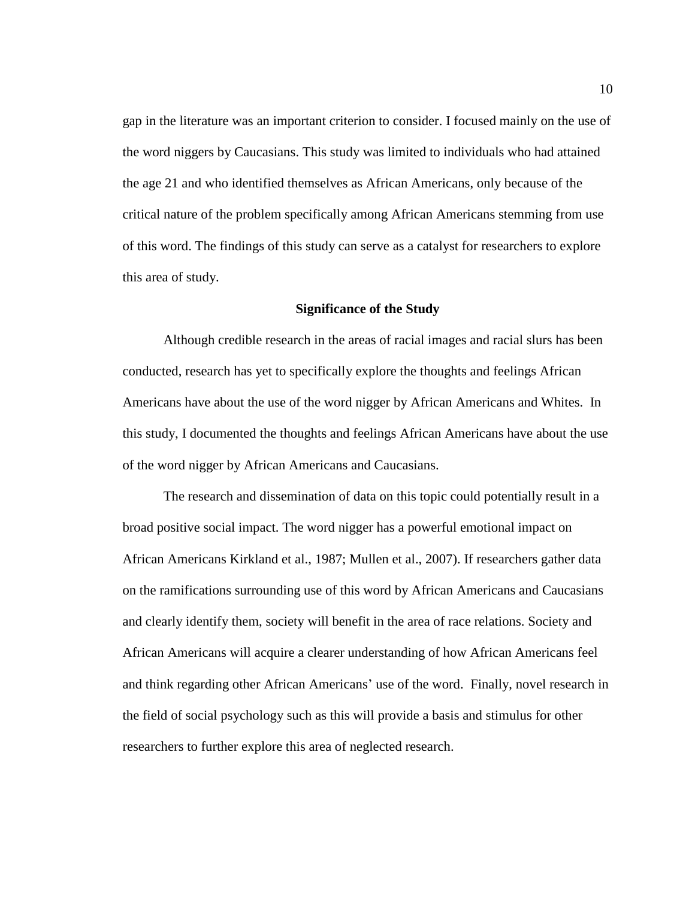gap in the literature was an important criterion to consider. I focused mainly on the use of the word niggers by Caucasians. This study was limited to individuals who had attained the age 21 and who identified themselves as African Americans, only because of the critical nature of the problem specifically among African Americans stemming from use of this word. The findings of this study can serve as a catalyst for researchers to explore this area of study.

## **Significance of the Study**

Although credible research in the areas of racial images and racial slurs has been conducted, research has yet to specifically explore the thoughts and feelings African Americans have about the use of the word nigger by African Americans and Whites. In this study, I documented the thoughts and feelings African Americans have about the use of the word nigger by African Americans and Caucasians.

The research and dissemination of data on this topic could potentially result in a broad positive social impact. The word nigger has a powerful emotional impact on African Americans Kirkland et al., 1987; Mullen et al., 2007). If researchers gather data on the ramifications surrounding use of this word by African Americans and Caucasians and clearly identify them, society will benefit in the area of race relations. Society and African Americans will acquire a clearer understanding of how African Americans feel and think regarding other African Americans' use of the word. Finally, novel research in the field of social psychology such as this will provide a basis and stimulus for other researchers to further explore this area of neglected research.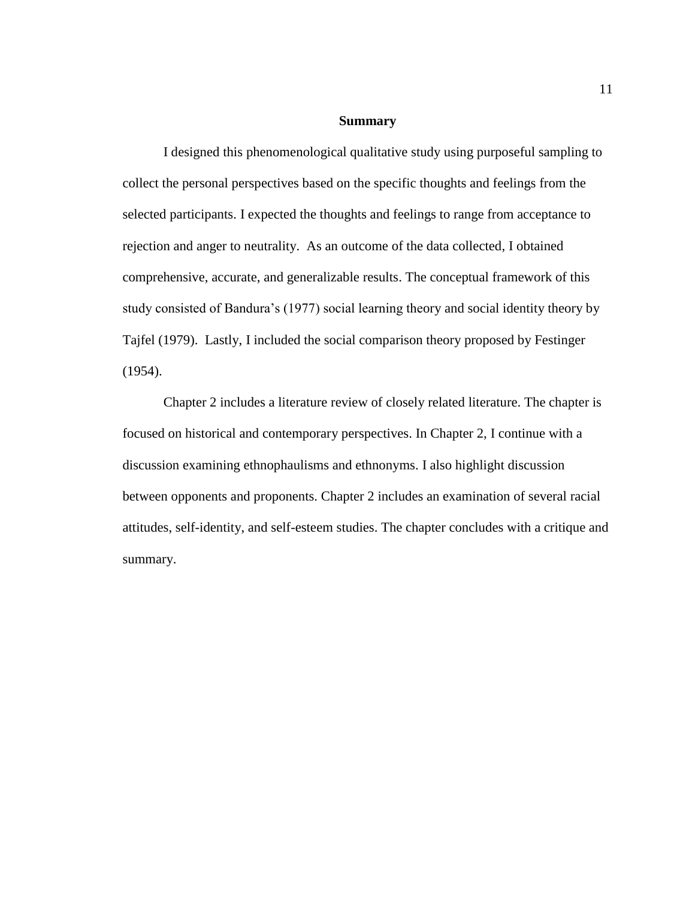## **Summary**

I designed this phenomenological qualitative study using purposeful sampling to collect the personal perspectives based on the specific thoughts and feelings from the selected participants. I expected the thoughts and feelings to range from acceptance to rejection and anger to neutrality. As an outcome of the data collected, I obtained comprehensive, accurate, and generalizable results. The conceptual framework of this study consisted of Bandura's (1977) social learning theory and social identity theory by Tajfel (1979). Lastly, I included the social comparison theory proposed by Festinger (1954).

 Chapter 2 includes a literature review of closely related literature. The chapter is focused on historical and contemporary perspectives. In Chapter 2, I continue with a discussion examining ethnophaulisms and ethnonyms. I also highlight discussion between opponents and proponents. Chapter 2 includes an examination of several racial attitudes, self-identity, and self-esteem studies. The chapter concludes with a critique and summary.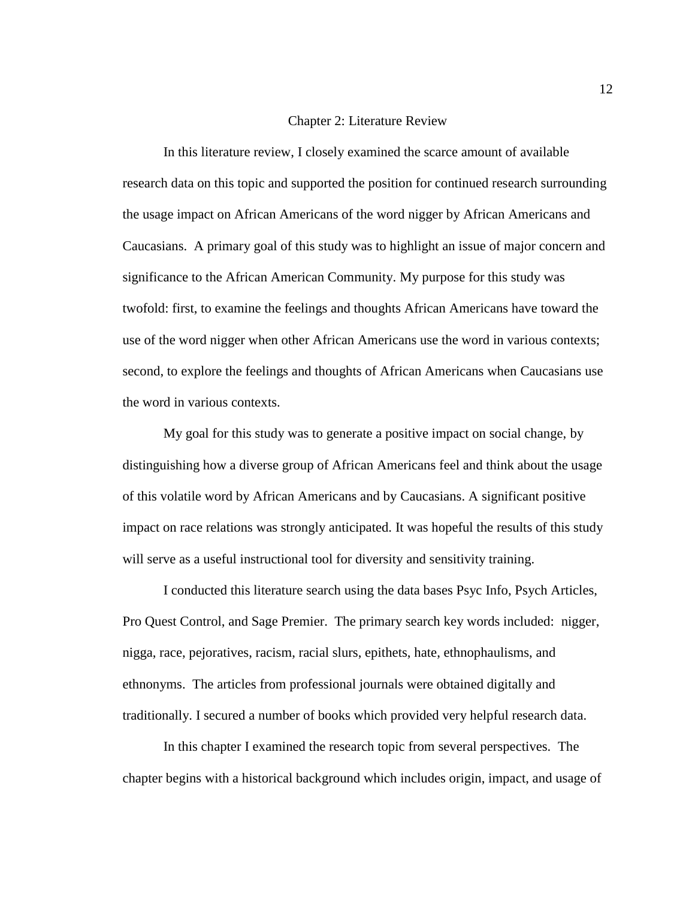# Chapter 2: Literature Review

In this literature review, I closely examined the scarce amount of available research data on this topic and supported the position for continued research surrounding the usage impact on African Americans of the word nigger by African Americans and Caucasians. A primary goal of this study was to highlight an issue of major concern and significance to the African American Community. My purpose for this study was twofold: first, to examine the feelings and thoughts African Americans have toward the use of the word nigger when other African Americans use the word in various contexts; second, to explore the feelings and thoughts of African Americans when Caucasians use the word in various contexts.

My goal for this study was to generate a positive impact on social change, by distinguishing how a diverse group of African Americans feel and think about the usage of this volatile word by African Americans and by Caucasians. A significant positive impact on race relations was strongly anticipated. It was hopeful the results of this study will serve as a useful instructional tool for diversity and sensitivity training.

I conducted this literature search using the data bases Psyc Info, Psych Articles, Pro Quest Control, and Sage Premier. The primary search key words included: nigger, nigga, race, pejoratives, racism, racial slurs, epithets, hate, ethnophaulisms, and ethnonyms. The articles from professional journals were obtained digitally and traditionally. I secured a number of books which provided very helpful research data.

In this chapter I examined the research topic from several perspectives. The chapter begins with a historical background which includes origin, impact, and usage of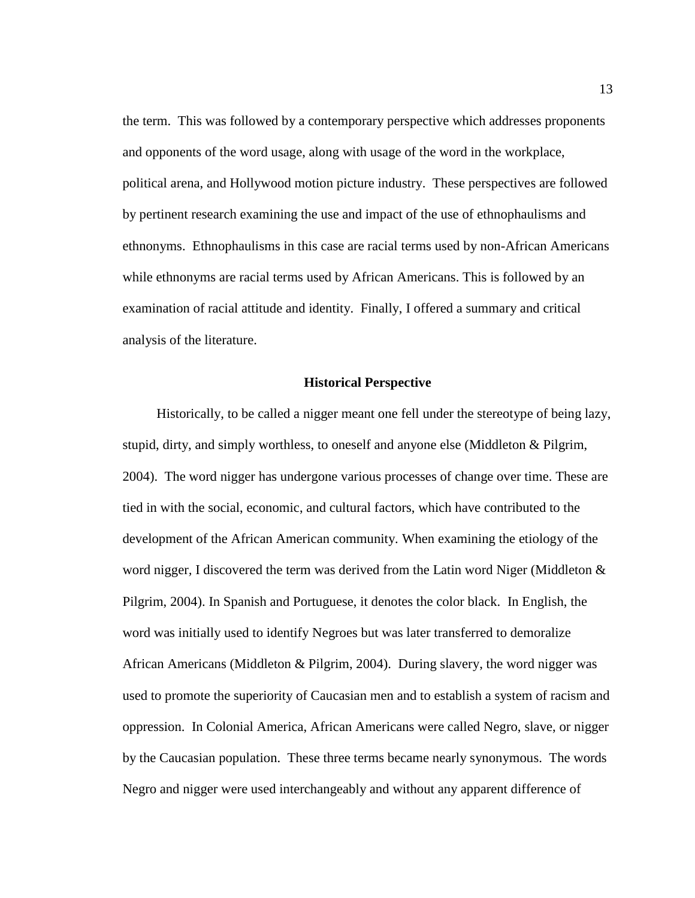the term. This was followed by a contemporary perspective which addresses proponents and opponents of the word usage, along with usage of the word in the workplace, political arena, and Hollywood motion picture industry. These perspectives are followed by pertinent research examining the use and impact of the use of ethnophaulisms and ethnonyms. Ethnophaulisms in this case are racial terms used by non-African Americans while ethnonyms are racial terms used by African Americans. This is followed by an examination of racial attitude and identity. Finally, I offered a summary and critical analysis of the literature.

## **Historical Perspective**

Historically, to be called a nigger meant one fell under the stereotype of being lazy, stupid, dirty, and simply worthless, to oneself and anyone else (Middleton & Pilgrim, 2004). The word nigger has undergone various processes of change over time. These are tied in with the social, economic, and cultural factors, which have contributed to the development of the African American community. When examining the etiology of the word nigger*,* I discovered the term was derived from the Latin word Niger (Middleton & Pilgrim, 2004). In Spanish and Portuguese, it denotes the color black. In English, the word was initially used to identify Negroes but was later transferred to demoralize African Americans (Middleton & Pilgrim, 2004). During slavery, the word nigger was used to promote the superiority of Caucasian men and to establish a system of racism and oppression. In Colonial America, African Americans were called Negro, slave, or nigger by the Caucasian population. These three terms became nearly synonymous. The words Negro and nigger were used interchangeably and without any apparent difference of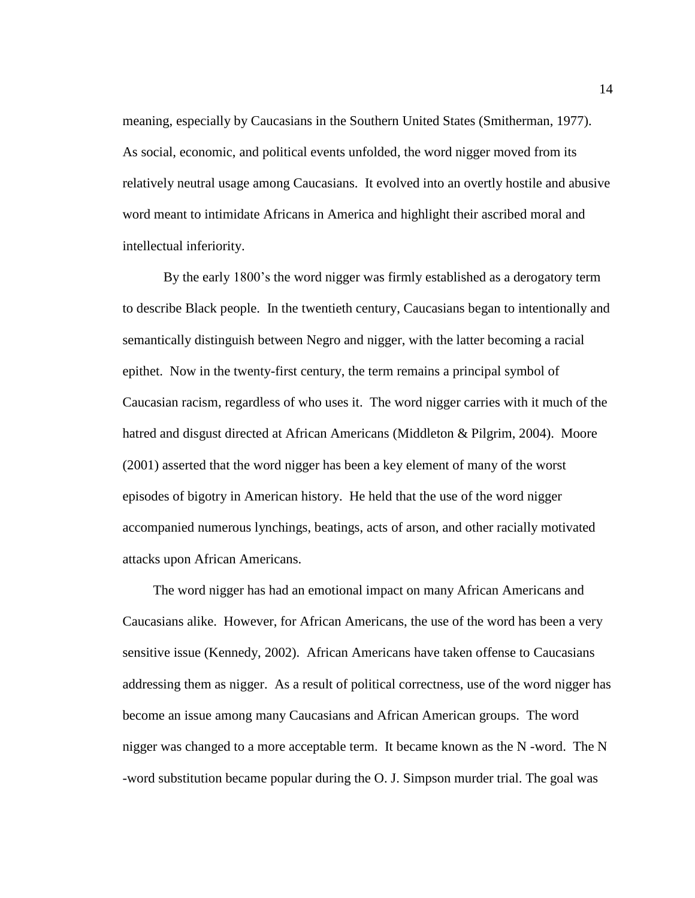meaning, especially by Caucasians in the Southern United States (Smitherman, 1977). As social, economic, and political events unfolded, the word nigger moved from its relatively neutral usage among Caucasians. It evolved into an overtly hostile and abusive word meant to intimidate Africans in America and highlight their ascribed moral and intellectual inferiority.

By the early 1800's the word nigger was firmly established as a derogatory term to describe Black people. In the twentieth century, Caucasians began to intentionally and semantically distinguish between Negro and nigger, with the latter becoming a racial epithet. Now in the twenty-first century, the term remains a principal symbol of Caucasian racism, regardless of who uses it. The word nigger carries with it much of the hatred and disgust directed at African Americans (Middleton & Pilgrim, 2004). Moore (2001) asserted that the word nigger has been a key element of many of the worst episodes of bigotry in American history. He held that the use of the word nigger accompanied numerous lynchings, beatings, acts of arson, and other racially motivated attacks upon African Americans.

 The word nigger has had an emotional impact on many African Americans and Caucasians alike. However, for African Americans, the use of the word has been a very sensitive issue (Kennedy, 2002). African Americans have taken offense to Caucasians addressing them as nigger. As a result of political correctness, use of the word nigger has become an issue among many Caucasians and African American groups. The word nigger was changed to a more acceptable term. It became known as the N -word. The N -word substitution became popular during the O. J. Simpson murder trial. The goal was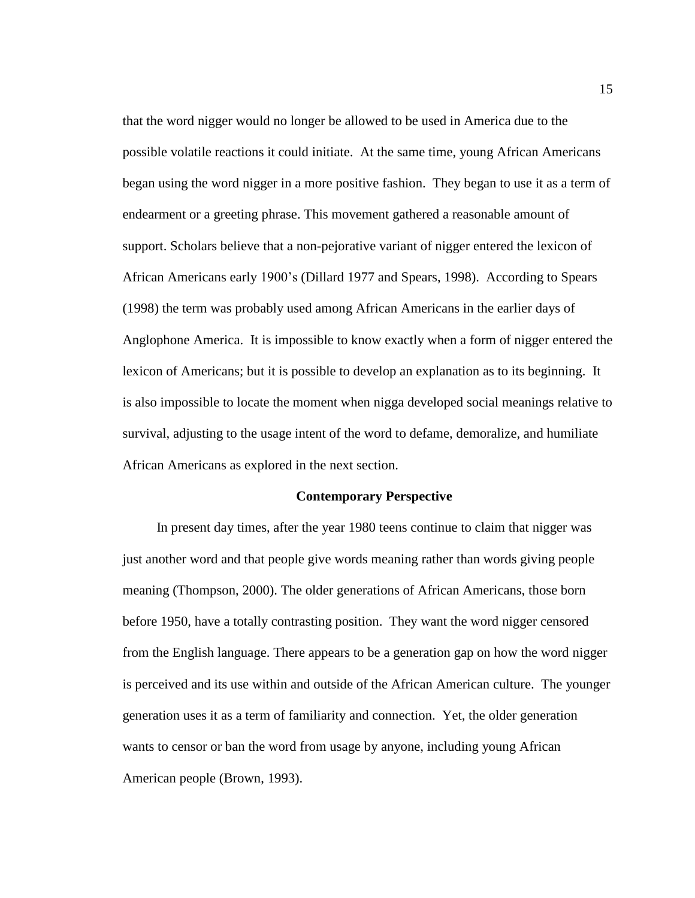that the word nigger would no longer be allowed to be used in America due to the possible volatile reactions it could initiate. At the same time, young African Americans began using the word nigger in a more positive fashion. They began to use it as a term of endearment or a greeting phrase. This movement gathered a reasonable amount of support. Scholars believe that a non-pejorative variant of nigger entered the lexicon of African Americans early 1900's (Dillard 1977 and Spears, 1998). According to Spears (1998) the term was probably used among African Americans in the earlier days of Anglophone America. It is impossible to know exactly when a form of nigger entered the lexicon of Americans; but it is possible to develop an explanation as to its beginning. It is also impossible to locate the moment when nigga developed social meanings relative to survival, adjusting to the usage intent of the word to defame, demoralize, and humiliate African Americans as explored in the next section.

#### **Contemporary Perspective**

 In present day times, after the year 1980 teens continue to claim that nigger was just another word and that people give words meaning rather than words giving people meaning (Thompson, 2000). The older generations of African Americans, those born before 1950, have a totally contrasting position. They want the word nigger censored from the English language. There appears to be a generation gap on how the word nigger is perceived and its use within and outside of the African American culture. The younger generation uses it as a term of familiarity and connection. Yet, the older generation wants to censor or ban the word from usage by anyone, including young African American people (Brown, 1993).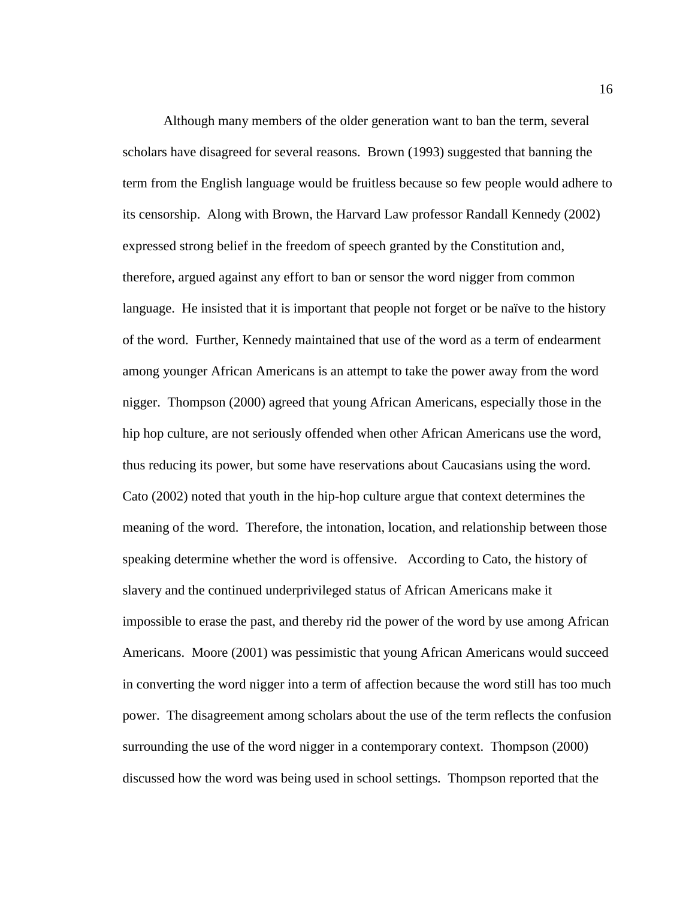Although many members of the older generation want to ban the term, several scholars have disagreed for several reasons. Brown (1993) suggested that banning the term from the English language would be fruitless because so few people would adhere to its censorship. Along with Brown, the Harvard Law professor Randall Kennedy (2002) expressed strong belief in the freedom of speech granted by the Constitution and, therefore, argued against any effort to ban or sensor the word nigger from common language. He insisted that it is important that people not forget or be naïve to the history of the word. Further, Kennedy maintained that use of the word as a term of endearment among younger African Americans is an attempt to take the power away from the word nigger. Thompson (2000) agreed that young African Americans, especially those in the hip hop culture, are not seriously offended when other African Americans use the word, thus reducing its power, but some have reservations about Caucasians using the word. Cato (2002) noted that youth in the hip-hop culture argue that context determines the meaning of the word. Therefore, the intonation, location, and relationship between those speaking determine whether the word is offensive. According to Cato, the history of slavery and the continued underprivileged status of African Americans make it impossible to erase the past, and thereby rid the power of the word by use among African Americans. Moore (2001) was pessimistic that young African Americans would succeed in converting the word nigger into a term of affection because the word still has too much power. The disagreement among scholars about the use of the term reflects the confusion surrounding the use of the word nigger in a contemporary context. Thompson (2000) discussed how the word was being used in school settings. Thompson reported that the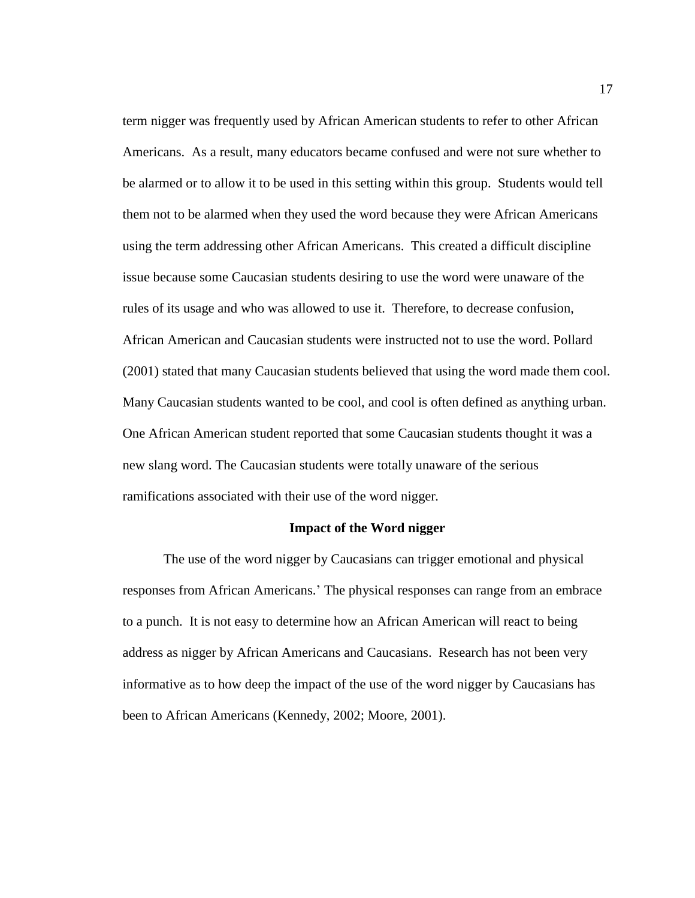term nigger was frequently used by African American students to refer to other African Americans. As a result, many educators became confused and were not sure whether to be alarmed or to allow it to be used in this setting within this group. Students would tell them not to be alarmed when they used the word because they were African Americans using the term addressing other African Americans. This created a difficult discipline issue because some Caucasian students desiring to use the word were unaware of the rules of its usage and who was allowed to use it. Therefore, to decrease confusion, African American and Caucasian students were instructed not to use the word. Pollard (2001) stated that many Caucasian students believed that using the word made them cool. Many Caucasian students wanted to be cool, and cool is often defined as anything urban. One African American student reported that some Caucasian students thought it was a new slang word. The Caucasian students were totally unaware of the serious ramifications associated with their use of the word nigger*.*

### **Impact of the Word nigger**

The use of the word nigger by Caucasians can trigger emotional and physical responses from African Americans.' The physical responses can range from an embrace to a punch. It is not easy to determine how an African American will react to being address as nigger by African Americans and Caucasians. Research has not been very informative as to how deep the impact of the use of the word nigger by Caucasians has been to African Americans (Kennedy, 2002; Moore, 2001).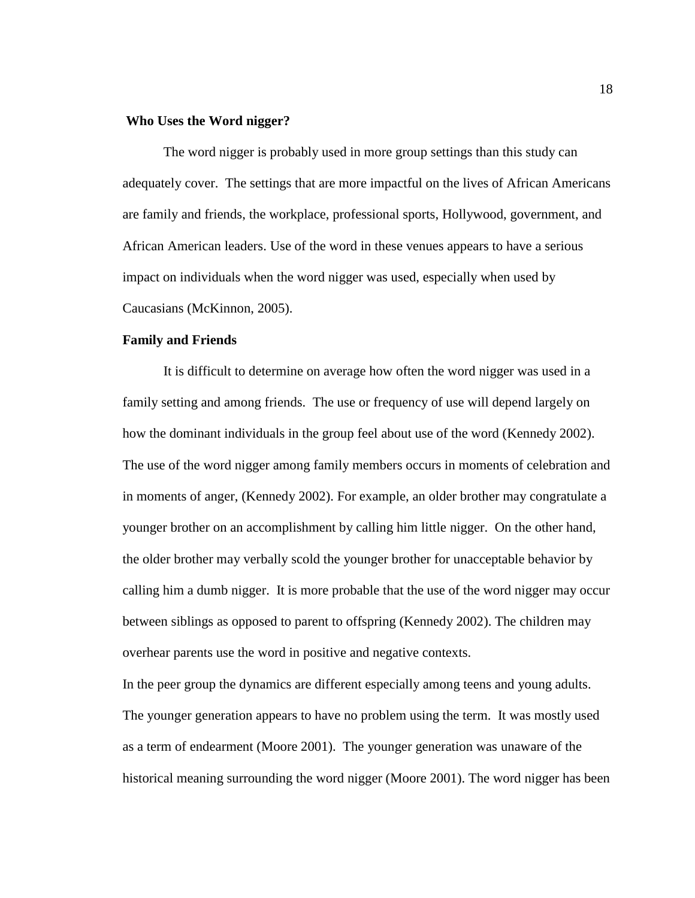# **Who Uses the Word nigger?**

The word nigger is probably used in more group settings than this study can adequately cover. The settings that are more impactful on the lives of African Americans are family and friends, the workplace, professional sports, Hollywood, government, and African American leaders. Use of the word in these venues appears to have a serious impact on individuals when the word nigger was used, especially when used by Caucasians (McKinnon, 2005).

# **Family and Friends**

It is difficult to determine on average how often the word nigger was used in a family setting and among friends. The use or frequency of use will depend largely on how the dominant individuals in the group feel about use of the word (Kennedy 2002). The use of the word nigger among family members occurs in moments of celebration and in moments of anger, (Kennedy 2002). For example, an older brother may congratulate a younger brother on an accomplishment by calling him little nigger. On the other hand, the older brother may verbally scold the younger brother for unacceptable behavior by calling him a dumb nigger. It is more probable that the use of the word nigger may occur between siblings as opposed to parent to offspring (Kennedy 2002). The children may overhear parents use the word in positive and negative contexts.

In the peer group the dynamics are different especially among teens and young adults. The younger generation appears to have no problem using the term. It was mostly used as a term of endearment (Moore 2001). The younger generation was unaware of the historical meaning surrounding the word nigger (Moore 2001). The word nigger has been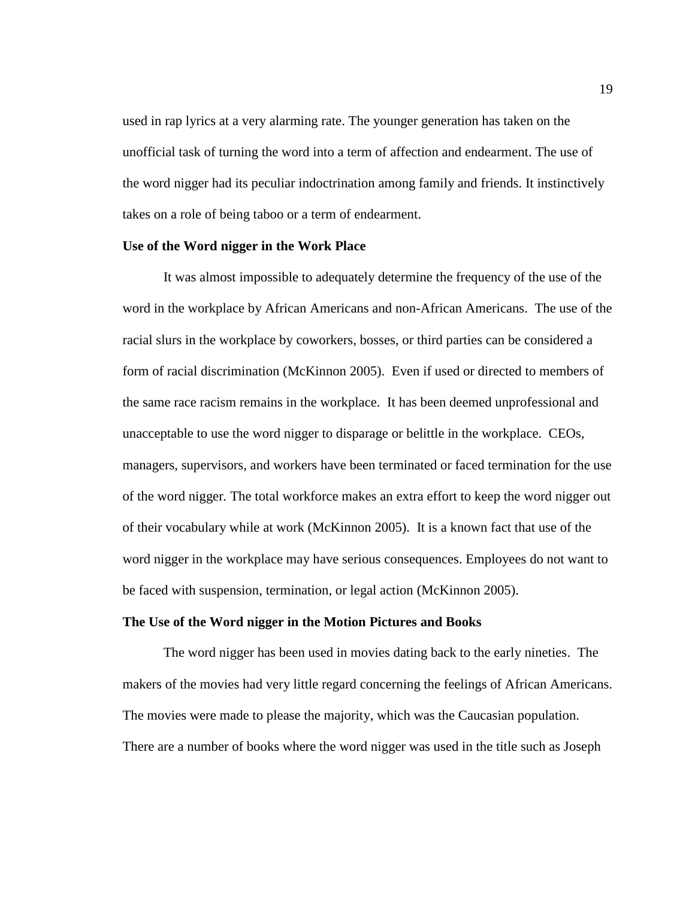used in rap lyrics at a very alarming rate. The younger generation has taken on the unofficial task of turning the word into a term of affection and endearment. The use of the word nigger had its peculiar indoctrination among family and friends. It instinctively takes on a role of being taboo or a term of endearment.

# **Use of the Word nigger in the Work Place**

It was almost impossible to adequately determine the frequency of the use of the word in the workplace by African Americans and non-African Americans. The use of the racial slurs in the workplace by coworkers, bosses, or third parties can be considered a form of racial discrimination (McKinnon 2005). Even if used or directed to members of the same race racism remains in the workplace. It has been deemed unprofessional and unacceptable to use the word nigger to disparage or belittle in the workplace. CEOs, managers, supervisors, and workers have been terminated or faced termination for the use of the word nigger*.* The total workforce makes an extra effort to keep the word nigger out of their vocabulary while at work (McKinnon 2005). It is a known fact that use of the word nigger in the workplace may have serious consequences. Employees do not want to be faced with suspension, termination, or legal action (McKinnon 2005).

#### **The Use of the Word nigger in the Motion Pictures and Books**

The word nigger has been used in movies dating back to the early nineties. The makers of the movies had very little regard concerning the feelings of African Americans. The movies were made to please the majority, which was the Caucasian population. There are a number of books where the word nigger was used in the title such as Joseph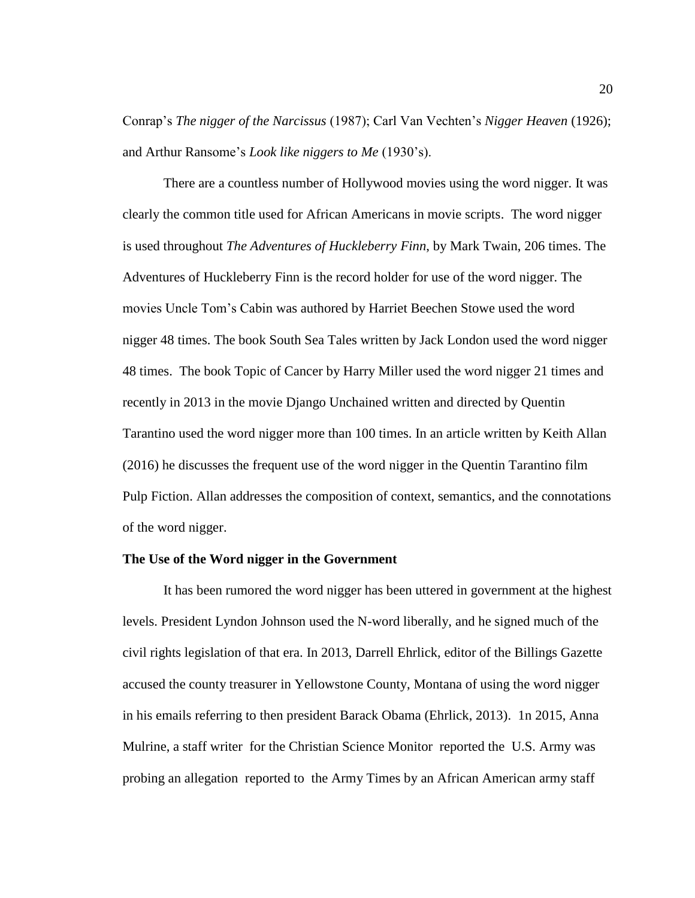Conrap's *The nigger of the Narcissus* (1987); Carl Van Vechten's *Nigger Heaven* (1926); and Arthur Ransome's *Look like niggers to Me* (1930's).

There are a countless number of Hollywood movies using the word nigger. It was clearly the common title used for African Americans in movie scripts. The word nigger is used throughout *The Adventures of Huckleberry Finn*, by Mark Twain, 206 times. The Adventures of Huckleberry Finn is the record holder for use of the word nigger. The movies Uncle Tom's Cabin was authored by Harriet Beechen Stowe used the word nigger 48 times. The book South Sea Tales written by Jack London used the word nigger 48 times. The book Topic of Cancer by Harry Miller used the word nigger 21 times and recently in 2013 in the movie Django Unchained written and directed by Quentin Tarantino used the word nigger more than 100 times. In an article written by Keith Allan (2016) he discusses the frequent use of the word nigger in the Quentin Tarantino film Pulp Fiction. Allan addresses the composition of context, semantics, and the connotations of the word nigger.

## **The Use of the Word nigger in the Government**

It has been rumored the word nigger has been uttered in government at the highest levels. President Lyndon Johnson used the N-word liberally, and he signed much of the civil rights legislation of that era. In 2013, Darrell Ehrlick, editor of the Billings Gazette accused the county treasurer in Yellowstone County, Montana of using the word nigger in his emails referring to then president Barack Obama (Ehrlick, 2013). 1n 2015, Anna Mulrine, a staff writer for the Christian Science Monitor reported the U.S. Army was probing an allegation reported to the Army Times by an African American army staff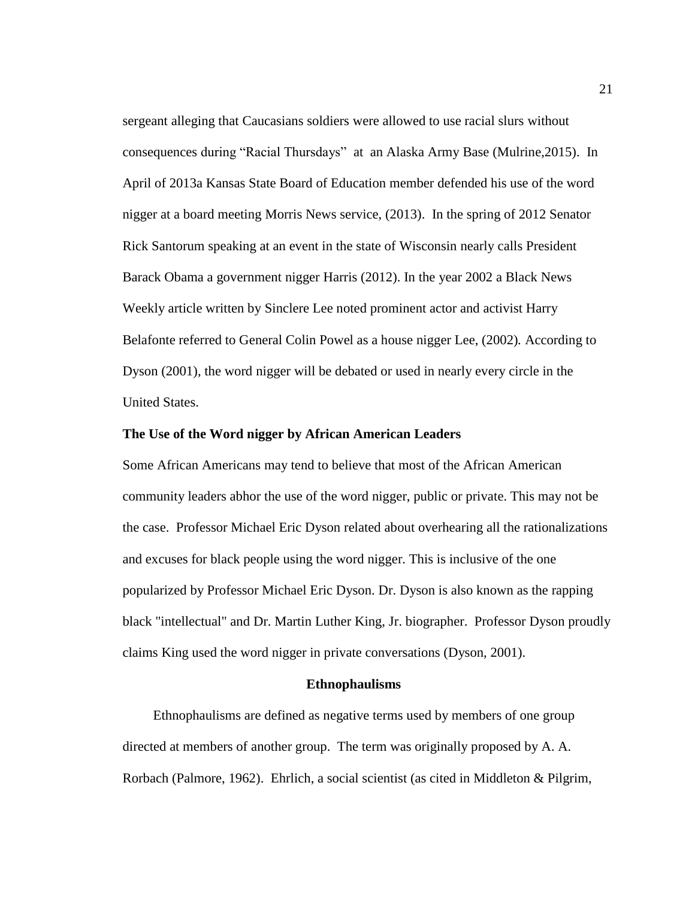sergeant alleging that Caucasians soldiers were allowed to use racial slurs without consequences during "Racial Thursdays" at an Alaska Army Base (Mulrine,2015). In April of 2013a Kansas State Board of Education member defended his use of the word nigger at a board meeting Morris News service, (2013). In the spring of 2012 Senator Rick Santorum speaking at an event in the state of Wisconsin nearly calls President Barack Obama a government nigger Harris (2012). In the year 2002 a Black News Weekly article written by Sinclere Lee noted prominent actor and activist Harry Belafonte referred to General Colin Powel as a house nigger Lee, (2002)*.* According to Dyson (2001), the word nigger will be debated or used in nearly every circle in the United States.

# **The Use of the Word nigger by African American Leaders**

Some African Americans may tend to believe that most of the African American community leaders abhor the use of the word nigger, public or private. This may not be the case. Professor Michael Eric Dyson related about overhearing all the rationalizations and excuses for black people using the word nigger. This is inclusive of the one popularized by Professor Michael Eric Dyson. Dr. Dyson is also known as the rapping black "intellectual" and Dr. Martin Luther King, Jr. biographer. Professor Dyson proudly claims King used the word nigger in private conversations (Dyson, 2001).

#### **Ethnophaulisms**

 Ethnophaulisms are defined as negative terms used by members of one group directed at members of another group. The term was originally proposed by A. A. Rorbach (Palmore, 1962). Ehrlich, a social scientist (as cited in Middleton & Pilgrim,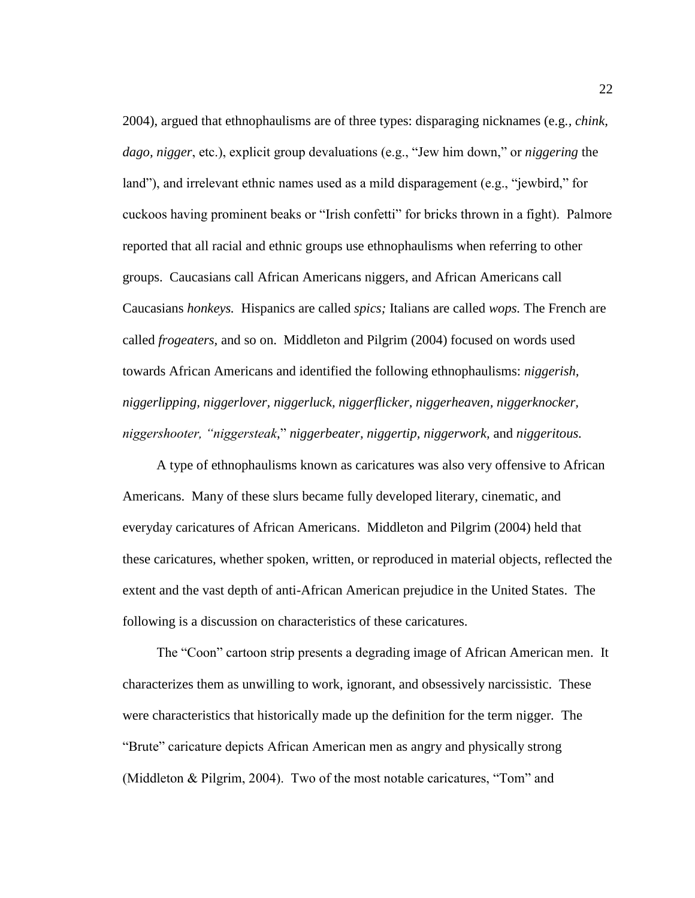2004), argued that ethnophaulisms are of three types: disparaging nicknames (e.g*., chink, dago, nigger*, etc.), explicit group devaluations (e.g., "Jew him down," or *niggering* the land"), and irrelevant ethnic names used as a mild disparagement (e.g., "jewbird," for cuckoos having prominent beaks or "Irish confetti" for bricks thrown in a fight). Palmore reported that all racial and ethnic groups use ethnophaulisms when referring to other groups. Caucasians call African Americans niggers*,* and African Americans call Caucasians *honkeys.* Hispanics are called *spics;* Italians are called *wops.* The French are called *frogeaters,* and so on. Middleton and Pilgrim (2004) focused on words used towards African Americans and identified the following ethnophaulisms: *niggerish, niggerlipping, niggerlover, niggerluck, niggerflicker, niggerheaven, niggerknocker, niggershooter, "niggersteak*," *niggerbeater, niggertip, niggerwork,* and *niggeritous.*

 A type of ethnophaulisms known as caricatures was also very offensive to African Americans. Many of these slurs became fully developed literary, cinematic, and everyday caricatures of African Americans. Middleton and Pilgrim (2004) held that these caricatures, whether spoken, written, or reproduced in material objects, reflected the extent and the vast depth of anti-African American prejudice in the United States. The following is a discussion on characteristics of these caricatures.

 The "Coon" cartoon strip presents a degrading image of African American men. It characterizes them as unwilling to work, ignorant, and obsessively narcissistic. These were characteristics that historically made up the definition for the term nigger*.* The "Brute" caricature depicts African American men as angry and physically strong (Middleton & Pilgrim, 2004). Two of the most notable caricatures, "Tom" and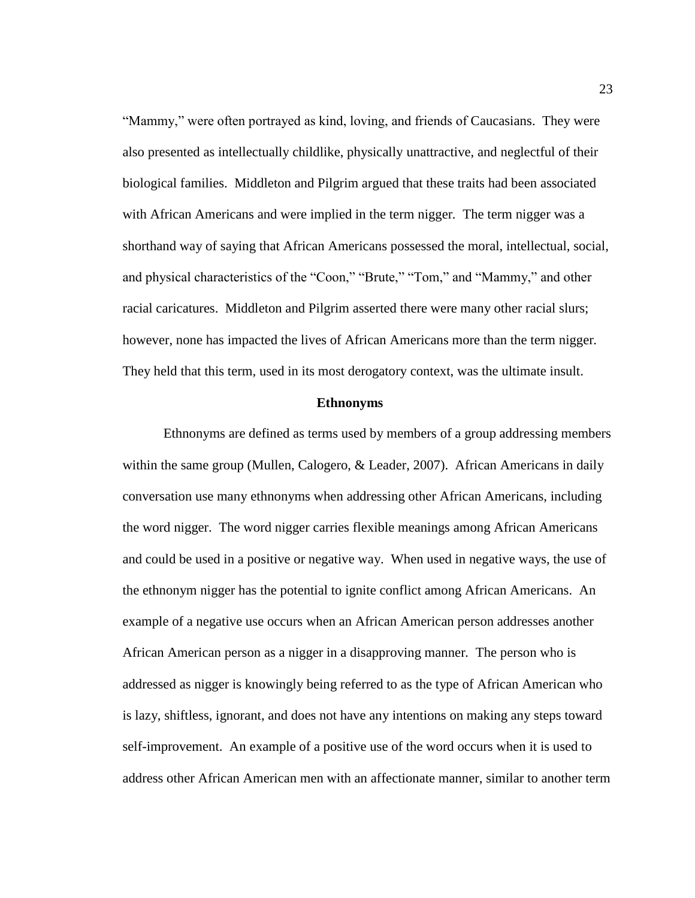"Mammy," were often portrayed as kind, loving, and friends of Caucasians. They were also presented as intellectually childlike, physically unattractive, and neglectful of their biological families. Middleton and Pilgrim argued that these traits had been associated with African Americans and were implied in the term nigger*.* The term nigger was a shorthand way of saying that African Americans possessed the moral, intellectual, social, and physical characteristics of the "Coon," "Brute," "Tom," and "Mammy," and other racial caricatures. Middleton and Pilgrim asserted there were many other racial slurs; however, none has impacted the lives of African Americans more than the term nigger*.*  They held that this term*,* used in its most derogatory context, was the ultimate insult.

#### **Ethnonyms**

Ethnonyms are defined as terms used by members of a group addressing members within the same group (Mullen, Calogero, & Leader, 2007). African Americans in daily conversation use many ethnonyms when addressing other African Americans, including the word nigger. The word nigger carries flexible meanings among African Americans and could be used in a positive or negative way. When used in negative ways, the use of the ethnonym nigger has the potential to ignite conflict among African Americans. An example of a negative use occurs when an African American person addresses another African American person as a nigger in a disapproving manner*.* The person who is addressed as nigger is knowingly being referred to as the type of African American who is lazy, shiftless, ignorant, and does not have any intentions on making any steps toward self-improvement. An example of a positive use of the word occurs when it is used to address other African American men with an affectionate manner, similar to another term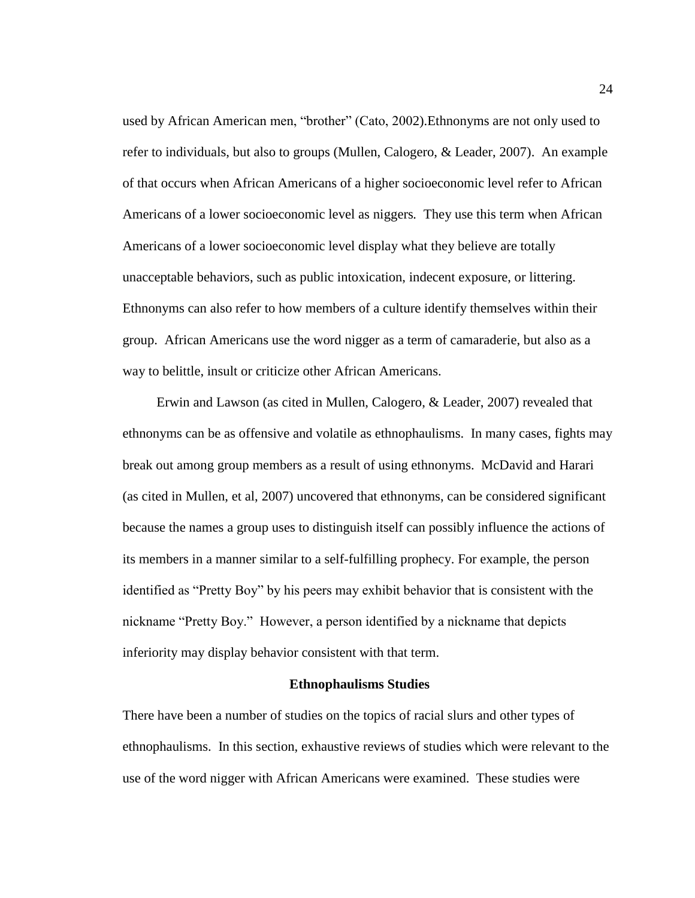used by African American men, "brother" (Cato, 2002).Ethnonyms are not only used to refer to individuals, but also to groups (Mullen, Calogero, & Leader, 2007). An example of that occurs when African Americans of a higher socioeconomic level refer to African Americans of a lower socioeconomic level as niggers*.* They use this term when African Americans of a lower socioeconomic level display what they believe are totally unacceptable behaviors, such as public intoxication, indecent exposure, or littering. Ethnonyms can also refer to how members of a culture identify themselves within their group. African Americans use the word nigger as a term of camaraderie, but also as a way to belittle, insult or criticize other African Americans.

 Erwin and Lawson (as cited in Mullen, Calogero, & Leader, 2007) revealed that ethnonyms can be as offensive and volatile as ethnophaulisms. In many cases, fights may break out among group members as a result of using ethnonyms. McDavid and Harari (as cited in Mullen, et al, 2007) uncovered that ethnonyms, can be considered significant because the names a group uses to distinguish itself can possibly influence the actions of its members in a manner similar to a self-fulfilling prophecy. For example, the person identified as "Pretty Boy" by his peers may exhibit behavior that is consistent with the nickname "Pretty Boy." However, a person identified by a nickname that depicts inferiority may display behavior consistent with that term.

#### **Ethnophaulisms Studies**

There have been a number of studies on the topics of racial slurs and other types of ethnophaulisms. In this section, exhaustive reviews of studies which were relevant to the use of the word nigger with African Americans were examined. These studies were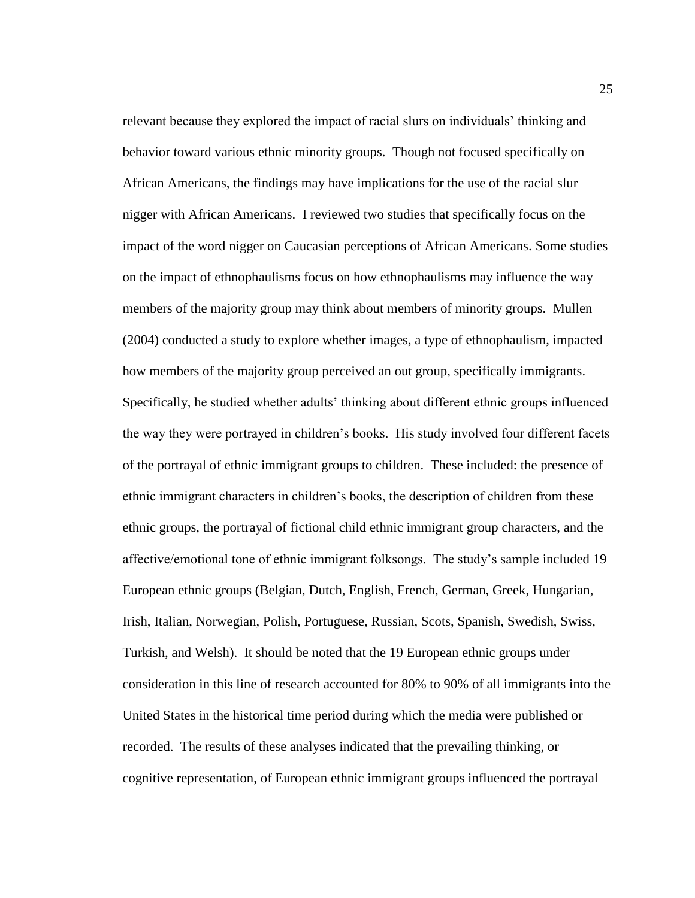relevant because they explored the impact of racial slurs on individuals' thinking and behavior toward various ethnic minority groups. Though not focused specifically on African Americans, the findings may have implications for the use of the racial slur nigger with African Americans. I reviewed two studies that specifically focus on the impact of the word nigger on Caucasian perceptions of African Americans. Some studies on the impact of ethnophaulisms focus on how ethnophaulisms may influence the way members of the majority group may think about members of minority groups. Mullen (2004) conducted a study to explore whether images, a type of ethnophaulism, impacted how members of the majority group perceived an out group, specifically immigrants. Specifically, he studied whether adults' thinking about different ethnic groups influenced the way they were portrayed in children's books. His study involved four different facets of the portrayal of ethnic immigrant groups to children. These included: the presence of ethnic immigrant characters in children's books, the description of children from these ethnic groups, the portrayal of fictional child ethnic immigrant group characters, and the affective/emotional tone of ethnic immigrant folksongs. The study's sample included 19 European ethnic groups (Belgian, Dutch, English, French, German, Greek, Hungarian, Irish, Italian, Norwegian, Polish, Portuguese, Russian, Scots, Spanish, Swedish, Swiss, Turkish, and Welsh). It should be noted that the 19 European ethnic groups under consideration in this line of research accounted for 80% to 90% of all immigrants into the United States in the historical time period during which the media were published or recorded. The results of these analyses indicated that the prevailing thinking, or cognitive representation, of European ethnic immigrant groups influenced the portrayal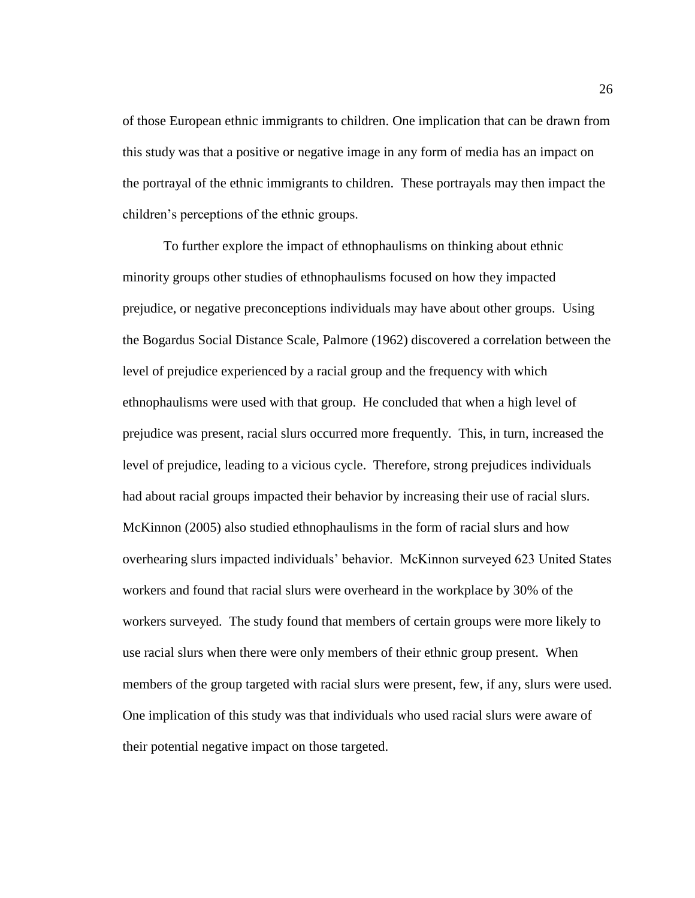of those European ethnic immigrants to children. One implication that can be drawn from this study was that a positive or negative image in any form of media has an impact on the portrayal of the ethnic immigrants to children. These portrayals may then impact the children's perceptions of the ethnic groups.

To further explore the impact of ethnophaulisms on thinking about ethnic minority groups other studies of ethnophaulisms focused on how they impacted prejudice, or negative preconceptions individuals may have about other groups. Using the Bogardus Social Distance Scale, Palmore (1962) discovered a correlation between the level of prejudice experienced by a racial group and the frequency with which ethnophaulisms were used with that group. He concluded that when a high level of prejudice was present, racial slurs occurred more frequently. This, in turn, increased the level of prejudice, leading to a vicious cycle. Therefore, strong prejudices individuals had about racial groups impacted their behavior by increasing their use of racial slurs. McKinnon (2005) also studied ethnophaulisms in the form of racial slurs and how overhearing slurs impacted individuals' behavior. McKinnon surveyed 623 United States workers and found that racial slurs were overheard in the workplace by 30% of the workers surveyed. The study found that members of certain groups were more likely to use racial slurs when there were only members of their ethnic group present. When members of the group targeted with racial slurs were present, few, if any, slurs were used. One implication of this study was that individuals who used racial slurs were aware of their potential negative impact on those targeted.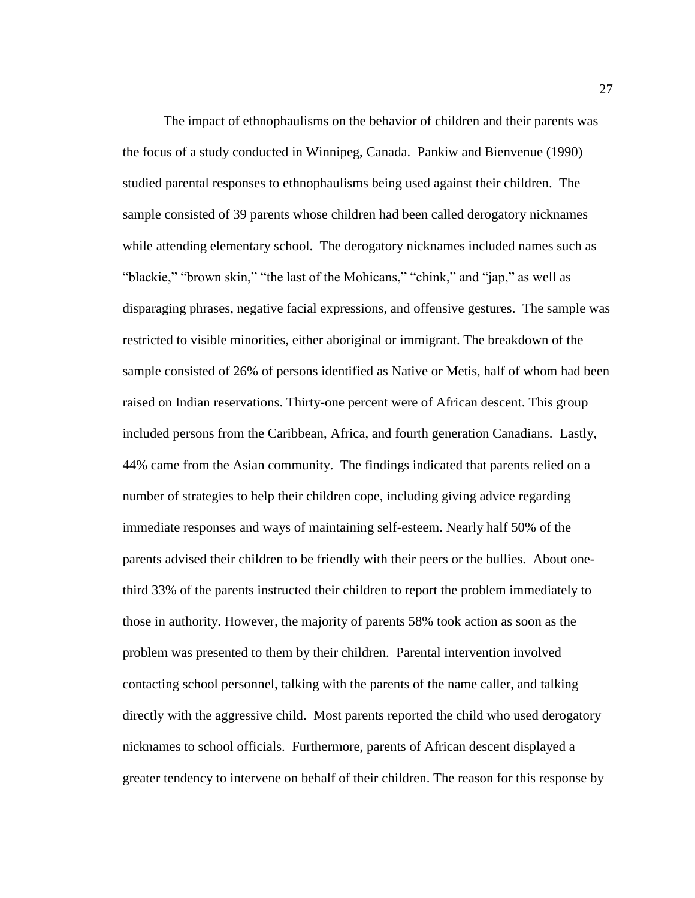The impact of ethnophaulisms on the behavior of children and their parents was the focus of a study conducted in Winnipeg, Canada. Pankiw and Bienvenue (1990) studied parental responses to ethnophaulisms being used against their children. The sample consisted of 39 parents whose children had been called derogatory nicknames while attending elementary school. The derogatory nicknames included names such as "blackie," "brown skin," "the last of the Mohicans," "chink," and "jap," as well as disparaging phrases, negative facial expressions, and offensive gestures. The sample was restricted to visible minorities, either aboriginal or immigrant. The breakdown of the sample consisted of 26% of persons identified as Native or Metis, half of whom had been raised on Indian reservations. Thirty-one percent were of African descent. This group included persons from the Caribbean, Africa, and fourth generation Canadians. Lastly, 44% came from the Asian community. The findings indicated that parents relied on a number of strategies to help their children cope, including giving advice regarding immediate responses and ways of maintaining self-esteem. Nearly half 50% of the parents advised their children to be friendly with their peers or the bullies. About onethird 33% of the parents instructed their children to report the problem immediately to those in authority. However, the majority of parents 58% took action as soon as the problem was presented to them by their children. Parental intervention involved contacting school personnel, talking with the parents of the name caller, and talking directly with the aggressive child. Most parents reported the child who used derogatory nicknames to school officials. Furthermore, parents of African descent displayed a greater tendency to intervene on behalf of their children. The reason for this response by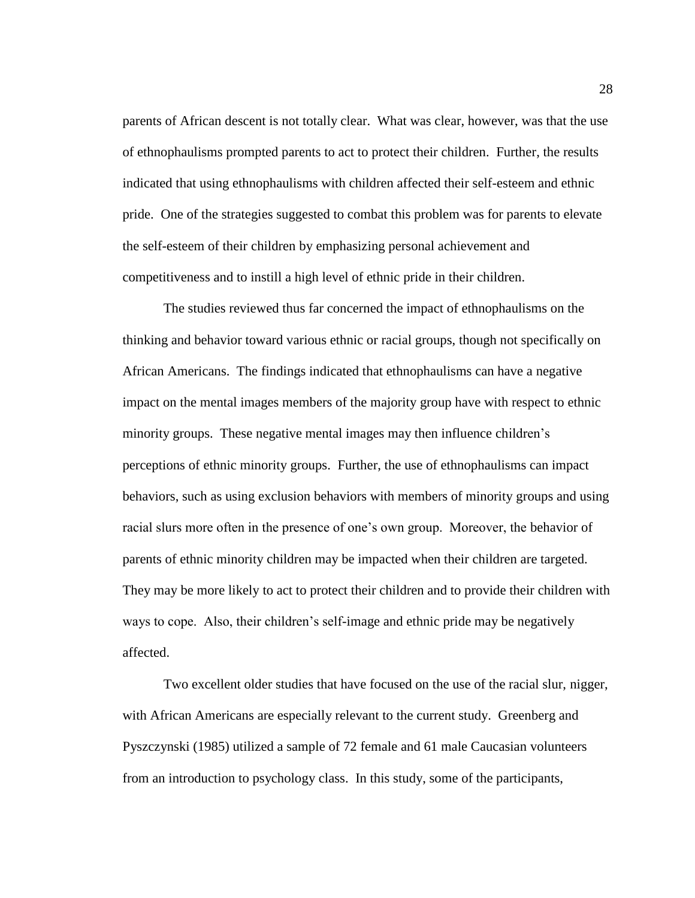parents of African descent is not totally clear. What was clear, however, was that the use of ethnophaulisms prompted parents to act to protect their children. Further, the results indicated that using ethnophaulisms with children affected their self-esteem and ethnic pride. One of the strategies suggested to combat this problem was for parents to elevate the self-esteem of their children by emphasizing personal achievement and competitiveness and to instill a high level of ethnic pride in their children.

The studies reviewed thus far concerned the impact of ethnophaulisms on the thinking and behavior toward various ethnic or racial groups, though not specifically on African Americans. The findings indicated that ethnophaulisms can have a negative impact on the mental images members of the majority group have with respect to ethnic minority groups. These negative mental images may then influence children's perceptions of ethnic minority groups. Further, the use of ethnophaulisms can impact behaviors, such as using exclusion behaviors with members of minority groups and using racial slurs more often in the presence of one's own group. Moreover, the behavior of parents of ethnic minority children may be impacted when their children are targeted. They may be more likely to act to protect their children and to provide their children with ways to cope. Also, their children's self-image and ethnic pride may be negatively affected.

Two excellent older studies that have focused on the use of the racial slur, nigger, with African Americans are especially relevant to the current study. Greenberg and Pyszczynski (1985) utilized a sample of 72 female and 61 male Caucasian volunteers from an introduction to psychology class. In this study, some of the participants,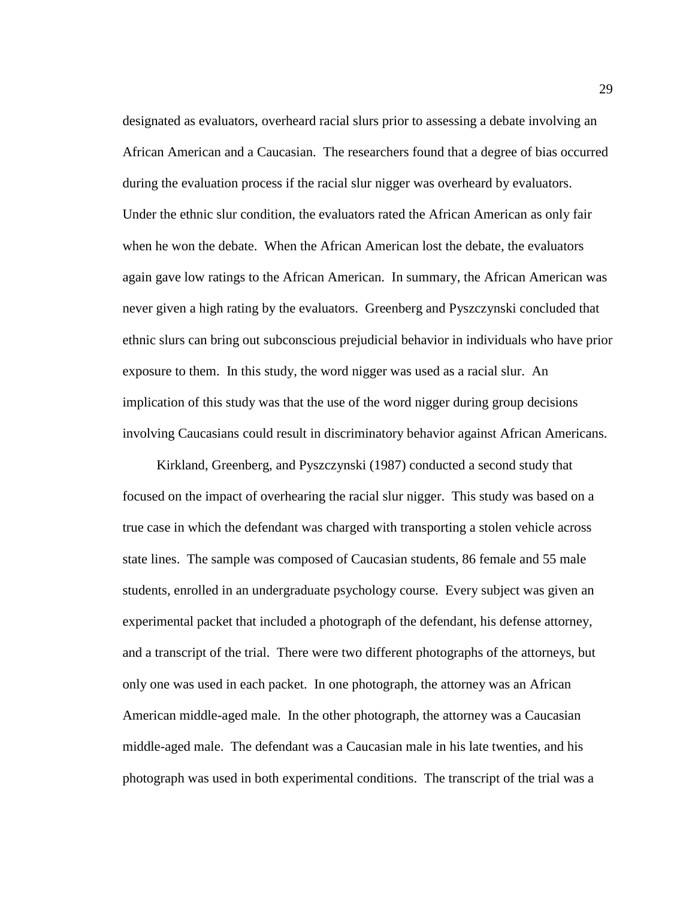designated as evaluators, overheard racial slurs prior to assessing a debate involving an African American and a Caucasian. The researchers found that a degree of bias occurred during the evaluation process if the racial slur nigger was overheard by evaluators. Under the ethnic slur condition, the evaluators rated the African American as only fair when he won the debate. When the African American lost the debate, the evaluators again gave low ratings to the African American. In summary, the African American was never given a high rating by the evaluators. Greenberg and Pyszczynski concluded that ethnic slurs can bring out subconscious prejudicial behavior in individuals who have prior exposure to them. In this study, the word nigger was used as a racial slur. An implication of this study was that the use of the word nigger during group decisions involving Caucasians could result in discriminatory behavior against African Americans.

 Kirkland, Greenberg, and Pyszczynski (1987) conducted a second study that focused on the impact of overhearing the racial slur nigger. This study was based on a true case in which the defendant was charged with transporting a stolen vehicle across state lines. The sample was composed of Caucasian students, 86 female and 55 male students, enrolled in an undergraduate psychology course. Every subject was given an experimental packet that included a photograph of the defendant, his defense attorney, and a transcript of the trial. There were two different photographs of the attorneys, but only one was used in each packet. In one photograph, the attorney was an African American middle-aged male. In the other photograph, the attorney was a Caucasian middle-aged male. The defendant was a Caucasian male in his late twenties, and his photograph was used in both experimental conditions. The transcript of the trial was a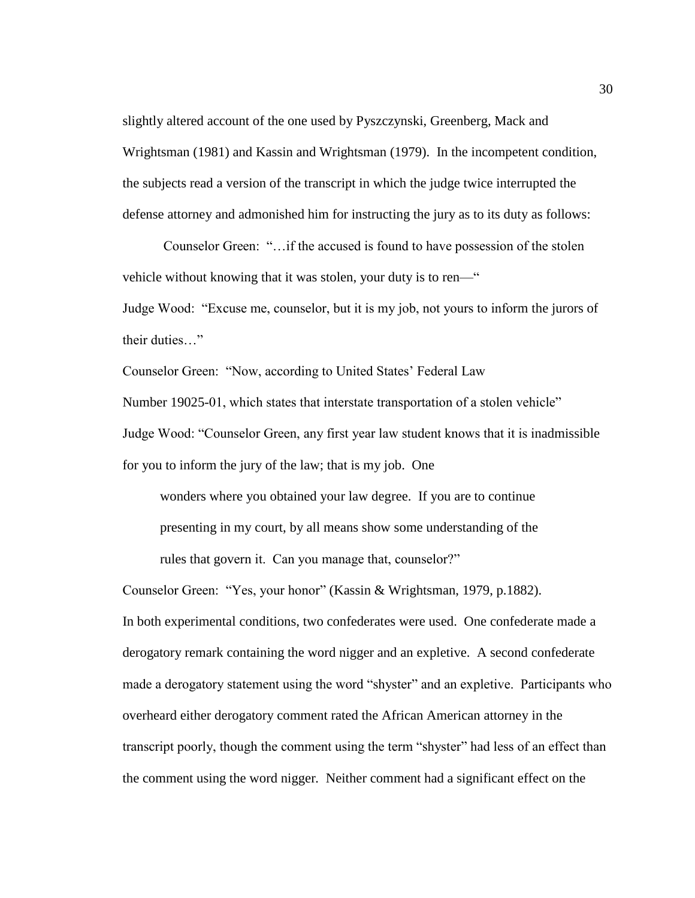slightly altered account of the one used by Pyszczynski, Greenberg, Mack and Wrightsman (1981) and Kassin and Wrightsman (1979). In the incompetent condition, the subjects read a version of the transcript in which the judge twice interrupted the defense attorney and admonished him for instructing the jury as to its duty as follows:

Counselor Green: "…if the accused is found to have possession of the stolen vehicle without knowing that it was stolen, your duty is to ren—"

Judge Wood: "Excuse me, counselor, but it is my job, not yours to inform the jurors of their duties…"

Counselor Green: "Now, according to United States' Federal Law

Number 19025-01, which states that interstate transportation of a stolen vehicle"

Judge Wood: "Counselor Green, any first year law student knows that it is inadmissible

for you to inform the jury of the law; that is my job. One

 wonders where you obtained your law degree. If you are to continue presenting in my court, by all means show some understanding of the rules that govern it. Can you manage that, counselor?"

Counselor Green: "Yes, your honor" (Kassin & Wrightsman, 1979, p.1882). In both experimental conditions, two confederates were used. One confederate made a derogatory remark containing the word nigger and an expletive. A second confederate made a derogatory statement using the word "shyster" and an expletive. Participants who overheard either derogatory comment rated the African American attorney in the transcript poorly, though the comment using the term "shyster" had less of an effect than the comment using the word nigger*.* Neither comment had a significant effect on the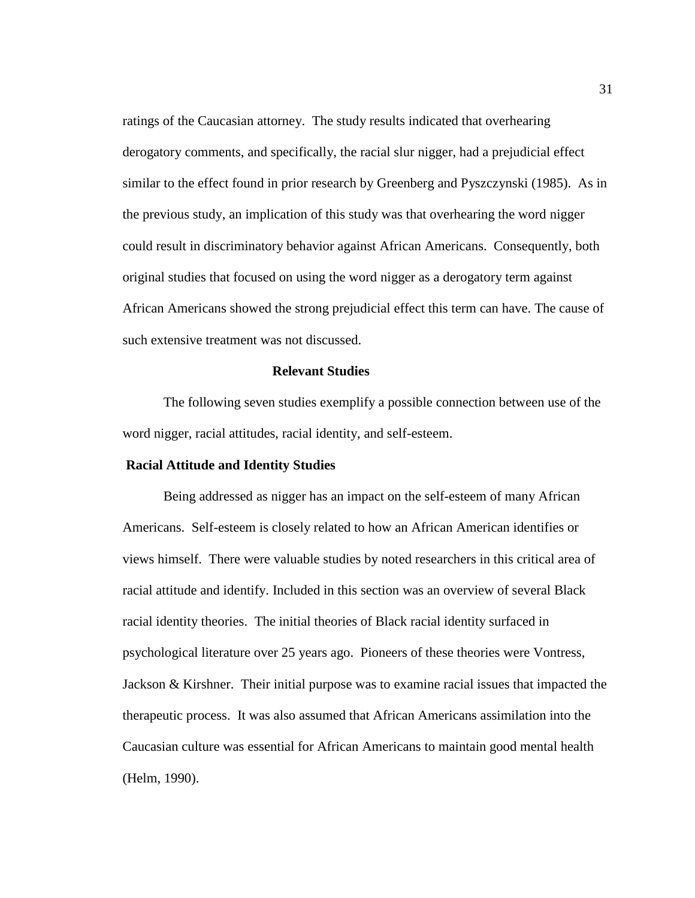ratings of the Caucasian attorney. The study results indicated that overhearing derogatory comments, and specifically, the racial slur nigger, had a prejudicial effect similar to the effect found in prior research by Greenberg and Pyszczynski (1985). As in the previous study, an implication of this study was that overhearing the word nigger could result in discriminatory behavior against African Americans. Consequently, both original studies that focused on using the word nigger as a derogatory term against African Americans showed the strong prejudicial effect this term can have. The cause of such extensive treatment was not discussed.

## **Relevant Studies**

The following seven studies exemplify a possible connection between use of the word nigger, racial attitudes, racial identity, and self-esteem.

# **Racial Attitude and Identity Studies**

Being addressed as nigger has an impact on the self-esteem of many African Americans. Self-esteem is closely related to how an African American identifies or views himself. There were valuable studies by noted researchers in this critical area of racial attitude and identify. Included in this section was an overview of several Black racial identity theories. The initial theories of Black racial identity surfaced in psychological literature over 25 years ago. Pioneers of these theories were Vontress, Jackson & Kirshner. Their initial purpose was to examine racial issues that impacted the therapeutic process. It was also assumed that African Americans assimilation into the Caucasian culture was essential for African Americans to maintain good mental health (Helm, 1990).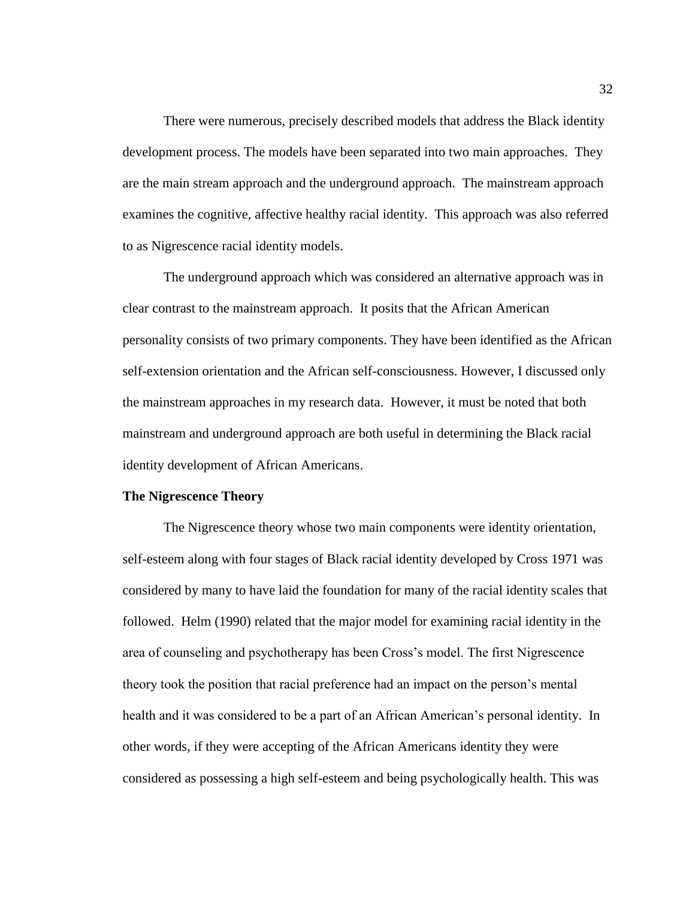There were numerous, precisely described models that address the Black identity development process. The models have been separated into two main approaches. They are the main stream approach and the underground approach. The mainstream approach examines the cognitive, affective healthy racial identity. This approach was also referred to as Nigrescence racial identity models.

The underground approach which was considered an alternative approach was in clear contrast to the mainstream approach. It posits that the African American personality consists of two primary components. They have been identified as the African self-extension orientation and the African self-consciousness. However, I discussed only the mainstream approaches in my research data. However, it must be noted that both mainstream and underground approach are both useful in determining the Black racial identity development of African Americans.

#### **The Nigrescence Theory**

The Nigrescence theory whose two main components were identity orientation, self-esteem along with four stages of Black racial identity developed by Cross 1971 was considered by many to have laid the foundation for many of the racial identity scales that followed. Helm (1990) related that the major model for examining racial identity in the area of counseling and psychotherapy has been Cross's model. The first Nigrescence theory took the position that racial preference had an impact on the person's mental health and it was considered to be a part of an African American's personal identity. In other words, if they were accepting of the African Americans identity they were considered as possessing a high self-esteem and being psychologically health. This was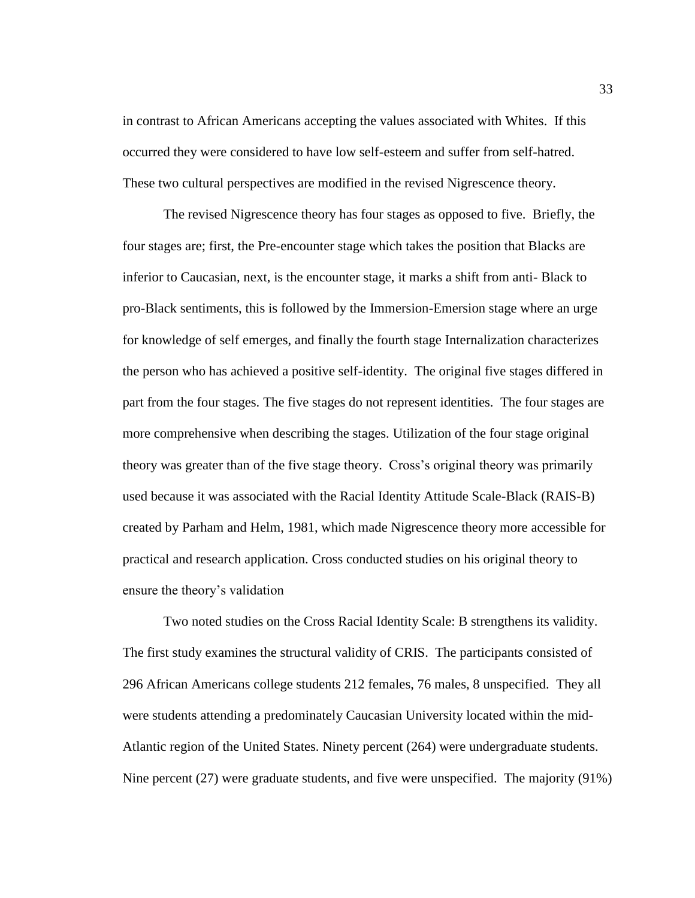in contrast to African Americans accepting the values associated with Whites. If this occurred they were considered to have low self-esteem and suffer from self-hatred. These two cultural perspectives are modified in the revised Nigrescence theory.

The revised Nigrescence theory has four stages as opposed to five. Briefly, the four stages are; first, the Pre-encounter stage which takes the position that Blacks are inferior to Caucasian, next, is the encounter stage, it marks a shift from anti- Black to pro-Black sentiments, this is followed by the Immersion-Emersion stage where an urge for knowledge of self emerges, and finally the fourth stage Internalization characterizes the person who has achieved a positive self-identity. The original five stages differed in part from the four stages. The five stages do not represent identities. The four stages are more comprehensive when describing the stages. Utilization of the four stage original theory was greater than of the five stage theory. Cross's original theory was primarily used because it was associated with the Racial Identity Attitude Scale-Black (RAIS-B) created by Parham and Helm, 1981, which made Nigrescence theory more accessible for practical and research application. Cross conducted studies on his original theory to ensure the theory's validation

Two noted studies on the Cross Racial Identity Scale: B strengthens its validity. The first study examines the structural validity of CRIS. The participants consisted of 296 African Americans college students 212 females, 76 males, 8 unspecified. They all were students attending a predominately Caucasian University located within the mid-Atlantic region of the United States. Ninety percent (264) were undergraduate students. Nine percent (27) were graduate students, and five were unspecified. The majority (91%)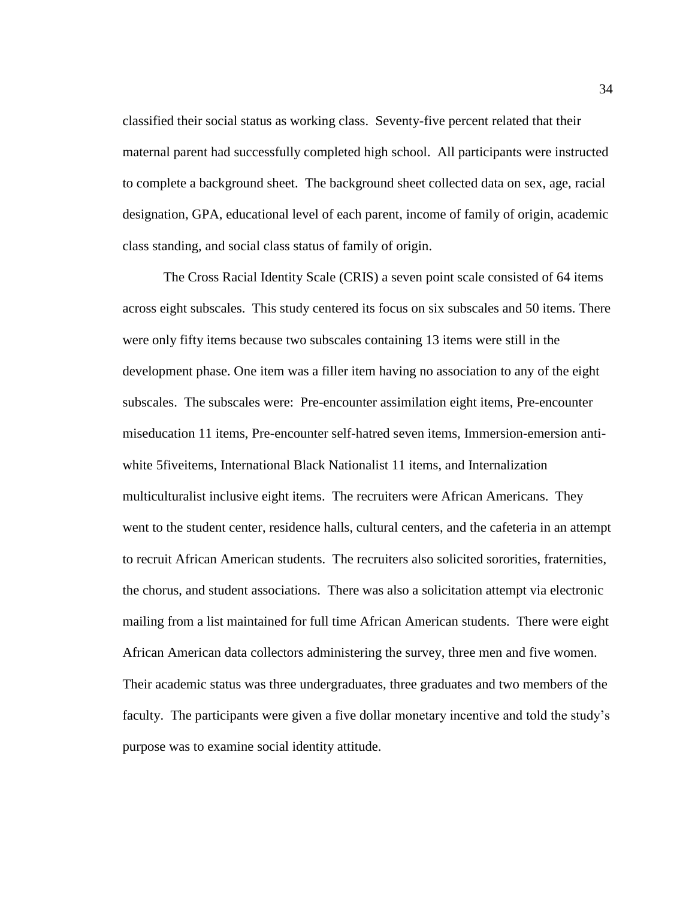classified their social status as working class. Seventy-five percent related that their maternal parent had successfully completed high school. All participants were instructed to complete a background sheet. The background sheet collected data on sex, age, racial designation, GPA, educational level of each parent, income of family of origin, academic class standing, and social class status of family of origin.

The Cross Racial Identity Scale (CRIS) a seven point scale consisted of 64 items across eight subscales. This study centered its focus on six subscales and 50 items. There were only fifty items because two subscales containing 13 items were still in the development phase. One item was a filler item having no association to any of the eight subscales. The subscales were: Pre-encounter assimilation eight items, Pre-encounter miseducation 11 items, Pre-encounter self-hatred seven items, Immersion-emersion antiwhite 5fiveitems, International Black Nationalist 11 items, and Internalization multiculturalist inclusive eight items. The recruiters were African Americans. They went to the student center, residence halls, cultural centers, and the cafeteria in an attempt to recruit African American students. The recruiters also solicited sororities, fraternities, the chorus, and student associations. There was also a solicitation attempt via electronic mailing from a list maintained for full time African American students. There were eight African American data collectors administering the survey, three men and five women. Their academic status was three undergraduates, three graduates and two members of the faculty. The participants were given a five dollar monetary incentive and told the study's purpose was to examine social identity attitude.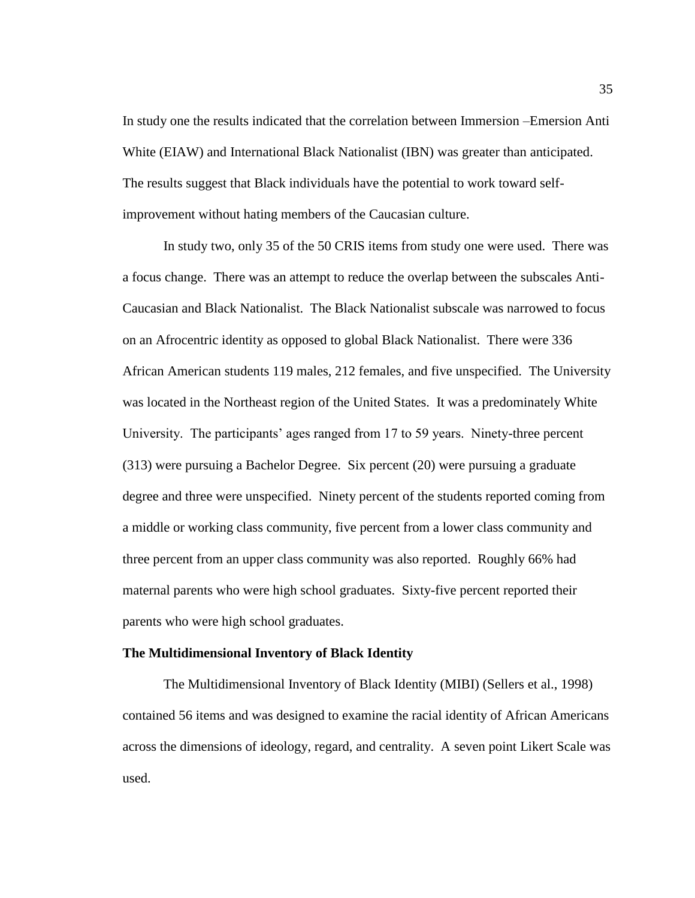In study one the results indicated that the correlation between Immersion –Emersion Anti White (EIAW) and International Black Nationalist (IBN) was greater than anticipated. The results suggest that Black individuals have the potential to work toward selfimprovement without hating members of the Caucasian culture.

In study two, only 35 of the 50 CRIS items from study one were used. There was a focus change. There was an attempt to reduce the overlap between the subscales Anti-Caucasian and Black Nationalist. The Black Nationalist subscale was narrowed to focus on an Afrocentric identity as opposed to global Black Nationalist. There were 336 African American students 119 males, 212 females, and five unspecified. The University was located in the Northeast region of the United States. It was a predominately White University. The participants' ages ranged from 17 to 59 years. Ninety-three percent (313) were pursuing a Bachelor Degree. Six percent (20) were pursuing a graduate degree and three were unspecified. Ninety percent of the students reported coming from a middle or working class community, five percent from a lower class community and three percent from an upper class community was also reported. Roughly 66% had maternal parents who were high school graduates. Sixty-five percent reported their parents who were high school graduates.

#### **The Multidimensional Inventory of Black Identity**

The Multidimensional Inventory of Black Identity (MIBI) (Sellers et al., 1998) contained 56 items and was designed to examine the racial identity of African Americans across the dimensions of ideology, regard, and centrality. A seven point Likert Scale was used.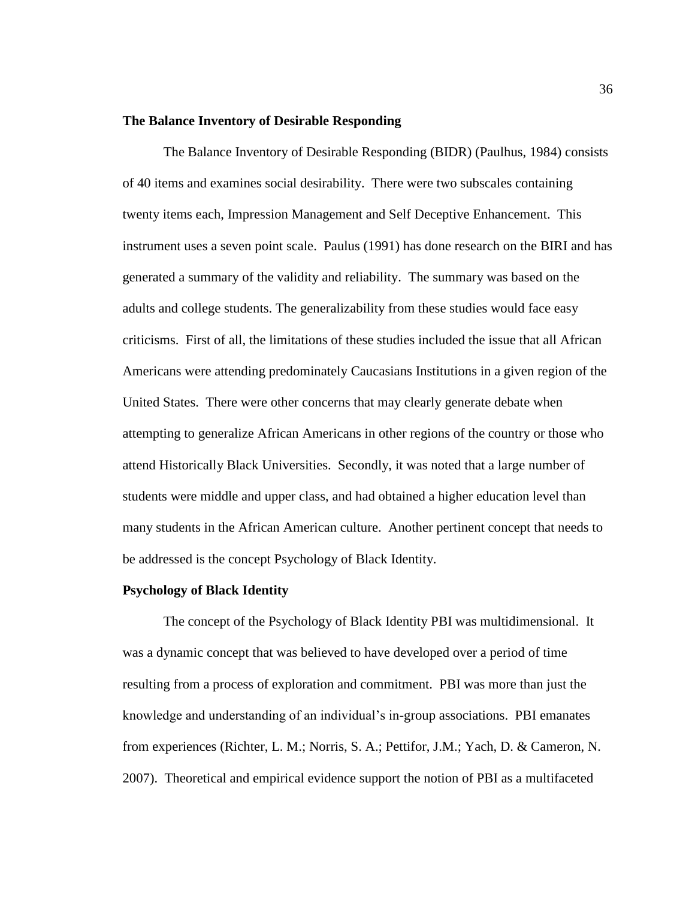# **The Balance Inventory of Desirable Responding**

The Balance Inventory of Desirable Responding (BIDR) (Paulhus, 1984) consists of 40 items and examines social desirability. There were two subscales containing twenty items each, Impression Management and Self Deceptive Enhancement. This instrument uses a seven point scale. Paulus (1991) has done research on the BIRI and has generated a summary of the validity and reliability. The summary was based on the adults and college students. The generalizability from these studies would face easy criticisms. First of all, the limitations of these studies included the issue that all African Americans were attending predominately Caucasians Institutions in a given region of the United States. There were other concerns that may clearly generate debate when attempting to generalize African Americans in other regions of the country or those who attend Historically Black Universities. Secondly, it was noted that a large number of students were middle and upper class, and had obtained a higher education level than many students in the African American culture. Another pertinent concept that needs to be addressed is the concept Psychology of Black Identity.

#### **Psychology of Black Identity**

The concept of the Psychology of Black Identity PBI was multidimensional. It was a dynamic concept that was believed to have developed over a period of time resulting from a process of exploration and commitment. PBI was more than just the knowledge and understanding of an individual's in-group associations. PBI emanates from experiences (Richter, L. M.; Norris, S. A.; Pettifor, J.M.; Yach, D. & Cameron, N. 2007). Theoretical and empirical evidence support the notion of PBI as a multifaceted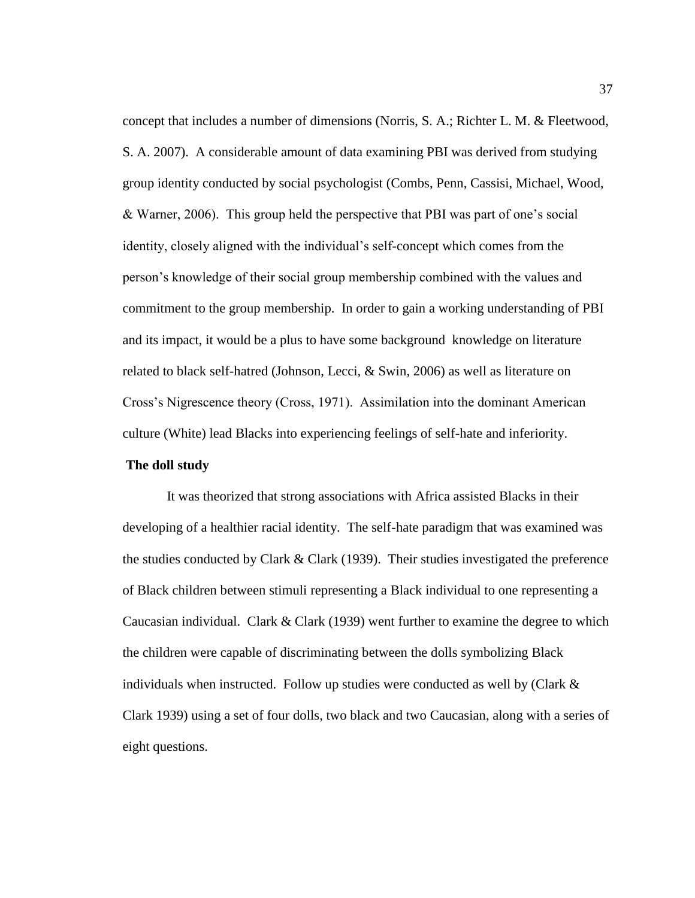concept that includes a number of dimensions (Norris, S. A.; Richter L. M. & Fleetwood, S. A. 2007). A considerable amount of data examining PBI was derived from studying group identity conducted by social psychologist (Combs, Penn, Cassisi, Michael, Wood, & Warner, 2006). This group held the perspective that PBI was part of one's social identity, closely aligned with the individual's self-concept which comes from the person's knowledge of their social group membership combined with the values and commitment to the group membership. In order to gain a working understanding of PBI and its impact, it would be a plus to have some background knowledge on literature related to black self-hatred (Johnson, Lecci, & Swin, 2006) as well as literature on Cross's Nigrescence theory (Cross, 1971). Assimilation into the dominant American culture (White) lead Blacks into experiencing feelings of self-hate and inferiority.

# **The doll study**

It was theorized that strong associations with Africa assisted Blacks in their developing of a healthier racial identity. The self-hate paradigm that was examined was the studies conducted by Clark  $& Clark (1939)$ . Their studies investigated the preference of Black children between stimuli representing a Black individual to one representing a Caucasian individual. Clark & Clark (1939) went further to examine the degree to which the children were capable of discriminating between the dolls symbolizing Black individuals when instructed. Follow up studies were conducted as well by (Clark  $\&$ Clark 1939) using a set of four dolls, two black and two Caucasian, along with a series of eight questions.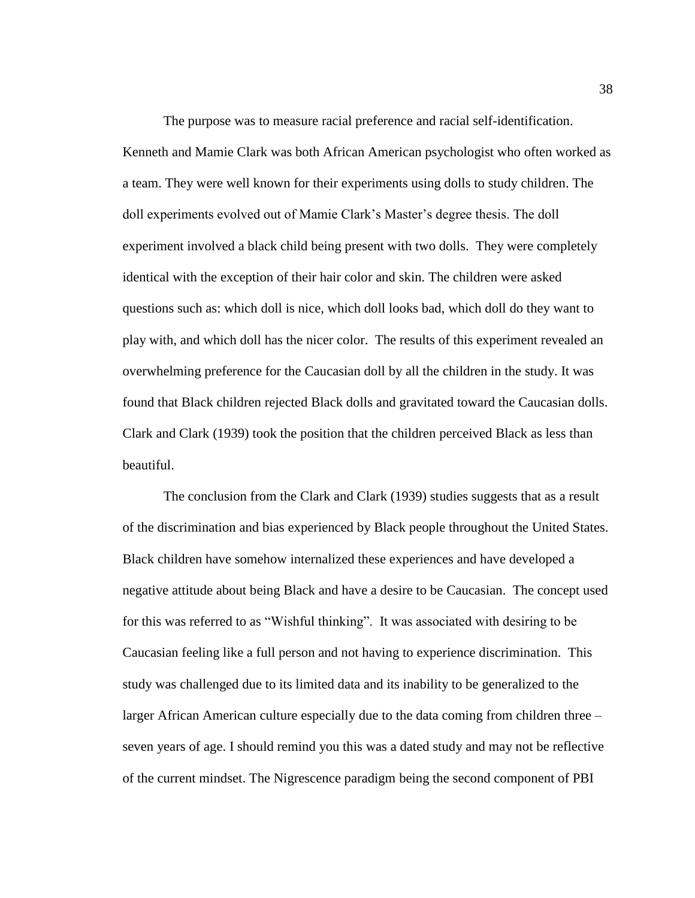The purpose was to measure racial preference and racial self-identification. Kenneth and Mamie Clark was both African American psychologist who often worked as a team. They were well known for their experiments using dolls to study children. The doll experiments evolved out of Mamie Clark's Master's degree thesis. The doll experiment involved a black child being present with two dolls. They were completely identical with the exception of their hair color and skin. The children were asked questions such as: which doll is nice, which doll looks bad, which doll do they want to play with, and which doll has the nicer color. The results of this experiment revealed an overwhelming preference for the Caucasian doll by all the children in the study. It was found that Black children rejected Black dolls and gravitated toward the Caucasian dolls. Clark and Clark (1939) took the position that the children perceived Black as less than beautiful.

The conclusion from the Clark and Clark (1939) studies suggests that as a result of the discrimination and bias experienced by Black people throughout the United States. Black children have somehow internalized these experiences and have developed a negative attitude about being Black and have a desire to be Caucasian. The concept used for this was referred to as "Wishful thinking". It was associated with desiring to be Caucasian feeling like a full person and not having to experience discrimination. This study was challenged due to its limited data and its inability to be generalized to the larger African American culture especially due to the data coming from children three – seven years of age. I should remind you this was a dated study and may not be reflective of the current mindset. The Nigrescence paradigm being the second component of PBI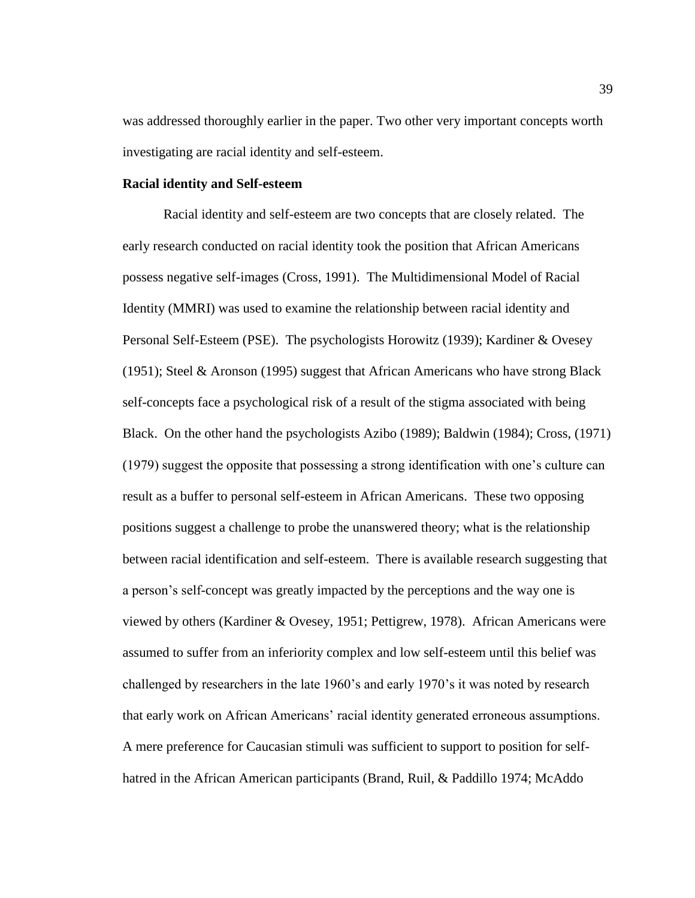was addressed thoroughly earlier in the paper. Two other very important concepts worth investigating are racial identity and self-esteem.

# **Racial identity and Self-esteem**

Racial identity and self-esteem are two concepts that are closely related. The early research conducted on racial identity took the position that African Americans possess negative self-images (Cross, 1991). The Multidimensional Model of Racial Identity (MMRI) was used to examine the relationship between racial identity and Personal Self-Esteem (PSE). The psychologists Horowitz (1939); Kardiner & Ovesey (1951); Steel & Aronson (1995) suggest that African Americans who have strong Black self-concepts face a psychological risk of a result of the stigma associated with being Black. On the other hand the psychologists Azibo (1989); Baldwin (1984); Cross, (1971) (1979) suggest the opposite that possessing a strong identification with one's culture can result as a buffer to personal self-esteem in African Americans. These two opposing positions suggest a challenge to probe the unanswered theory; what is the relationship between racial identification and self-esteem. There is available research suggesting that a person's self-concept was greatly impacted by the perceptions and the way one is viewed by others (Kardiner & Ovesey, 1951; Pettigrew, 1978). African Americans were assumed to suffer from an inferiority complex and low self-esteem until this belief was challenged by researchers in the late 1960's and early 1970's it was noted by research that early work on African Americans' racial identity generated erroneous assumptions. A mere preference for Caucasian stimuli was sufficient to support to position for selfhatred in the African American participants (Brand, Ruil, & Paddillo 1974; McAddo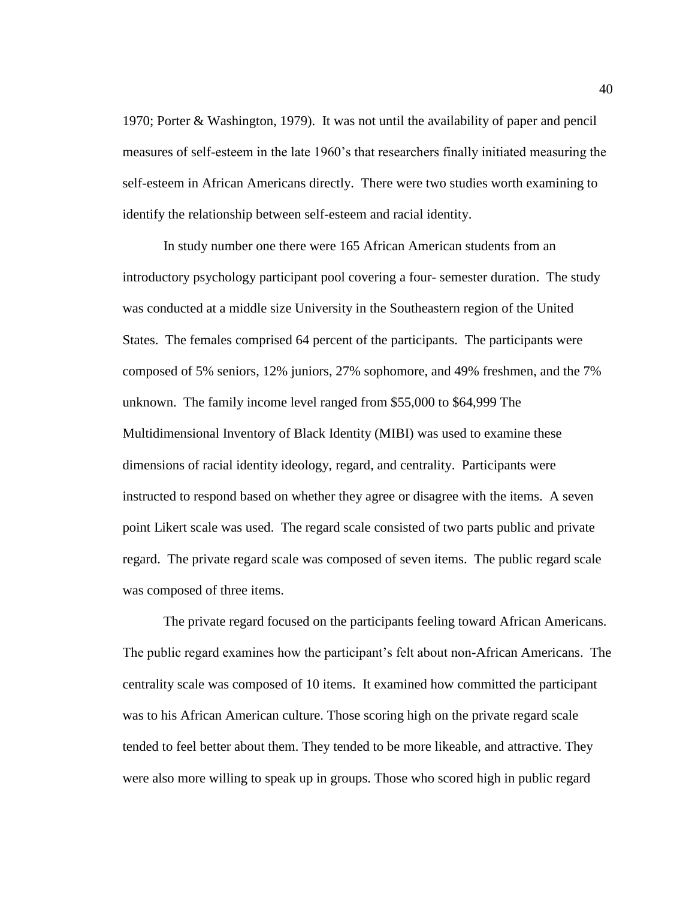1970; Porter & Washington, 1979). It was not until the availability of paper and pencil measures of self-esteem in the late 1960's that researchers finally initiated measuring the self-esteem in African Americans directly. There were two studies worth examining to identify the relationship between self-esteem and racial identity.

In study number one there were 165 African American students from an introductory psychology participant pool covering a four- semester duration. The study was conducted at a middle size University in the Southeastern region of the United States. The females comprised 64 percent of the participants. The participants were composed of 5% seniors, 12% juniors, 27% sophomore, and 49% freshmen, and the 7% unknown. The family income level ranged from \$55,000 to \$64,999 The Multidimensional Inventory of Black Identity (MIBI) was used to examine these dimensions of racial identity ideology, regard, and centrality. Participants were instructed to respond based on whether they agree or disagree with the items. A seven point Likert scale was used. The regard scale consisted of two parts public and private regard. The private regard scale was composed of seven items. The public regard scale was composed of three items.

The private regard focused on the participants feeling toward African Americans. The public regard examines how the participant's felt about non-African Americans. The centrality scale was composed of 10 items. It examined how committed the participant was to his African American culture. Those scoring high on the private regard scale tended to feel better about them. They tended to be more likeable, and attractive. They were also more willing to speak up in groups. Those who scored high in public regard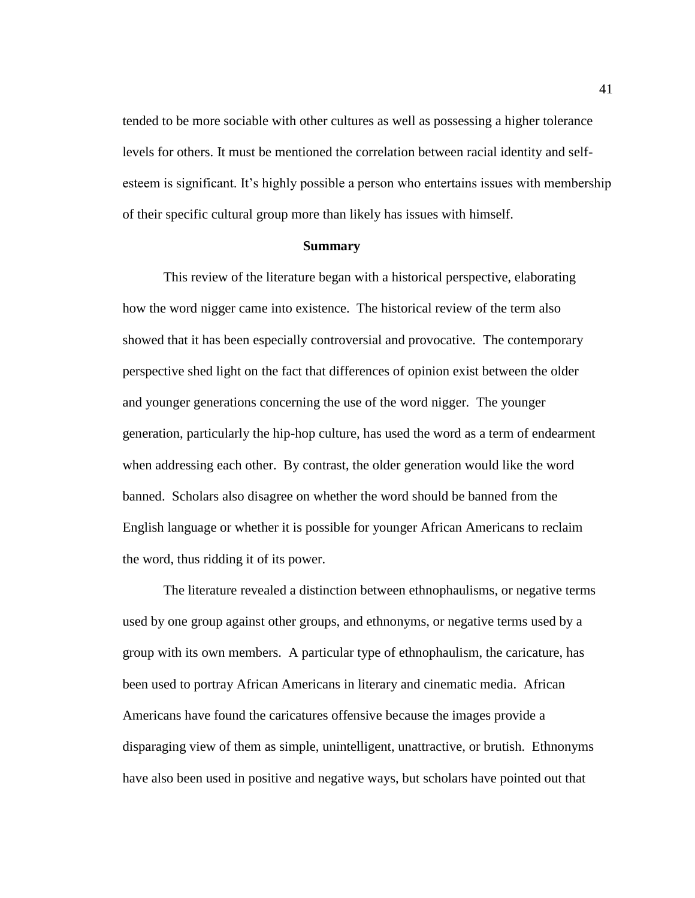tended to be more sociable with other cultures as well as possessing a higher tolerance levels for others. It must be mentioned the correlation between racial identity and selfesteem is significant. It's highly possible a person who entertains issues with membership of their specific cultural group more than likely has issues with himself.

## **Summary**

This review of the literature began with a historical perspective, elaborating how the word nigger came into existence. The historical review of the term also showed that it has been especially controversial and provocative*.* The contemporary perspective shed light on the fact that differences of opinion exist between the older and younger generations concerning the use of the word nigger*.* The younger generation, particularly the hip-hop culture, has used the word as a term of endearment when addressing each other. By contrast, the older generation would like the word banned. Scholars also disagree on whether the word should be banned from the English language or whether it is possible for younger African Americans to reclaim the word, thus ridding it of its power.

The literature revealed a distinction between ethnophaulisms, or negative terms used by one group against other groups, and ethnonyms, or negative terms used by a group with its own members. A particular type of ethnophaulism, the caricature, has been used to portray African Americans in literary and cinematic media. African Americans have found the caricatures offensive because the images provide a disparaging view of them as simple, unintelligent, unattractive, or brutish. Ethnonyms have also been used in positive and negative ways, but scholars have pointed out that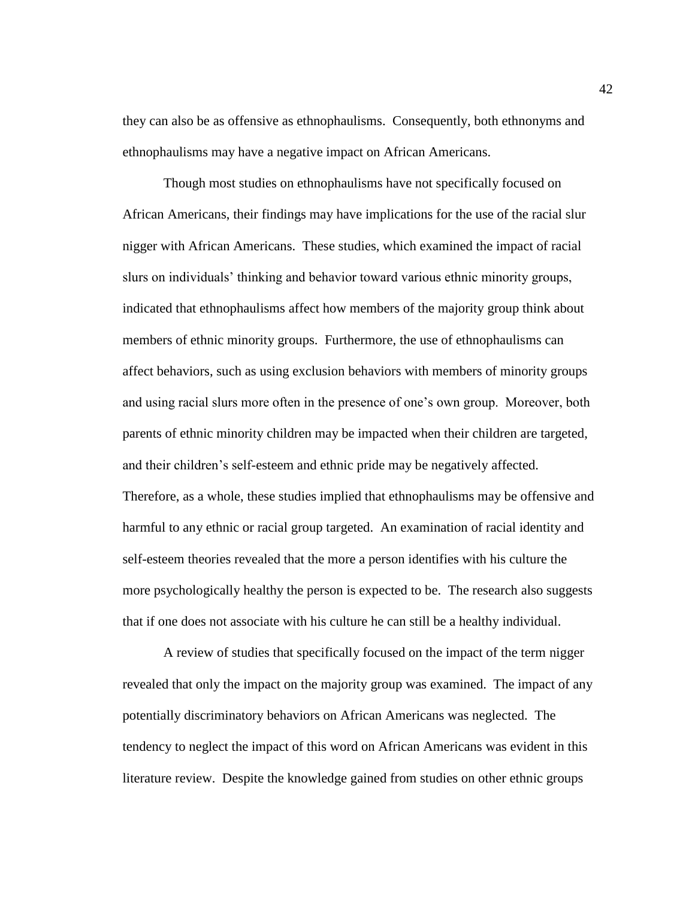they can also be as offensive as ethnophaulisms. Consequently, both ethnonyms and ethnophaulisms may have a negative impact on African Americans.

Though most studies on ethnophaulisms have not specifically focused on African Americans, their findings may have implications for the use of the racial slur nigger with African Americans. These studies, which examined the impact of racial slurs on individuals' thinking and behavior toward various ethnic minority groups, indicated that ethnophaulisms affect how members of the majority group think about members of ethnic minority groups. Furthermore, the use of ethnophaulisms can affect behaviors, such as using exclusion behaviors with members of minority groups and using racial slurs more often in the presence of one's own group. Moreover, both parents of ethnic minority children may be impacted when their children are targeted, and their children's self-esteem and ethnic pride may be negatively affected. Therefore, as a whole, these studies implied that ethnophaulisms may be offensive and harmful to any ethnic or racial group targeted. An examination of racial identity and self-esteem theories revealed that the more a person identifies with his culture the more psychologically healthy the person is expected to be. The research also suggests that if one does not associate with his culture he can still be a healthy individual.

A review of studies that specifically focused on the impact of the term nigger revealed that only the impact on the majority group was examined. The impact of any potentially discriminatory behaviors on African Americans was neglected. The tendency to neglect the impact of this word on African Americans was evident in this literature review. Despite the knowledge gained from studies on other ethnic groups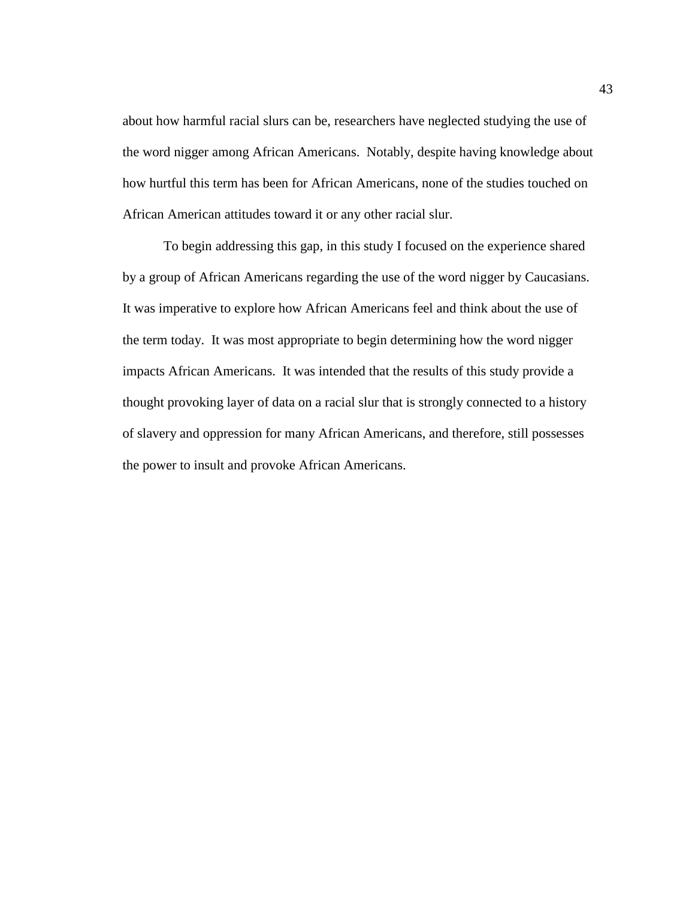about how harmful racial slurs can be, researchers have neglected studying the use of the word nigger among African Americans. Notably, despite having knowledge about how hurtful this term has been for African Americans, none of the studies touched on African American attitudes toward it or any other racial slur.

To begin addressing this gap, in this study I focused on the experience shared by a group of African Americans regarding the use of the word nigger by Caucasians. It was imperative to explore how African Americans feel and think about the use of the term today. It was most appropriate to begin determining how the word nigger impacts African Americans. It was intended that the results of this study provide a thought provoking layer of data on a racial slur that is strongly connected to a history of slavery and oppression for many African Americans, and therefore, still possesses the power to insult and provoke African Americans.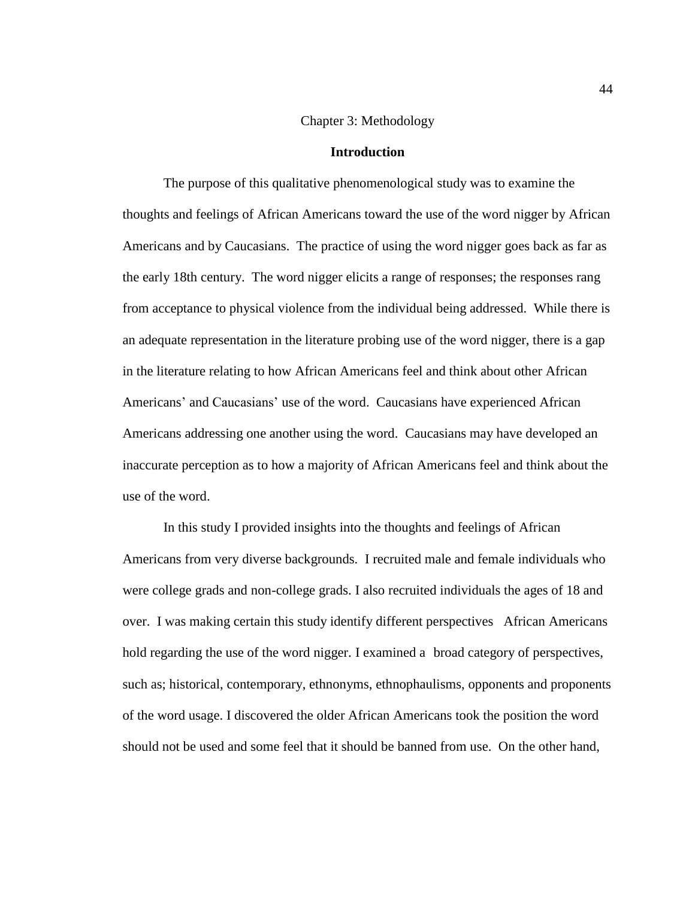## Chapter 3: Methodology

### **Introduction**

The purpose of this qualitative phenomenological study was to examine the thoughts and feelings of African Americans toward the use of the word nigger by African Americans and by Caucasians. The practice of using the word nigger goes back as far as the early 18th century. The word nigger elicits a range of responses; the responses rang from acceptance to physical violence from the individual being addressed. While there is an adequate representation in the literature probing use of the word nigger, there is a gap in the literature relating to how African Americans feel and think about other African Americans' and Caucasians' use of the word. Caucasians have experienced African Americans addressing one another using the word. Caucasians may have developed an inaccurate perception as to how a majority of African Americans feel and think about the use of the word.

In this study I provided insights into the thoughts and feelings of African Americans from very diverse backgrounds. I recruited male and female individuals who were college grads and non-college grads. I also recruited individuals the ages of 18 and over. I was making certain this study identify different perspectives African Americans hold regarding the use of the word nigger. I examined a broad category of perspectives, such as; historical, contemporary, ethnonyms, ethnophaulisms, opponents and proponents of the word usage. I discovered the older African Americans took the position the word should not be used and some feel that it should be banned from use. On the other hand,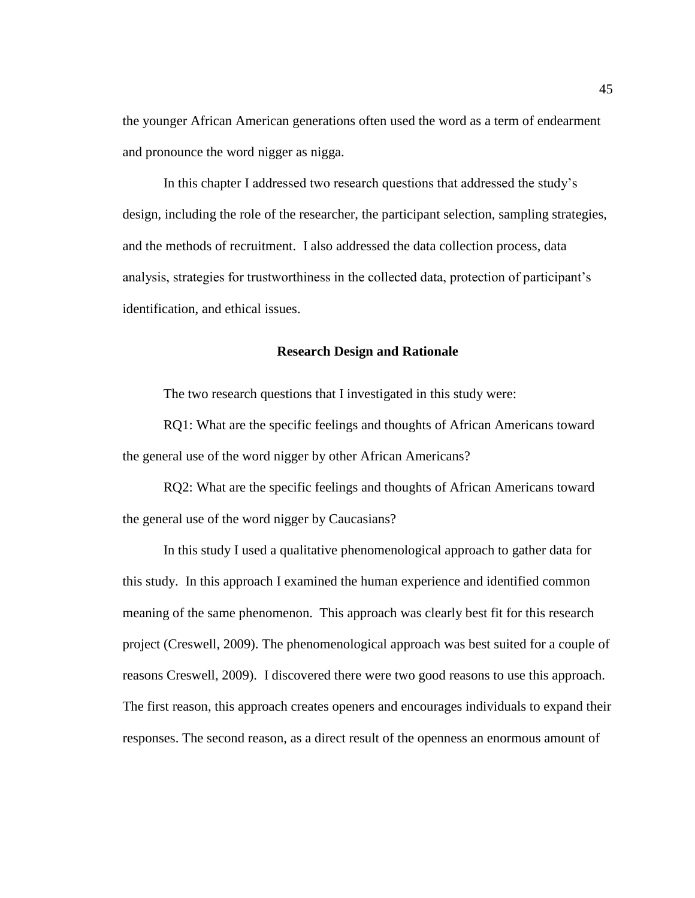the younger African American generations often used the word as a term of endearment and pronounce the word nigger as nigga.

In this chapter I addressed two research questions that addressed the study's design, including the role of the researcher, the participant selection, sampling strategies, and the methods of recruitment. I also addressed the data collection process, data analysis, strategies for trustworthiness in the collected data, protection of participant's identification, and ethical issues.

# **Research Design and Rationale**

The two research questions that I investigated in this study were:

RQ1: What are the specific feelings and thoughts of African Americans toward the general use of the word nigger by other African Americans?

RQ2: What are the specific feelings and thoughts of African Americans toward the general use of the word nigger by Caucasians?

In this study I used a qualitative phenomenological approach to gather data for this study. In this approach I examined the human experience and identified common meaning of the same phenomenon. This approach was clearly best fit for this research project (Creswell, 2009). The phenomenological approach was best suited for a couple of reasons Creswell, 2009). I discovered there were two good reasons to use this approach. The first reason, this approach creates openers and encourages individuals to expand their responses. The second reason, as a direct result of the openness an enormous amount of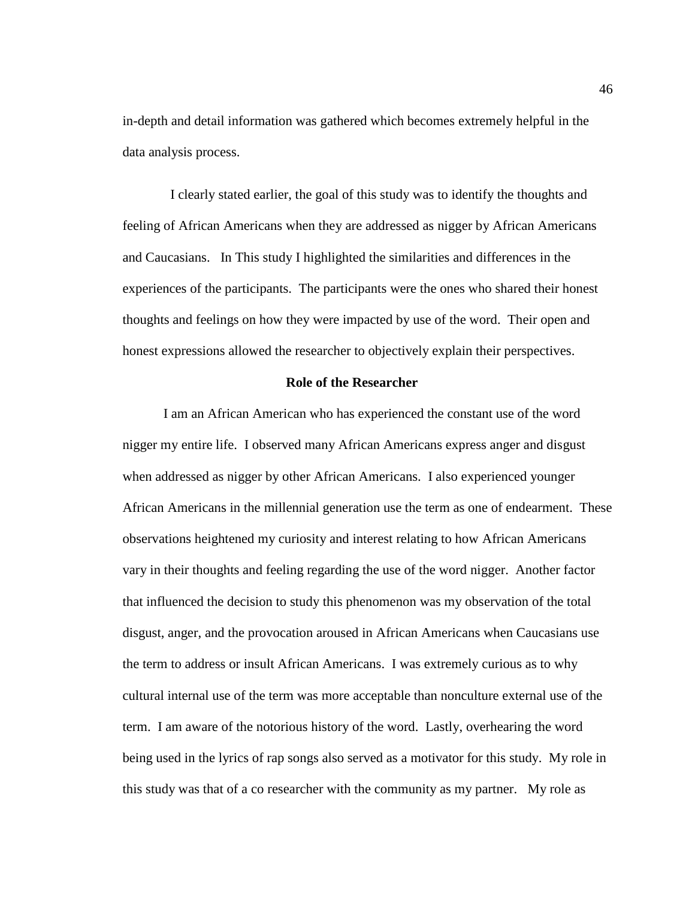in-depth and detail information was gathered which becomes extremely helpful in the data analysis process.

I clearly stated earlier, the goal of this study was to identify the thoughts and feeling of African Americans when they are addressed as nigger by African Americans and Caucasians. In This study I highlighted the similarities and differences in the experiences of the participants. The participants were the ones who shared their honest thoughts and feelings on how they were impacted by use of the word. Their open and honest expressions allowed the researcher to objectively explain their perspectives.

#### **Role of the Researcher**

I am an African American who has experienced the constant use of the word nigger my entire life. I observed many African Americans express anger and disgust when addressed as nigger by other African Americans. I also experienced younger African Americans in the millennial generation use the term as one of endearment. These observations heightened my curiosity and interest relating to how African Americans vary in their thoughts and feeling regarding the use of the word nigger. Another factor that influenced the decision to study this phenomenon was my observation of the total disgust, anger, and the provocation aroused in African Americans when Caucasians use the term to address or insult African Americans. I was extremely curious as to why cultural internal use of the term was more acceptable than nonculture external use of the term. I am aware of the notorious history of the word. Lastly, overhearing the word being used in the lyrics of rap songs also served as a motivator for this study. My role in this study was that of a co researcher with the community as my partner. My role as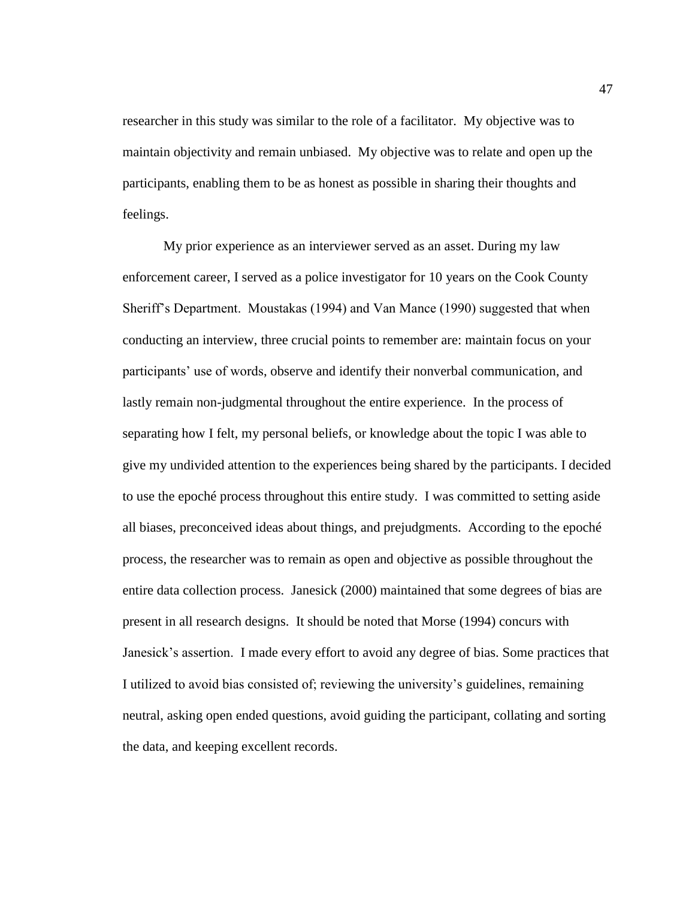researcher in this study was similar to the role of a facilitator. My objective was to maintain objectivity and remain unbiased. My objective was to relate and open up the participants, enabling them to be as honest as possible in sharing their thoughts and feelings.

My prior experience as an interviewer served as an asset. During my law enforcement career, I served as a police investigator for 10 years on the Cook County Sheriff's Department. Moustakas (1994) and Van Mance (1990) suggested that when conducting an interview, three crucial points to remember are: maintain focus on your participants' use of words, observe and identify their nonverbal communication, and lastly remain non-judgmental throughout the entire experience. In the process of separating how I felt, my personal beliefs, or knowledge about the topic I was able to give my undivided attention to the experiences being shared by the participants. I decided to use the epoché process throughout this entire study. I was committed to setting aside all biases, preconceived ideas about things, and prejudgments. According to the epoché process, the researcher was to remain as open and objective as possible throughout the entire data collection process. Janesick (2000) maintained that some degrees of bias are present in all research designs. It should be noted that Morse (1994) concurs with Janesick's assertion. I made every effort to avoid any degree of bias. Some practices that I utilized to avoid bias consisted of; reviewing the university's guidelines, remaining neutral, asking open ended questions, avoid guiding the participant, collating and sorting the data, and keeping excellent records.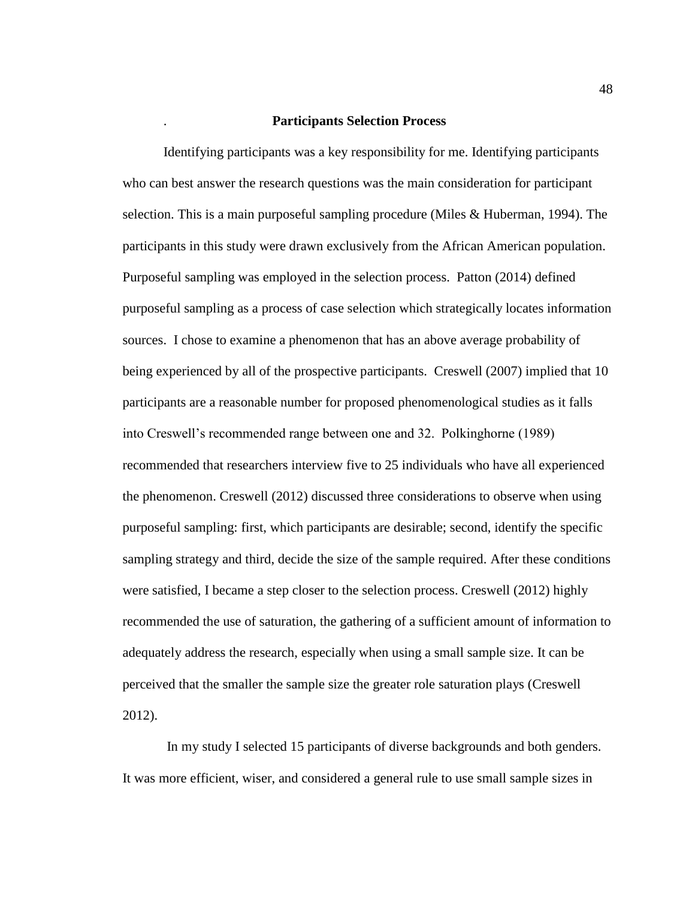## . **Participants Selection Process**

Identifying participants was a key responsibility for me. Identifying participants who can best answer the research questions was the main consideration for participant selection. This is a main purposeful sampling procedure (Miles & Huberman, 1994). The participants in this study were drawn exclusively from the African American population. Purposeful sampling was employed in the selection process. Patton (2014) defined purposeful sampling as a process of case selection which strategically locates information sources. I chose to examine a phenomenon that has an above average probability of being experienced by all of the prospective participants. Creswell (2007) implied that 10 participants are a reasonable number for proposed phenomenological studies as it falls into Creswell's recommended range between one and 32. Polkinghorne (1989) recommended that researchers interview five to 25 individuals who have all experienced the phenomenon. Creswell (2012) discussed three considerations to observe when using purposeful sampling: first, which participants are desirable; second, identify the specific sampling strategy and third, decide the size of the sample required. After these conditions were satisfied, I became a step closer to the selection process. Creswell (2012) highly recommended the use of saturation, the gathering of a sufficient amount of information to adequately address the research, especially when using a small sample size. It can be perceived that the smaller the sample size the greater role saturation plays (Creswell 2012).

In my study I selected 15 participants of diverse backgrounds and both genders. It was more efficient, wiser, and considered a general rule to use small sample sizes in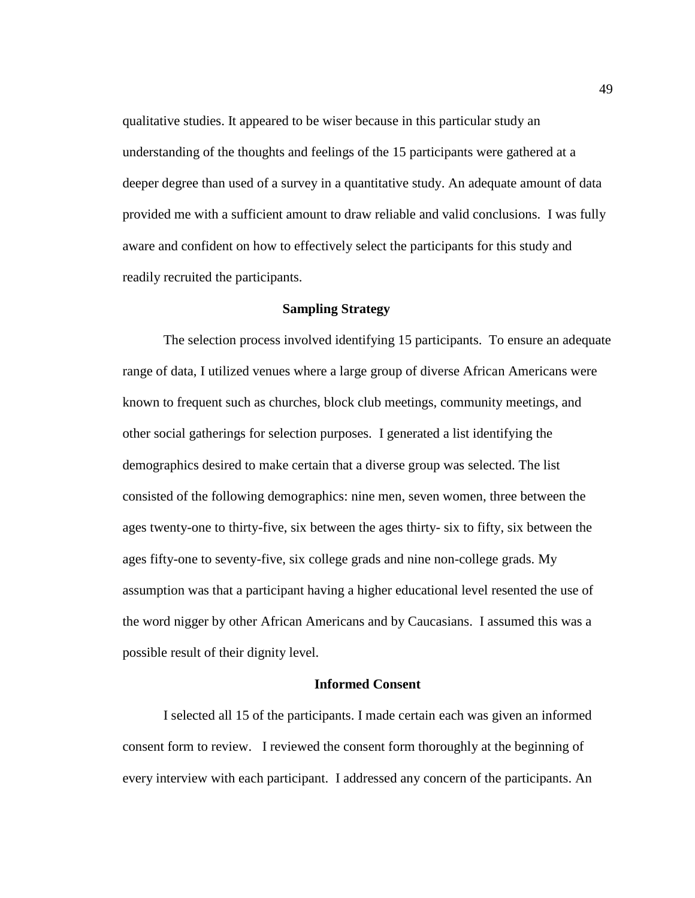qualitative studies. It appeared to be wiser because in this particular study an understanding of the thoughts and feelings of the 15 participants were gathered at a deeper degree than used of a survey in a quantitative study. An adequate amount of data provided me with a sufficient amount to draw reliable and valid conclusions. I was fully aware and confident on how to effectively select the participants for this study and readily recruited the participants.

# **Sampling Strategy**

The selection process involved identifying 15 participants. To ensure an adequate range of data, I utilized venues where a large group of diverse African Americans were known to frequent such as churches, block club meetings, community meetings, and other social gatherings for selection purposes. I generated a list identifying the demographics desired to make certain that a diverse group was selected. The list consisted of the following demographics: nine men, seven women, three between the ages twenty-one to thirty-five, six between the ages thirty- six to fifty, six between the ages fifty-one to seventy-five, six college grads and nine non-college grads. My assumption was that a participant having a higher educational level resented the use of the word nigger by other African Americans and by Caucasians. I assumed this was a possible result of their dignity level.

## **Informed Consent**

I selected all 15 of the participants. I made certain each was given an informed consent form to review. I reviewed the consent form thoroughly at the beginning of every interview with each participant. I addressed any concern of the participants. An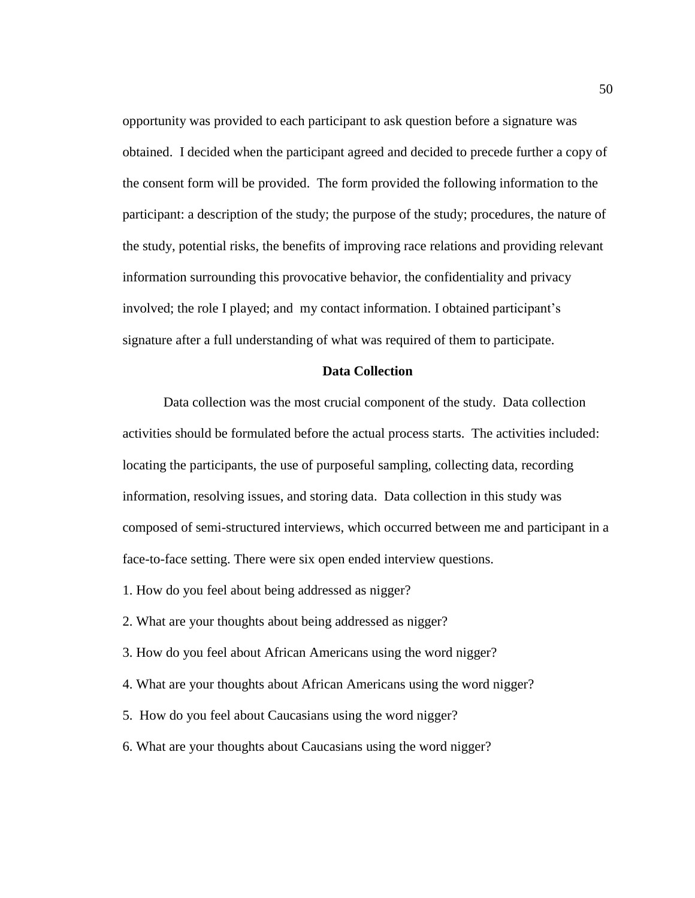opportunity was provided to each participant to ask question before a signature was obtained. I decided when the participant agreed and decided to precede further a copy of the consent form will be provided. The form provided the following information to the participant: a description of the study; the purpose of the study; procedures, the nature of the study, potential risks, the benefits of improving race relations and providing relevant information surrounding this provocative behavior, the confidentiality and privacy involved; the role I played; and my contact information. I obtained participant's signature after a full understanding of what was required of them to participate.

# **Data Collection**

Data collection was the most crucial component of the study. Data collection activities should be formulated before the actual process starts. The activities included: locating the participants, the use of purposeful sampling, collecting data, recording information, resolving issues, and storing data. Data collection in this study was composed of semi-structured interviews, which occurred between me and participant in a face-to-face setting. There were six open ended interview questions.

- 1. How do you feel about being addressed as nigger?
- 2. What are your thoughts about being addressed as nigger?
- 3. How do you feel about African Americans using the word nigger?
- 4. What are your thoughts about African Americans using the word nigger?
- 5. How do you feel about Caucasians using the word nigger?
- 6. What are your thoughts about Caucasians using the word nigger?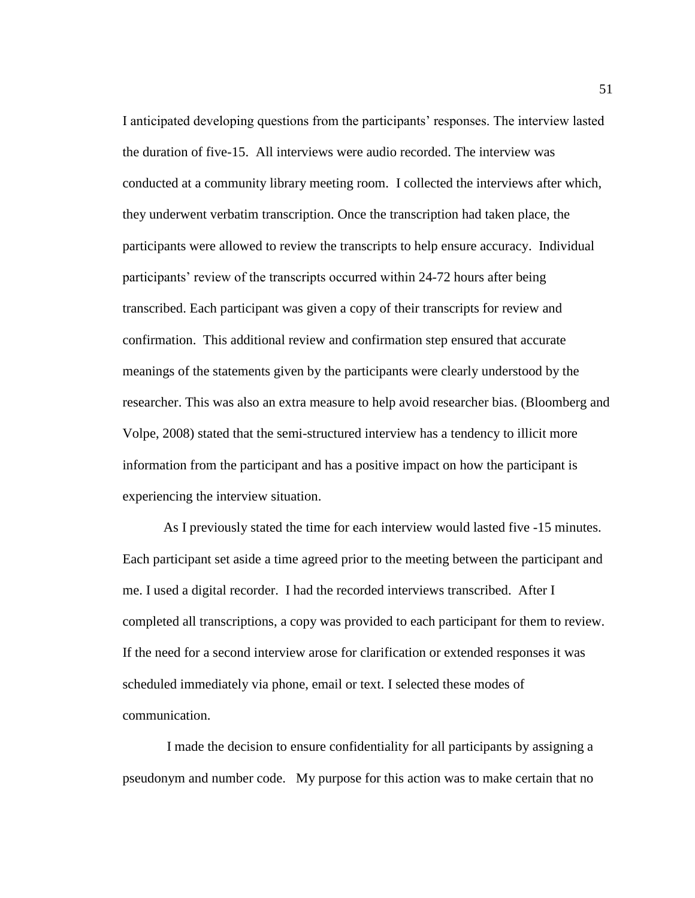I anticipated developing questions from the participants' responses. The interview lasted the duration of five-15. All interviews were audio recorded. The interview was conducted at a community library meeting room. I collected the interviews after which, they underwent verbatim transcription. Once the transcription had taken place, the participants were allowed to review the transcripts to help ensure accuracy. Individual participants' review of the transcripts occurred within 24-72 hours after being transcribed. Each participant was given a copy of their transcripts for review and confirmation. This additional review and confirmation step ensured that accurate meanings of the statements given by the participants were clearly understood by the researcher. This was also an extra measure to help avoid researcher bias. (Bloomberg and Volpe, 2008) stated that the semi-structured interview has a tendency to illicit more information from the participant and has a positive impact on how the participant is experiencing the interview situation.

As I previously stated the time for each interview would lasted five -15 minutes. Each participant set aside a time agreed prior to the meeting between the participant and me. I used a digital recorder. I had the recorded interviews transcribed. After I completed all transcriptions, a copy was provided to each participant for them to review. If the need for a second interview arose for clarification or extended responses it was scheduled immediately via phone, email or text. I selected these modes of communication.

I made the decision to ensure confidentiality for all participants by assigning a pseudonym and number code. My purpose for this action was to make certain that no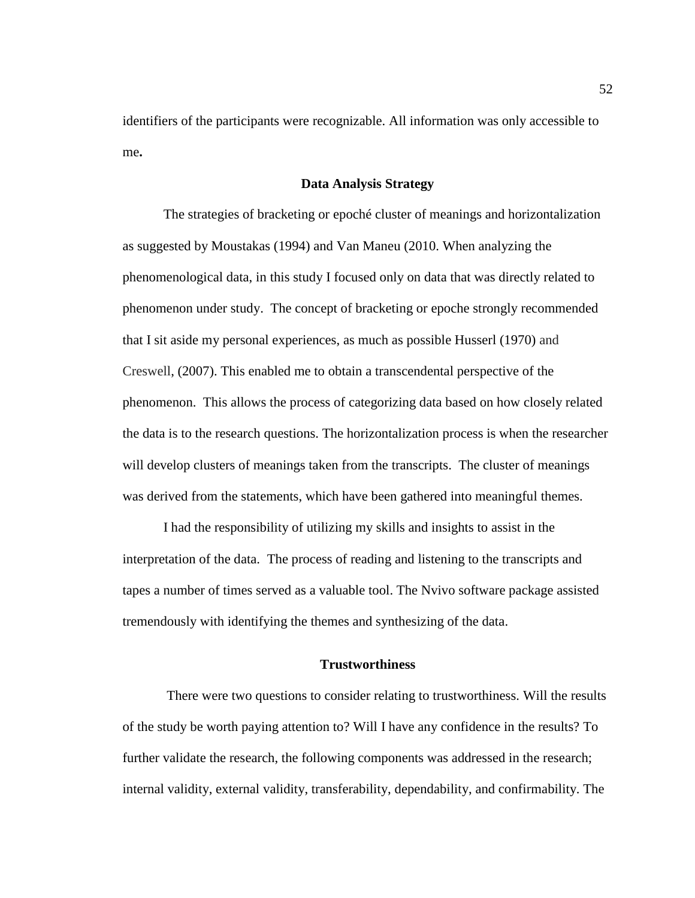identifiers of the participants were recognizable. All information was only accessible to me**.** 

### **Data Analysis Strategy**

The strategies of bracketing or epoché cluster of meanings and horizontalization as suggested by Moustakas (1994) and Van Maneu (2010. When analyzing the phenomenological data, in this study I focused only on data that was directly related to phenomenon under study. The concept of bracketing or epoche strongly recommended that I sit aside my personal experiences, as much as possible Husserl (1970) and Creswell, (2007). This enabled me to obtain a transcendental perspective of the phenomenon. This allows the process of categorizing data based on how closely related the data is to the research questions. The horizontalization process is when the researcher will develop clusters of meanings taken from the transcripts. The cluster of meanings was derived from the statements, which have been gathered into meaningful themes.

I had the responsibility of utilizing my skills and insights to assist in the interpretation of the data. The process of reading and listening to the transcripts and tapes a number of times served as a valuable tool. The Nvivo software package assisted tremendously with identifying the themes and synthesizing of the data.

# **Trustworthiness**

There were two questions to consider relating to trustworthiness. Will the results of the study be worth paying attention to? Will I have any confidence in the results? To further validate the research, the following components was addressed in the research; internal validity, external validity, transferability, dependability, and confirmability. The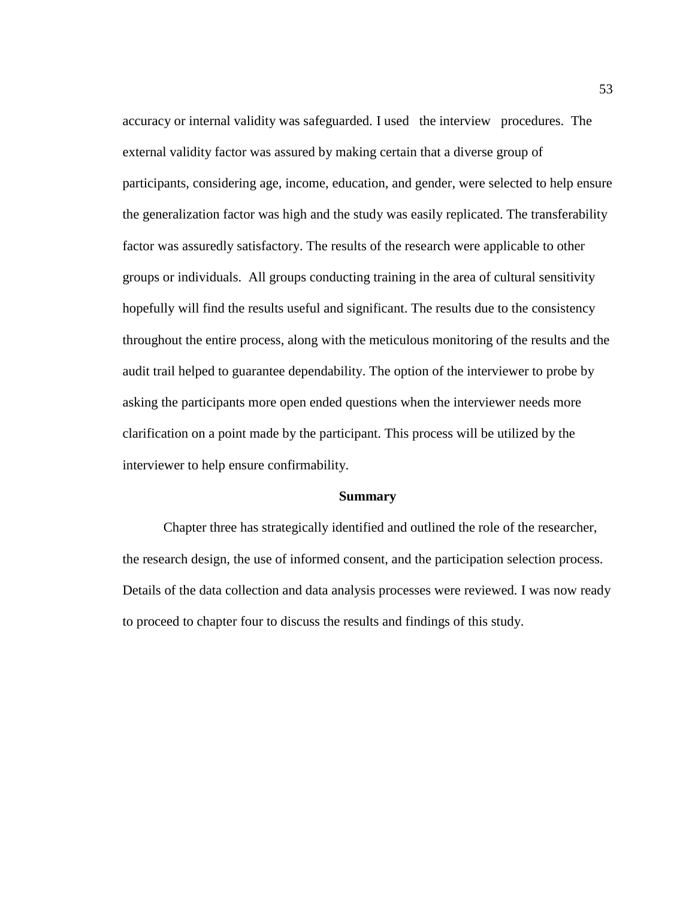accuracy or internal validity was safeguarded. I used the interview procedures. The external validity factor was assured by making certain that a diverse group of participants, considering age, income, education, and gender, were selected to help ensure the generalization factor was high and the study was easily replicated. The transferability factor was assuredly satisfactory. The results of the research were applicable to other groups or individuals. All groups conducting training in the area of cultural sensitivity hopefully will find the results useful and significant. The results due to the consistency throughout the entire process, along with the meticulous monitoring of the results and the audit trail helped to guarantee dependability. The option of the interviewer to probe by asking the participants more open ended questions when the interviewer needs more clarification on a point made by the participant. This process will be utilized by the interviewer to help ensure confirmability.

#### **Summary**

Chapter three has strategically identified and outlined the role of the researcher, the research design, the use of informed consent, and the participation selection process. Details of the data collection and data analysis processes were reviewed. I was now ready to proceed to chapter four to discuss the results and findings of this study.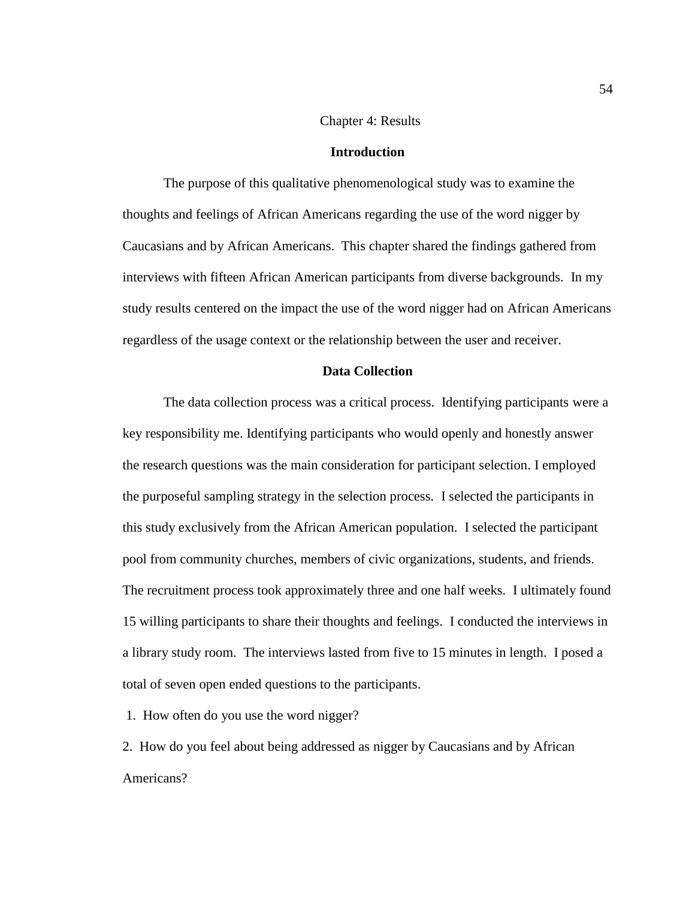## Chapter 4: Results

#### **Introduction**

The purpose of this qualitative phenomenological study was to examine the thoughts and feelings of African Americans regarding the use of the word nigger by Caucasians and by African Americans. This chapter shared the findings gathered from interviews with fifteen African American participants from diverse backgrounds. In my study results centered on the impact the use of the word nigger had on African Americans regardless of the usage context or the relationship between the user and receiver.

## **Data Collection**

The data collection process was a critical process. Identifying participants were a key responsibility me. Identifying participants who would openly and honestly answer the research questions was the main consideration for participant selection. I employed the purposeful sampling strategy in the selection process. I selected the participants in this study exclusively from the African American population. I selected the participant pool from community churches, members of civic organizations, students, and friends. The recruitment process took approximately three and one half weeks. I ultimately found 15 willing participants to share their thoughts and feelings. I conducted the interviews in a library study room. The interviews lasted from five to 15 minutes in length. I posed a total of seven open ended questions to the participants.

1. How often do you use the word nigger?

2. How do you feel about being addressed as nigger by Caucasians and by African Americans?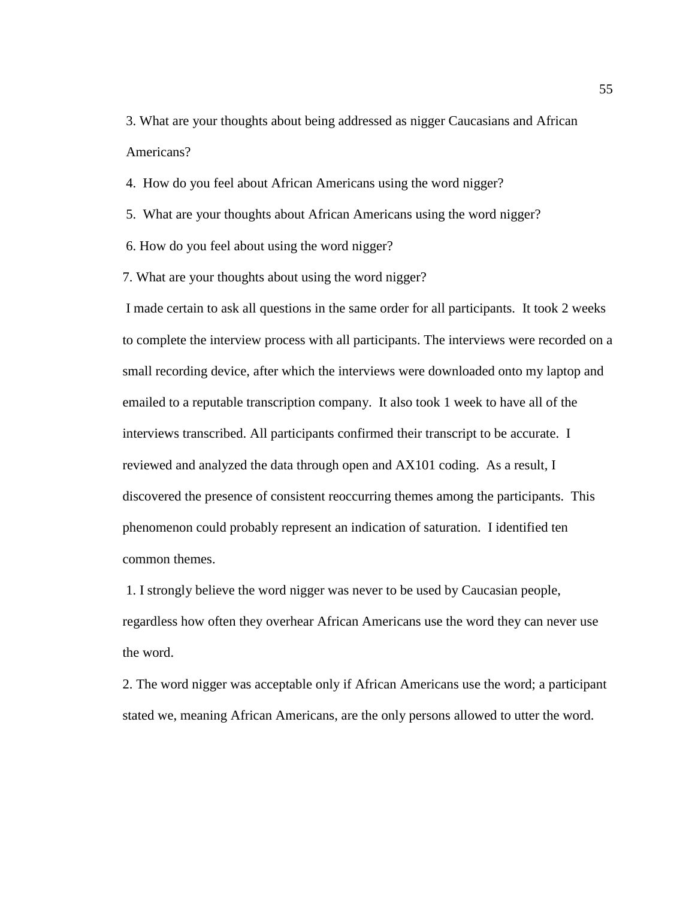3. What are your thoughts about being addressed as nigger Caucasians and African Americans?

4. How do you feel about African Americans using the word nigger?

5. What are your thoughts about African Americans using the word nigger?

6. How do you feel about using the word nigger?

7. What are your thoughts about using the word nigger?

I made certain to ask all questions in the same order for all participants. It took 2 weeks to complete the interview process with all participants. The interviews were recorded on a small recording device, after which the interviews were downloaded onto my laptop and emailed to a reputable transcription company. It also took 1 week to have all of the interviews transcribed. All participants confirmed their transcript to be accurate. I reviewed and analyzed the data through open and AX101 coding. As a result, I discovered the presence of consistent reoccurring themes among the participants. This phenomenon could probably represent an indication of saturation. I identified ten common themes.

1. I strongly believe the word nigger was never to be used by Caucasian people, regardless how often they overhear African Americans use the word they can never use the word.

2. The word nigger was acceptable only if African Americans use the word; a participant stated we, meaning African Americans, are the only persons allowed to utter the word.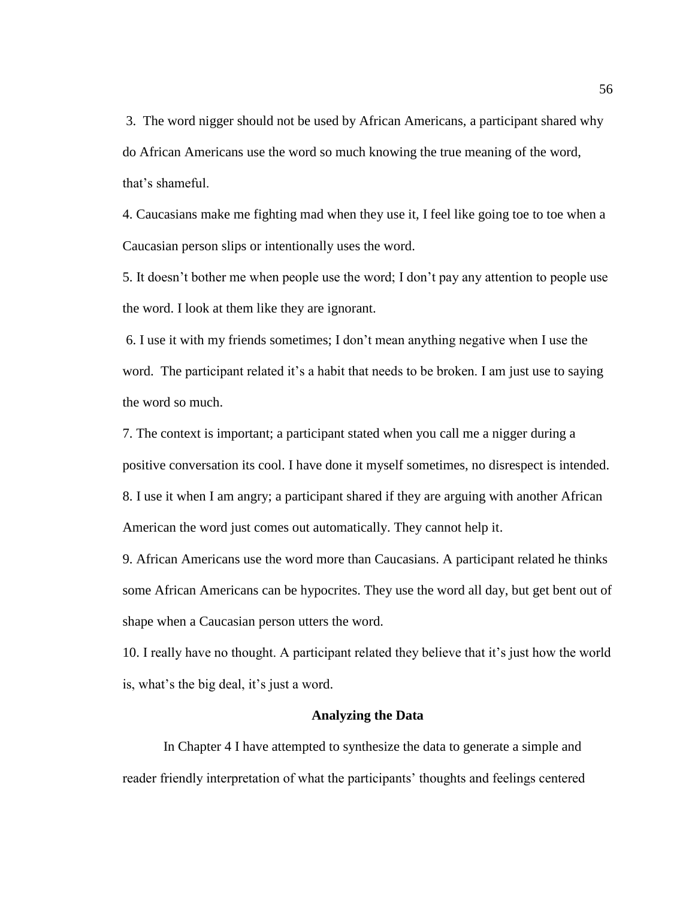3. The word nigger should not be used by African Americans, a participant shared why do African Americans use the word so much knowing the true meaning of the word, that's shameful.

4. Caucasians make me fighting mad when they use it, I feel like going toe to toe when a Caucasian person slips or intentionally uses the word.

5. It doesn't bother me when people use the word; I don't pay any attention to people use the word. I look at them like they are ignorant.

6. I use it with my friends sometimes; I don't mean anything negative when I use the word. The participant related it's a habit that needs to be broken. I am just use to saying the word so much.

7. The context is important; a participant stated when you call me a nigger during a positive conversation its cool. I have done it myself sometimes, no disrespect is intended. 8. I use it when I am angry; a participant shared if they are arguing with another African American the word just comes out automatically. They cannot help it.

9. African Americans use the word more than Caucasians. A participant related he thinks some African Americans can be hypocrites. They use the word all day, but get bent out of shape when a Caucasian person utters the word.

10. I really have no thought. A participant related they believe that it's just how the world is, what's the big deal, it's just a word.

#### **Analyzing the Data**

In Chapter 4 I have attempted to synthesize the data to generate a simple and reader friendly interpretation of what the participants' thoughts and feelings centered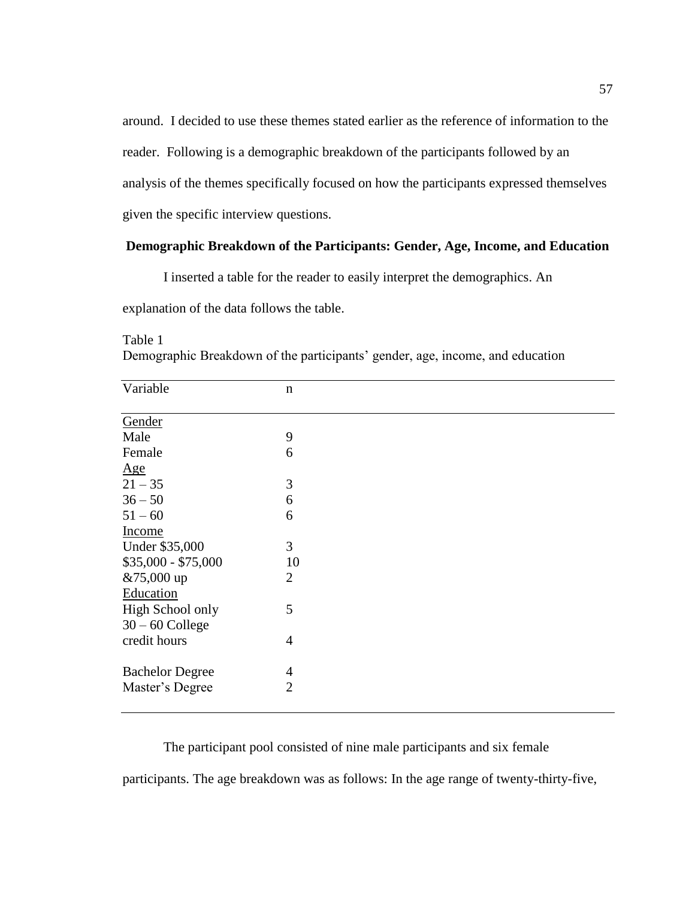around. I decided to use these themes stated earlier as the reference of information to the reader. Following is a demographic breakdown of the participants followed by an analysis of the themes specifically focused on how the participants expressed themselves given the specific interview questions.

# **Demographic Breakdown of the Participants: Gender, Age, Income, and Education**

I inserted a table for the reader to easily interpret the demographics. An

explanation of the data follows the table.

| Variable               | $\mathbf n$    |  |
|------------------------|----------------|--|
|                        |                |  |
| Gender                 |                |  |
| Male                   | 9              |  |
| Female                 | 6              |  |
| $\underline{Age}$      |                |  |
| $21 - 35$              | 3              |  |
| $36 - 50$              | 6              |  |
| $51 - 60$              | 6              |  |
| Income                 |                |  |
| Under \$35,000         | 3              |  |
| $$35,000 - $75,000$    | 10             |  |
| &75,000 up             | $\overline{2}$ |  |
| Education              |                |  |
| High School only       | 5              |  |
| $30 - 60$ College      |                |  |
| credit hours           | $\overline{4}$ |  |
|                        |                |  |
| <b>Bachelor Degree</b> | 4              |  |
| Master's Degree        | $\overline{2}$ |  |
|                        |                |  |

Table 1 Demographic Breakdown of the participants' gender, age, income, and education

The participant pool consisted of nine male participants and six female

participants. The age breakdown was as follows: In the age range of twenty-thirty-five,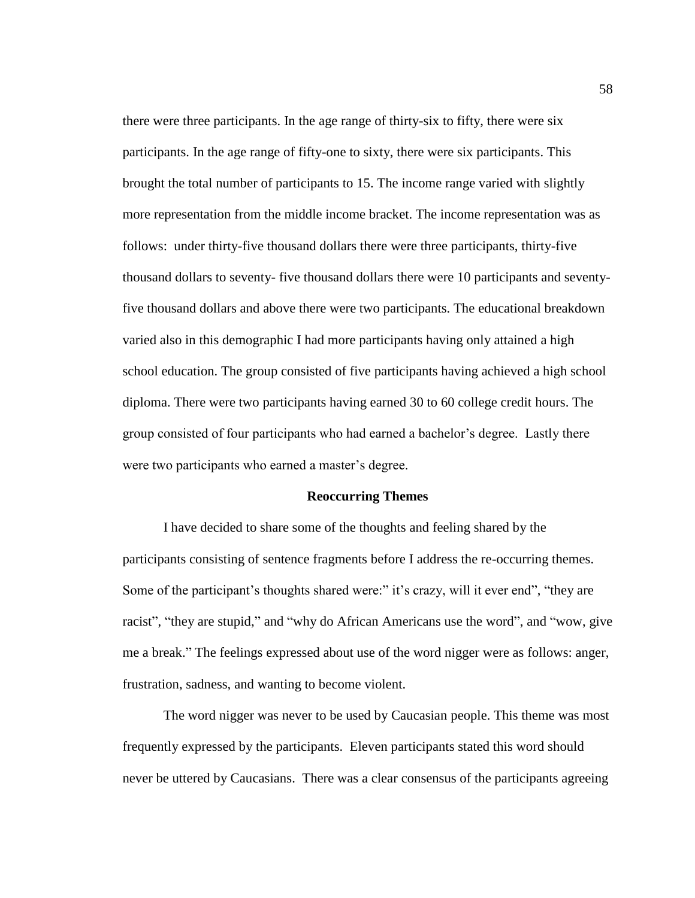there were three participants. In the age range of thirty-six to fifty, there were six participants. In the age range of fifty-one to sixty, there were six participants. This brought the total number of participants to 15. The income range varied with slightly more representation from the middle income bracket. The income representation was as follows: under thirty-five thousand dollars there were three participants, thirty-five thousand dollars to seventy- five thousand dollars there were 10 participants and seventyfive thousand dollars and above there were two participants. The educational breakdown varied also in this demographic I had more participants having only attained a high school education. The group consisted of five participants having achieved a high school diploma. There were two participants having earned 30 to 60 college credit hours. The group consisted of four participants who had earned a bachelor's degree. Lastly there were two participants who earned a master's degree.

#### **Reoccurring Themes**

I have decided to share some of the thoughts and feeling shared by the participants consisting of sentence fragments before I address the re-occurring themes. Some of the participant's thoughts shared were:" it's crazy, will it ever end", "they are racist", "they are stupid," and "why do African Americans use the word", and "wow, give me a break." The feelings expressed about use of the word nigger were as follows: anger, frustration, sadness, and wanting to become violent.

The word nigger was never to be used by Caucasian people. This theme was most frequently expressed by the participants. Eleven participants stated this word should never be uttered by Caucasians. There was a clear consensus of the participants agreeing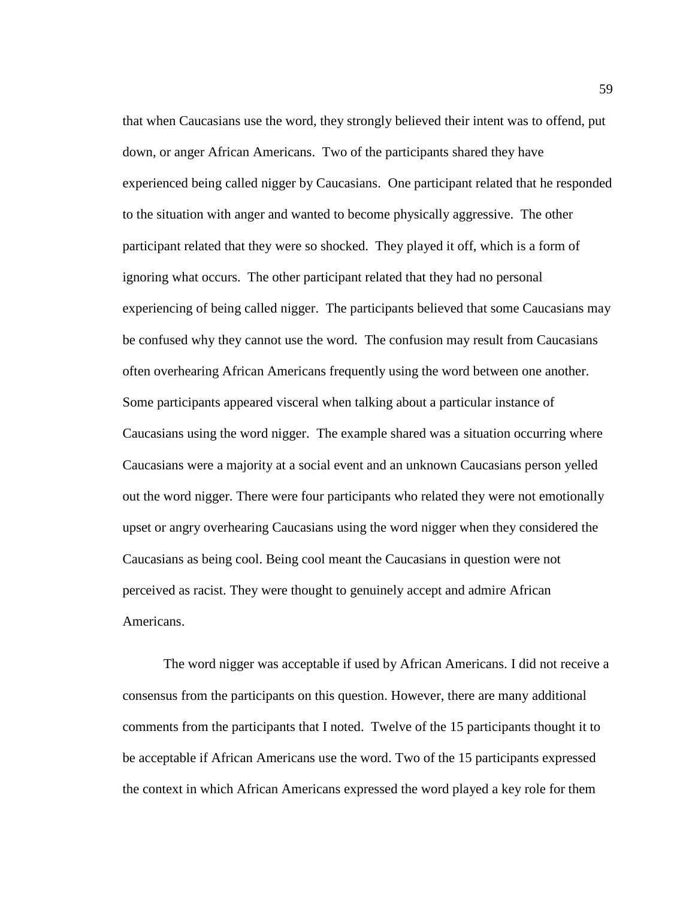that when Caucasians use the word, they strongly believed their intent was to offend, put down, or anger African Americans. Two of the participants shared they have experienced being called nigger by Caucasians. One participant related that he responded to the situation with anger and wanted to become physically aggressive. The other participant related that they were so shocked. They played it off, which is a form of ignoring what occurs. The other participant related that they had no personal experiencing of being called nigger. The participants believed that some Caucasians may be confused why they cannot use the word. The confusion may result from Caucasians often overhearing African Americans frequently using the word between one another. Some participants appeared visceral when talking about a particular instance of Caucasians using the word nigger. The example shared was a situation occurring where Caucasians were a majority at a social event and an unknown Caucasians person yelled out the word nigger. There were four participants who related they were not emotionally upset or angry overhearing Caucasians using the word nigger when they considered the Caucasians as being cool. Being cool meant the Caucasians in question were not perceived as racist. They were thought to genuinely accept and admire African Americans.

The word nigger was acceptable if used by African Americans. I did not receive a consensus from the participants on this question. However, there are many additional comments from the participants that I noted. Twelve of the 15 participants thought it to be acceptable if African Americans use the word. Two of the 15 participants expressed the context in which African Americans expressed the word played a key role for them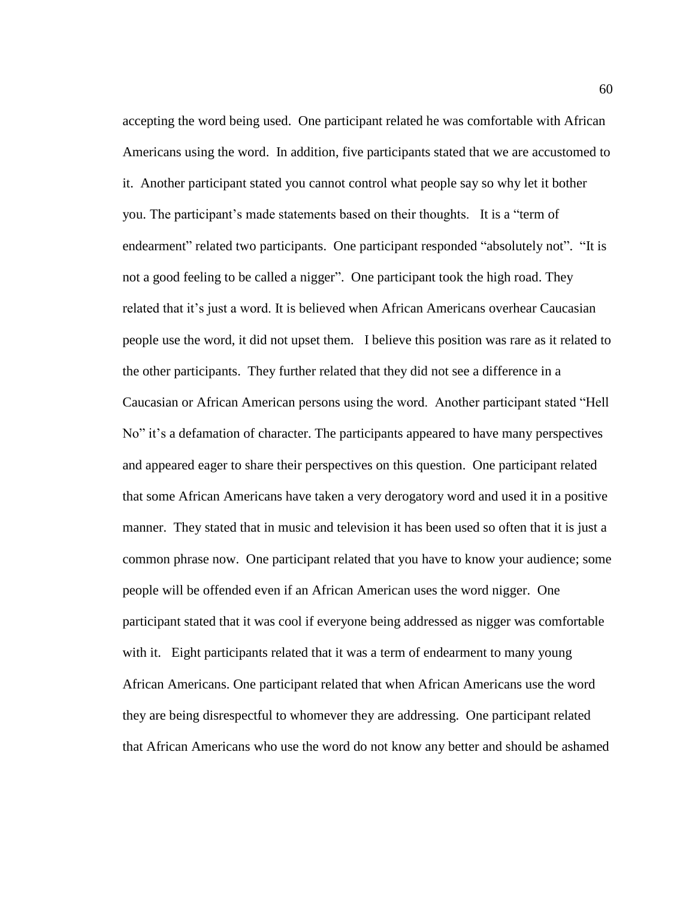accepting the word being used. One participant related he was comfortable with African Americans using the word. In addition, five participants stated that we are accustomed to it. Another participant stated you cannot control what people say so why let it bother you. The participant's made statements based on their thoughts. It is a "term of endearment" related two participants. One participant responded "absolutely not". "It is not a good feeling to be called a nigger". One participant took the high road. They related that it's just a word. It is believed when African Americans overhear Caucasian people use the word, it did not upset them. I believe this position was rare as it related to the other participants. They further related that they did not see a difference in a Caucasian or African American persons using the word. Another participant stated "Hell No" it's a defamation of character. The participants appeared to have many perspectives and appeared eager to share their perspectives on this question. One participant related that some African Americans have taken a very derogatory word and used it in a positive manner. They stated that in music and television it has been used so often that it is just a common phrase now. One participant related that you have to know your audience; some people will be offended even if an African American uses the word nigger. One participant stated that it was cool if everyone being addressed as nigger was comfortable with it. Eight participants related that it was a term of endearment to many young African Americans. One participant related that when African Americans use the word they are being disrespectful to whomever they are addressing. One participant related that African Americans who use the word do not know any better and should be ashamed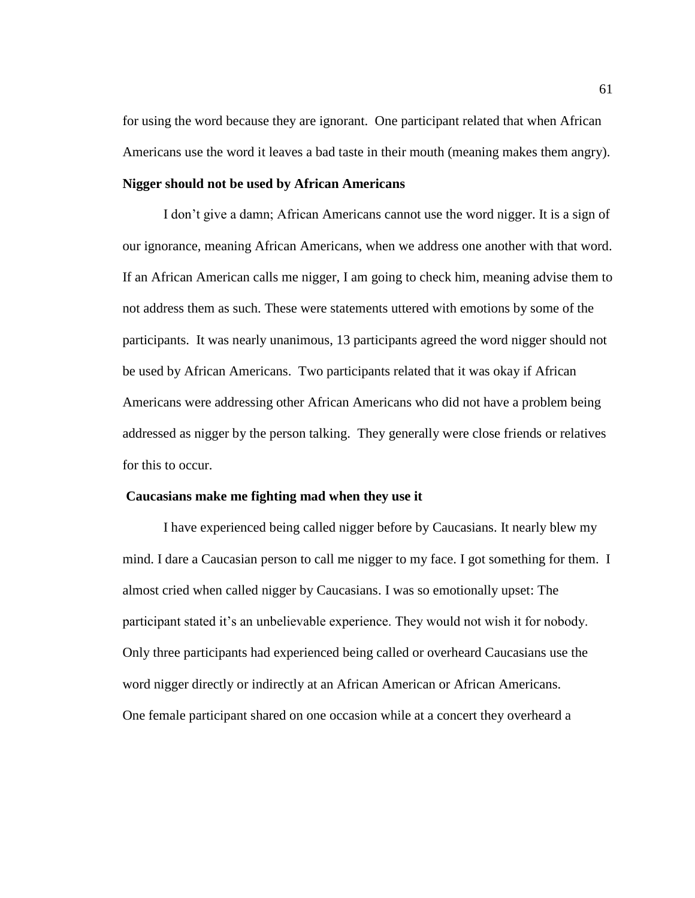for using the word because they are ignorant. One participant related that when African Americans use the word it leaves a bad taste in their mouth (meaning makes them angry).

# **Nigger should not be used by African Americans**

I don't give a damn; African Americans cannot use the word nigger. It is a sign of our ignorance, meaning African Americans, when we address one another with that word. If an African American calls me nigger, I am going to check him, meaning advise them to not address them as such. These were statements uttered with emotions by some of the participants. It was nearly unanimous, 13 participants agreed the word nigger should not be used by African Americans. Two participants related that it was okay if African Americans were addressing other African Americans who did not have a problem being addressed as nigger by the person talking. They generally were close friends or relatives for this to occur.

#### **Caucasians make me fighting mad when they use it**

I have experienced being called nigger before by Caucasians. It nearly blew my mind. I dare a Caucasian person to call me nigger to my face. I got something for them. I almost cried when called nigger by Caucasians. I was so emotionally upset: The participant stated it's an unbelievable experience. They would not wish it for nobody. Only three participants had experienced being called or overheard Caucasians use the word nigger directly or indirectly at an African American or African Americans. One female participant shared on one occasion while at a concert they overheard a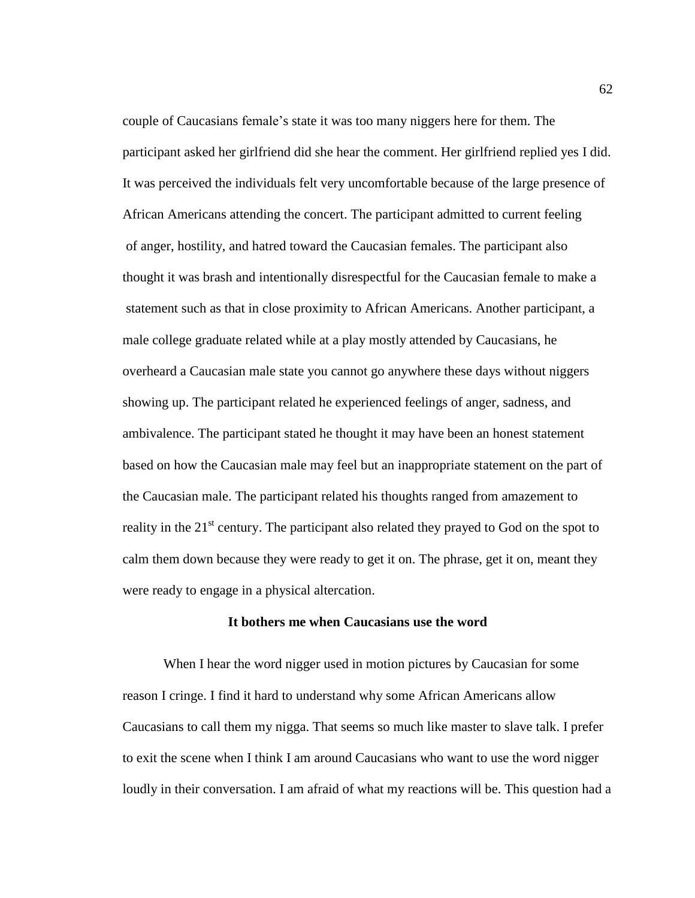couple of Caucasians female's state it was too many niggers here for them. The participant asked her girlfriend did she hear the comment. Her girlfriend replied yes I did. It was perceived the individuals felt very uncomfortable because of the large presence of African Americans attending the concert. The participant admitted to current feeling of anger, hostility, and hatred toward the Caucasian females. The participant also thought it was brash and intentionally disrespectful for the Caucasian female to make a statement such as that in close proximity to African Americans. Another participant, a male college graduate related while at a play mostly attended by Caucasians, he overheard a Caucasian male state you cannot go anywhere these days without niggers showing up. The participant related he experienced feelings of anger, sadness, and ambivalence. The participant stated he thought it may have been an honest statement based on how the Caucasian male may feel but an inappropriate statement on the part of the Caucasian male. The participant related his thoughts ranged from amazement to reality in the  $21<sup>st</sup>$  century. The participant also related they prayed to God on the spot to calm them down because they were ready to get it on. The phrase, get it on, meant they were ready to engage in a physical altercation.

#### **It bothers me when Caucasians use the word**

When I hear the word nigger used in motion pictures by Caucasian for some reason I cringe. I find it hard to understand why some African Americans allow Caucasians to call them my nigga. That seems so much like master to slave talk. I prefer to exit the scene when I think I am around Caucasians who want to use the word nigger loudly in their conversation. I am afraid of what my reactions will be. This question had a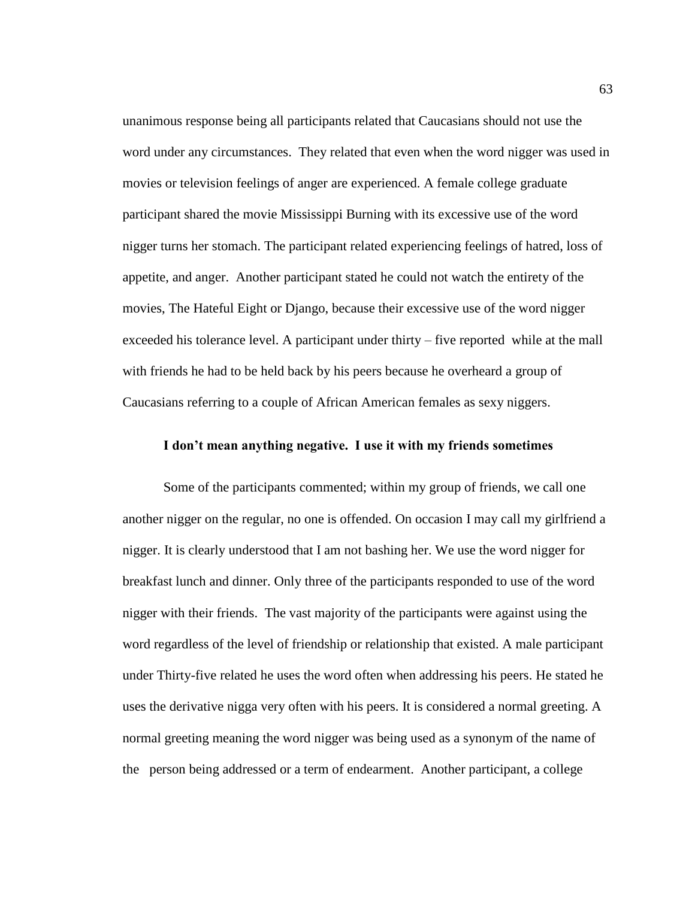unanimous response being all participants related that Caucasians should not use the word under any circumstances. They related that even when the word nigger was used in movies or television feelings of anger are experienced. A female college graduate participant shared the movie Mississippi Burning with its excessive use of the word nigger turns her stomach. The participant related experiencing feelings of hatred, loss of appetite, and anger. Another participant stated he could not watch the entirety of the movies, The Hateful Eight or Django, because their excessive use of the word nigger exceeded his tolerance level. A participant under thirty – five reported while at the mall with friends he had to be held back by his peers because he overheard a group of Caucasians referring to a couple of African American females as sexy niggers.

## **I don't mean anything negative. I use it with my friends sometimes**

Some of the participants commented; within my group of friends, we call one another nigger on the regular, no one is offended. On occasion I may call my girlfriend a nigger. It is clearly understood that I am not bashing her. We use the word nigger for breakfast lunch and dinner. Only three of the participants responded to use of the word nigger with their friends. The vast majority of the participants were against using the word regardless of the level of friendship or relationship that existed. A male participant under Thirty-five related he uses the word often when addressing his peers. He stated he uses the derivative nigga very often with his peers. It is considered a normal greeting. A normal greeting meaning the word nigger was being used as a synonym of the name of the person being addressed or a term of endearment. Another participant, a college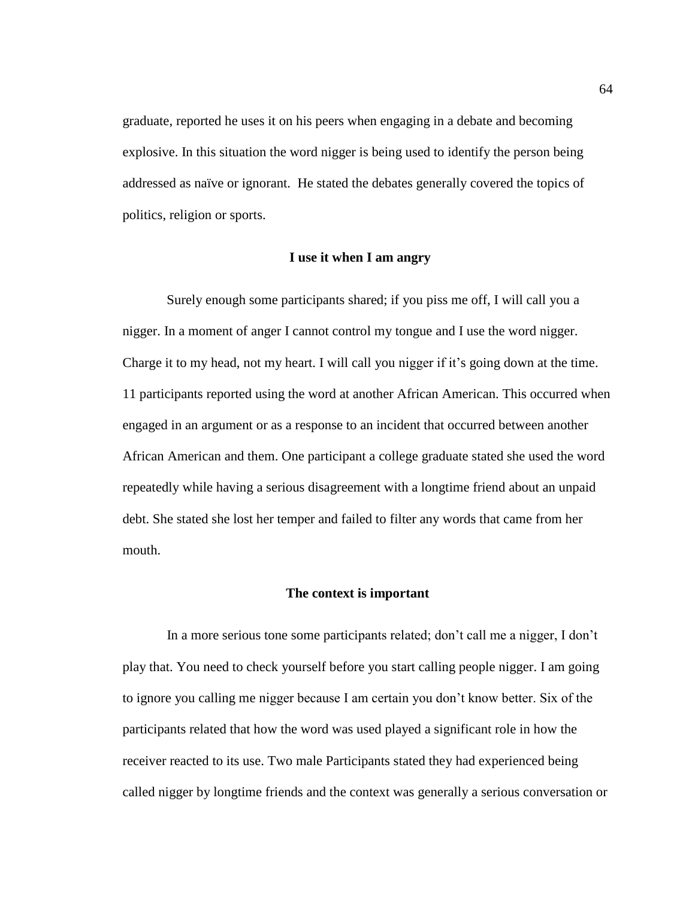graduate, reported he uses it on his peers when engaging in a debate and becoming explosive. In this situation the word nigger is being used to identify the person being addressed as naïve or ignorant. He stated the debates generally covered the topics of politics, religion or sports.

## **I use it when I am angry**

Surely enough some participants shared; if you piss me off, I will call you a nigger. In a moment of anger I cannot control my tongue and I use the word nigger. Charge it to my head, not my heart. I will call you nigger if it's going down at the time. 11 participants reported using the word at another African American. This occurred when engaged in an argument or as a response to an incident that occurred between another African American and them. One participant a college graduate stated she used the word repeatedly while having a serious disagreement with a longtime friend about an unpaid debt. She stated she lost her temper and failed to filter any words that came from her mouth.

## **The context is important**

In a more serious tone some participants related; don't call me a nigger, I don't play that. You need to check yourself before you start calling people nigger. I am going to ignore you calling me nigger because I am certain you don't know better. Six of the participants related that how the word was used played a significant role in how the receiver reacted to its use. Two male Participants stated they had experienced being called nigger by longtime friends and the context was generally a serious conversation or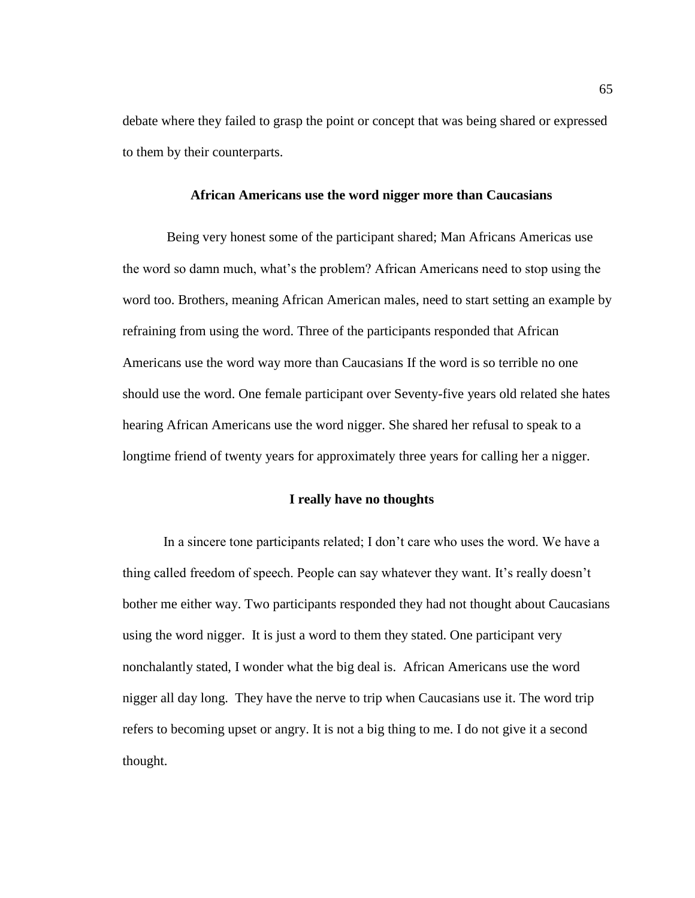debate where they failed to grasp the point or concept that was being shared or expressed to them by their counterparts.

## **African Americans use the word nigger more than Caucasians**

Being very honest some of the participant shared; Man Africans Americas use the word so damn much, what's the problem? African Americans need to stop using the word too. Brothers, meaning African American males, need to start setting an example by refraining from using the word. Three of the participants responded that African Americans use the word way more than Caucasians If the word is so terrible no one should use the word. One female participant over Seventy-five years old related she hates hearing African Americans use the word nigger. She shared her refusal to speak to a longtime friend of twenty years for approximately three years for calling her a nigger.

## **I really have no thoughts**

In a sincere tone participants related; I don't care who uses the word. We have a thing called freedom of speech. People can say whatever they want. It's really doesn't bother me either way. Two participants responded they had not thought about Caucasians using the word nigger. It is just a word to them they stated. One participant very nonchalantly stated, I wonder what the big deal is. African Americans use the word nigger all day long. They have the nerve to trip when Caucasians use it. The word trip refers to becoming upset or angry. It is not a big thing to me. I do not give it a second thought.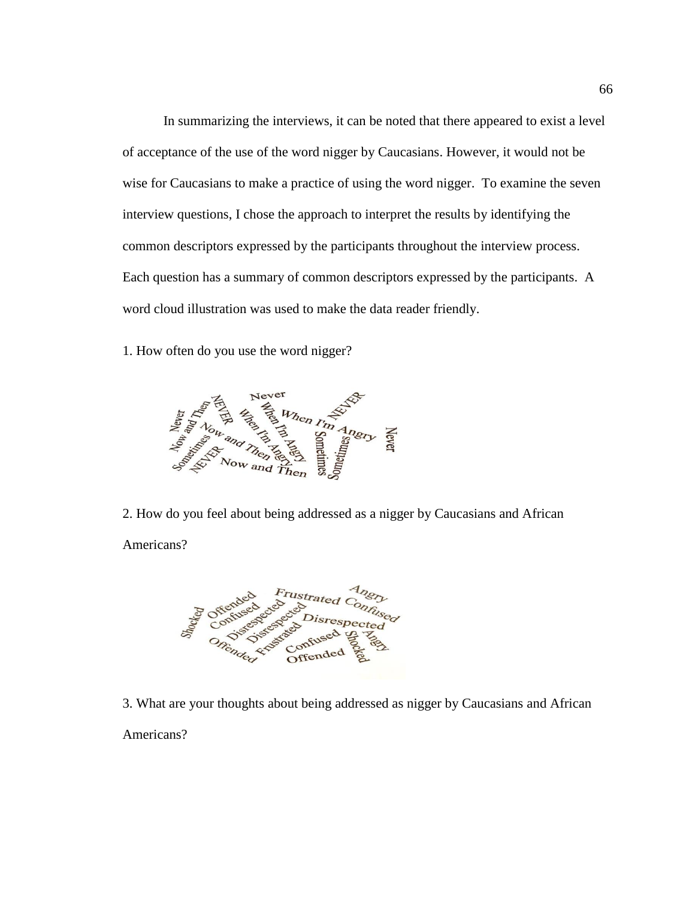In summarizing the interviews, it can be noted that there appeared to exist a level of acceptance of the use of the word nigger by Caucasians. However, it would not be wise for Caucasians to make a practice of using the word nigger. To examine the seven interview questions, I chose the approach to interpret the results by identifying the common descriptors expressed by the participants throughout the interview process. Each question has a summary of common descriptors expressed by the participants. A word cloud illustration was used to make the data reader friendly.

1. How often do you use the word nigger?



2. How do you feel about being addressed as a nigger by Caucasians and African Americans?



3. What are your thoughts about being addressed as nigger by Caucasians and African Americans?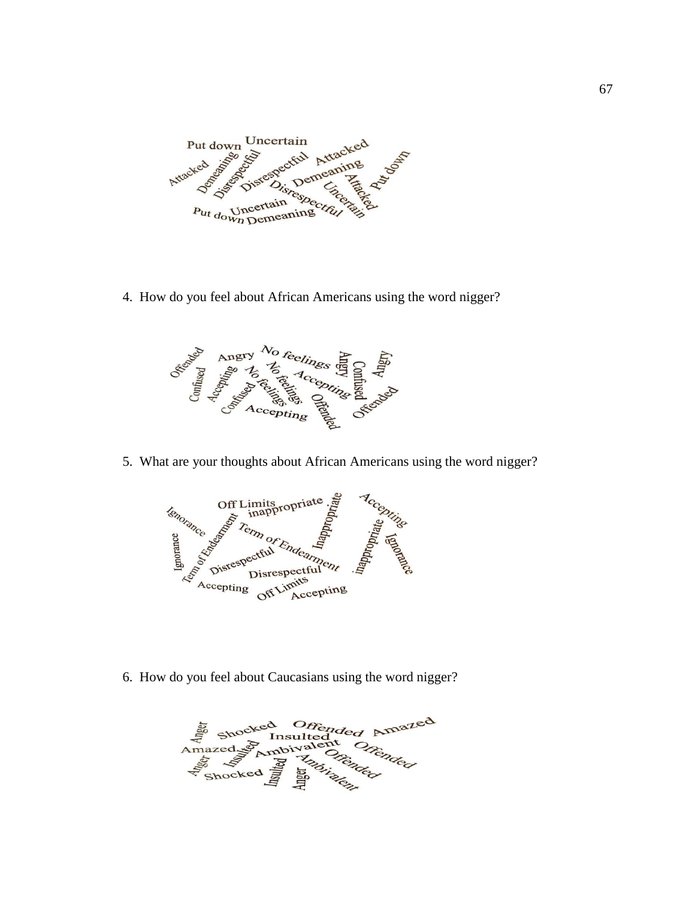

4. How do you feel about African Americans using the word nigger?



5. What are your thoughts about African Americans using the word nigger?



6. How do you feel about Caucasians using the word nigger?

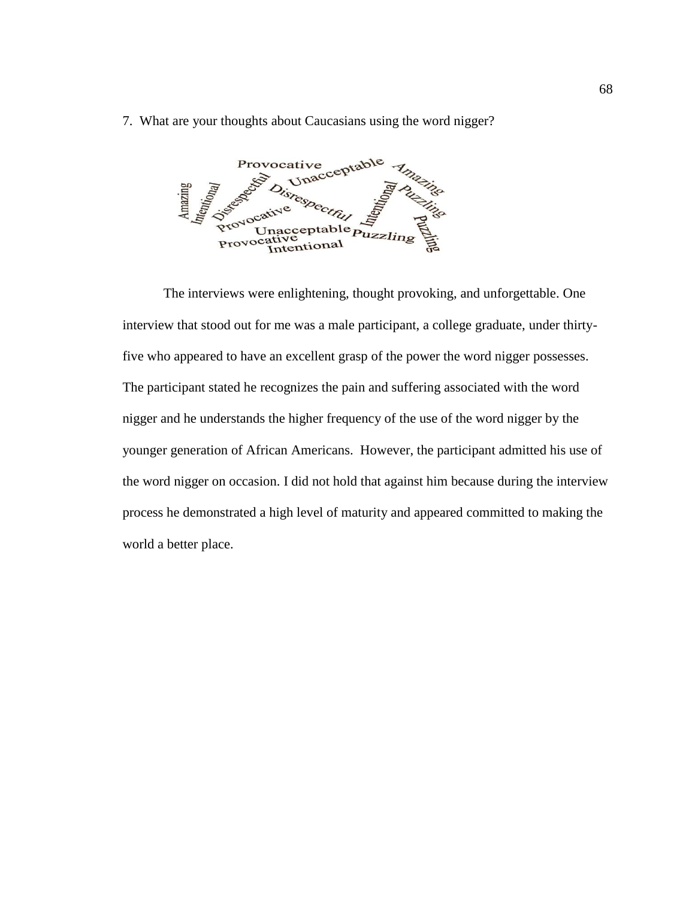7. What are your thoughts about Caucasians using the word nigger?

ve<br>nacceptable Provocative Amazing Puzzling

The interviews were enlightening, thought provoking, and unforgettable. One interview that stood out for me was a male participant, a college graduate, under thirtyfive who appeared to have an excellent grasp of the power the word nigger possesses. The participant stated he recognizes the pain and suffering associated with the word nigger and he understands the higher frequency of the use of the word nigger by the younger generation of African Americans. However, the participant admitted his use of the word nigger on occasion. I did not hold that against him because during the interview process he demonstrated a high level of maturity and appeared committed to making the world a better place.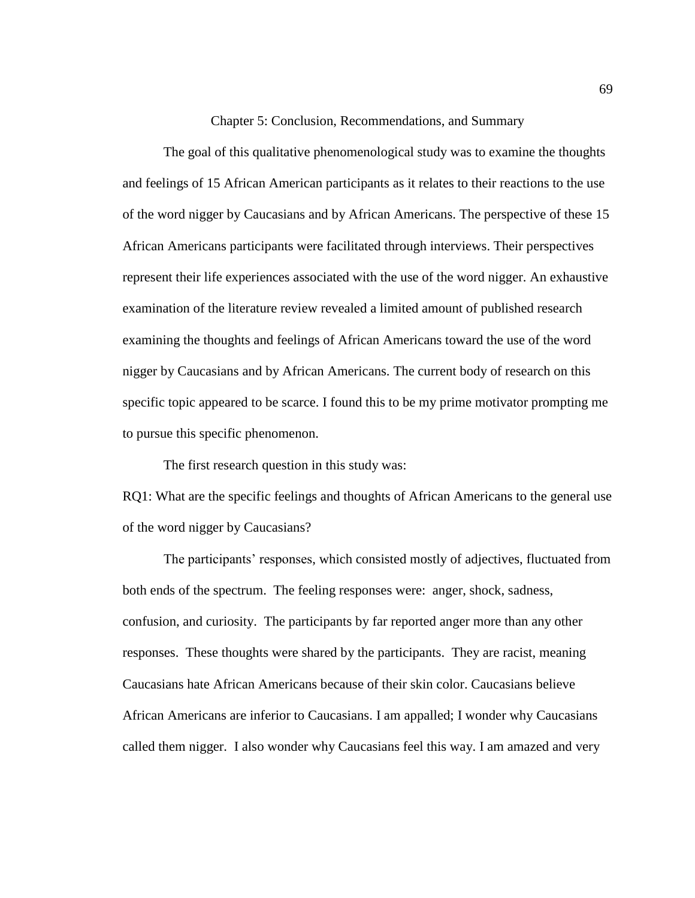Chapter 5: Conclusion, Recommendations, and Summary

The goal of this qualitative phenomenological study was to examine the thoughts and feelings of 15 African American participants as it relates to their reactions to the use of the word nigger by Caucasians and by African Americans. The perspective of these 15 African Americans participants were facilitated through interviews. Their perspectives represent their life experiences associated with the use of the word nigger. An exhaustive examination of the literature review revealed a limited amount of published research examining the thoughts and feelings of African Americans toward the use of the word nigger by Caucasians and by African Americans. The current body of research on this specific topic appeared to be scarce. I found this to be my prime motivator prompting me to pursue this specific phenomenon.

The first research question in this study was:

RQ1: What are the specific feelings and thoughts of African Americans to the general use of the word nigger by Caucasians?

The participants' responses, which consisted mostly of adjectives, fluctuated from both ends of the spectrum. The feeling responses were: anger, shock, sadness, confusion, and curiosity. The participants by far reported anger more than any other responses. These thoughts were shared by the participants. They are racist, meaning Caucasians hate African Americans because of their skin color. Caucasians believe African Americans are inferior to Caucasians. I am appalled; I wonder why Caucasians called them nigger. I also wonder why Caucasians feel this way. I am amazed and very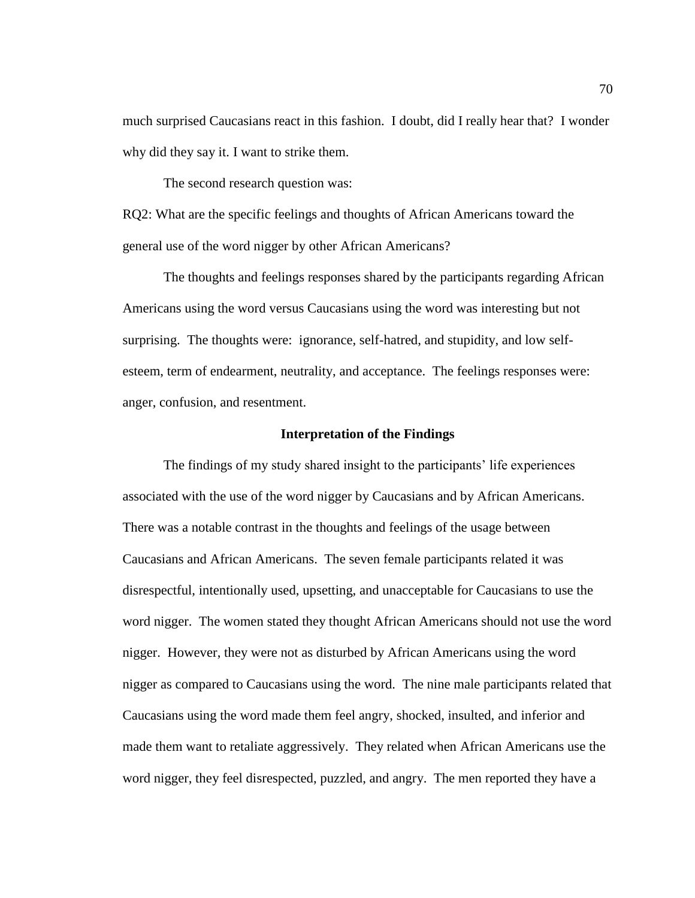much surprised Caucasians react in this fashion. I doubt, did I really hear that? I wonder why did they say it. I want to strike them.

The second research question was:

RQ2: What are the specific feelings and thoughts of African Americans toward the general use of the word nigger by other African Americans?

The thoughts and feelings responses shared by the participants regarding African Americans using the word versus Caucasians using the word was interesting but not surprising. The thoughts were: ignorance, self-hatred, and stupidity, and low selfesteem, term of endearment, neutrality, and acceptance. The feelings responses were: anger, confusion, and resentment.

## **Interpretation of the Findings**

The findings of my study shared insight to the participants' life experiences associated with the use of the word nigger by Caucasians and by African Americans. There was a notable contrast in the thoughts and feelings of the usage between Caucasians and African Americans. The seven female participants related it was disrespectful, intentionally used, upsetting, and unacceptable for Caucasians to use the word nigger. The women stated they thought African Americans should not use the word nigger. However, they were not as disturbed by African Americans using the word nigger as compared to Caucasians using the word. The nine male participants related that Caucasians using the word made them feel angry, shocked, insulted, and inferior and made them want to retaliate aggressively. They related when African Americans use the word nigger, they feel disrespected, puzzled, and angry. The men reported they have a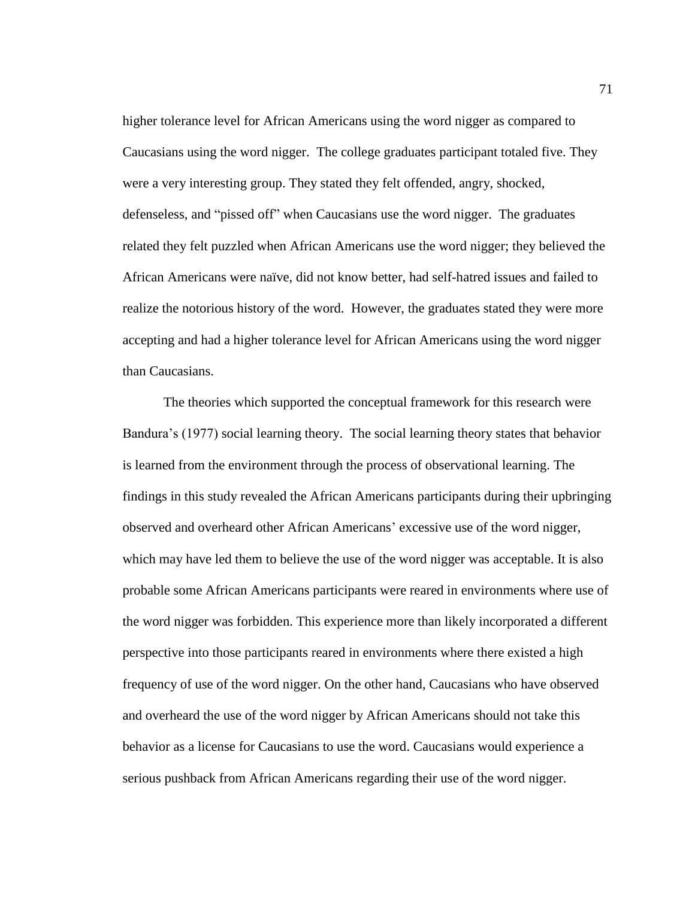higher tolerance level for African Americans using the word nigger as compared to Caucasians using the word nigger. The college graduates participant totaled five. They were a very interesting group. They stated they felt offended, angry, shocked, defenseless, and "pissed off" when Caucasians use the word nigger. The graduates related they felt puzzled when African Americans use the word nigger; they believed the African Americans were naïve, did not know better, had self-hatred issues and failed to realize the notorious history of the word. However, the graduates stated they were more accepting and had a higher tolerance level for African Americans using the word nigger than Caucasians.

The theories which supported the conceptual framework for this research were Bandura's (1977) social learning theory. The social learning theory states that behavior is learned from the environment through the process of observational learning. The findings in this study revealed the African Americans participants during their upbringing observed and overheard other African Americans' excessive use of the word nigger, which may have led them to believe the use of the word nigger was acceptable. It is also probable some African Americans participants were reared in environments where use of the word nigger was forbidden. This experience more than likely incorporated a different perspective into those participants reared in environments where there existed a high frequency of use of the word nigger. On the other hand, Caucasians who have observed and overheard the use of the word nigger by African Americans should not take this behavior as a license for Caucasians to use the word. Caucasians would experience a serious pushback from African Americans regarding their use of the word nigger.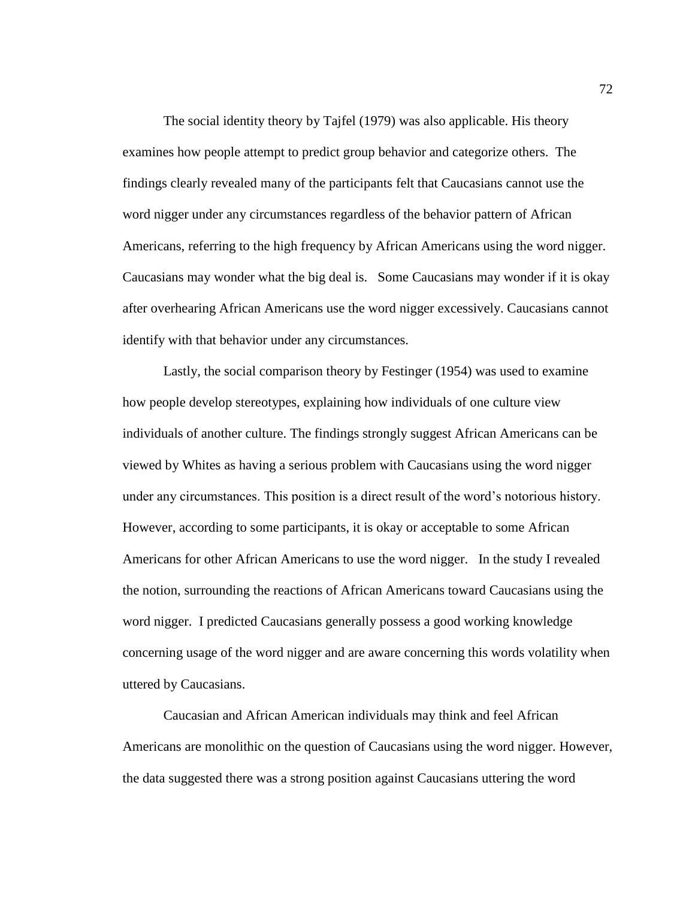The social identity theory by Tajfel (1979) was also applicable. His theory examines how people attempt to predict group behavior and categorize others. The findings clearly revealed many of the participants felt that Caucasians cannot use the word nigger under any circumstances regardless of the behavior pattern of African Americans, referring to the high frequency by African Americans using the word nigger. Caucasians may wonder what the big deal is. Some Caucasians may wonder if it is okay after overhearing African Americans use the word nigger excessively. Caucasians cannot identify with that behavior under any circumstances.

Lastly, the social comparison theory by Festinger (1954) was used to examine how people develop stereotypes, explaining how individuals of one culture view individuals of another culture. The findings strongly suggest African Americans can be viewed by Whites as having a serious problem with Caucasians using the word nigger under any circumstances. This position is a direct result of the word's notorious history. However, according to some participants, it is okay or acceptable to some African Americans for other African Americans to use the word nigger. In the study I revealed the notion, surrounding the reactions of African Americans toward Caucasians using the word nigger. I predicted Caucasians generally possess a good working knowledge concerning usage of the word nigger and are aware concerning this words volatility when uttered by Caucasians.

Caucasian and African American individuals may think and feel African Americans are monolithic on the question of Caucasians using the word nigger. However, the data suggested there was a strong position against Caucasians uttering the word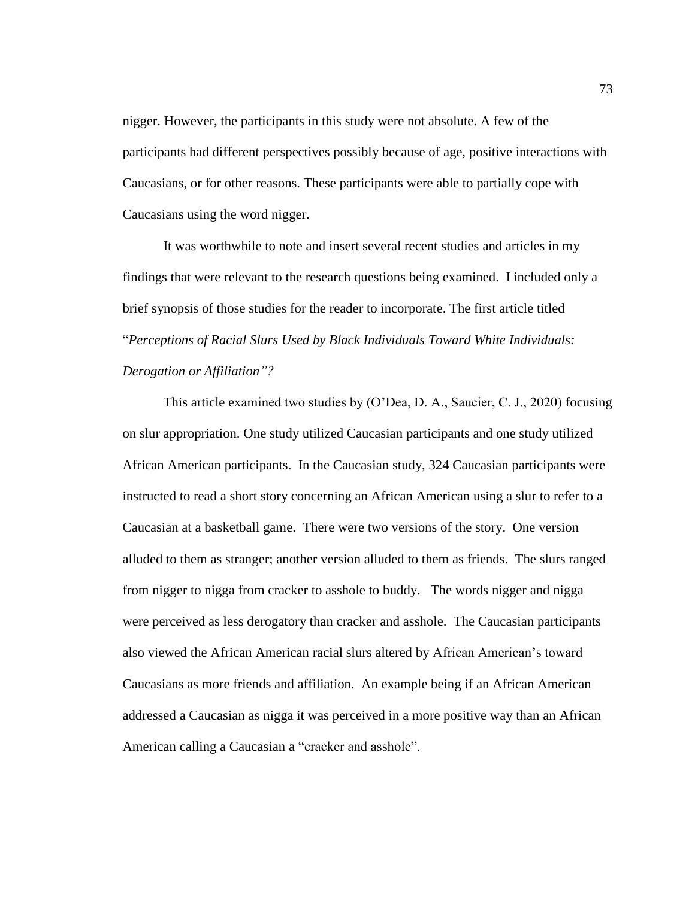nigger. However, the participants in this study were not absolute. A few of the participants had different perspectives possibly because of age, positive interactions with Caucasians, or for other reasons. These participants were able to partially cope with Caucasians using the word nigger.

It was worthwhile to note and insert several recent studies and articles in my findings that were relevant to the research questions being examined. I included only a brief synopsis of those studies for the reader to incorporate. The first article titled "*Perceptions of Racial Slurs Used by Black Individuals Toward White Individuals: Derogation or Affiliation"?*

This article examined two studies by (O'Dea, D. A., Saucier, C. J., 2020) focusing on slur appropriation. One study utilized Caucasian participants and one study utilized African American participants. In the Caucasian study, 324 Caucasian participants were instructed to read a short story concerning an African American using a slur to refer to a Caucasian at a basketball game. There were two versions of the story. One version alluded to them as stranger; another version alluded to them as friends. The slurs ranged from nigger to nigga from cracker to asshole to buddy. The words nigger and nigga were perceived as less derogatory than cracker and asshole. The Caucasian participants also viewed the African American racial slurs altered by African American's toward Caucasians as more friends and affiliation. An example being if an African American addressed a Caucasian as nigga it was perceived in a more positive way than an African American calling a Caucasian a "cracker and asshole".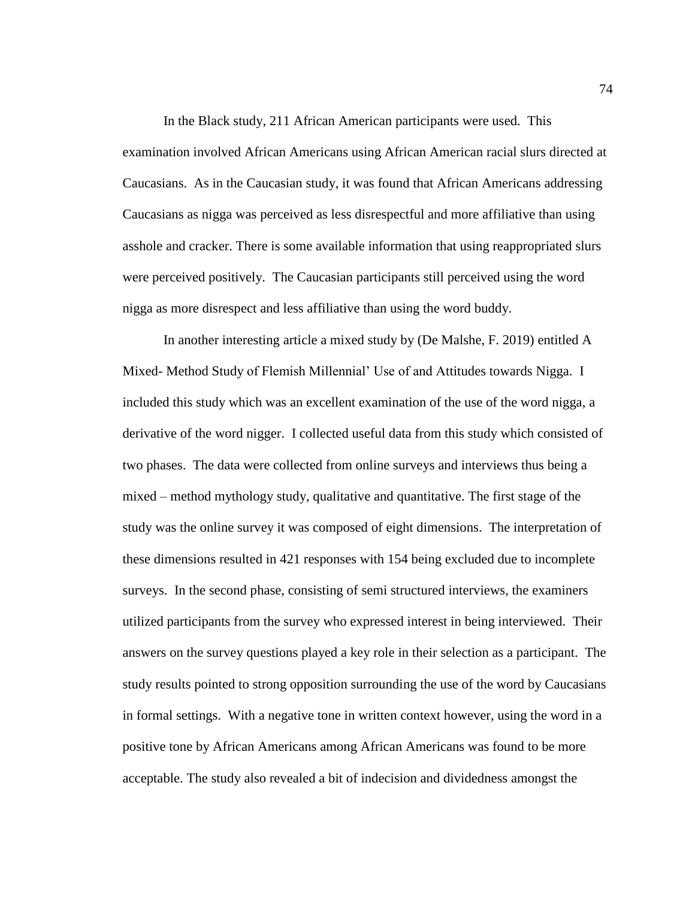In the Black study, 211 African American participants were used. This examination involved African Americans using African American racial slurs directed at Caucasians. As in the Caucasian study, it was found that African Americans addressing Caucasians as nigga was perceived as less disrespectful and more affiliative than using asshole and cracker. There is some available information that using reappropriated slurs were perceived positively. The Caucasian participants still perceived using the word nigga as more disrespect and less affiliative than using the word buddy.

In another interesting article a mixed study by (De Malshe, F. 2019) entitled A Mixed- Method Study of Flemish Millennial' Use of and Attitudes towards Nigga. I included this study which was an excellent examination of the use of the word nigga, a derivative of the word nigger. I collected useful data from this study which consisted of two phases. The data were collected from online surveys and interviews thus being a mixed – method mythology study, qualitative and quantitative. The first stage of the study was the online survey it was composed of eight dimensions. The interpretation of these dimensions resulted in 421 responses with 154 being excluded due to incomplete surveys. In the second phase, consisting of semi structured interviews, the examiners utilized participants from the survey who expressed interest in being interviewed. Their answers on the survey questions played a key role in their selection as a participant. The study results pointed to strong opposition surrounding the use of the word by Caucasians in formal settings. With a negative tone in written context however, using the word in a positive tone by African Americans among African Americans was found to be more acceptable. The study also revealed a bit of indecision and dividedness amongst the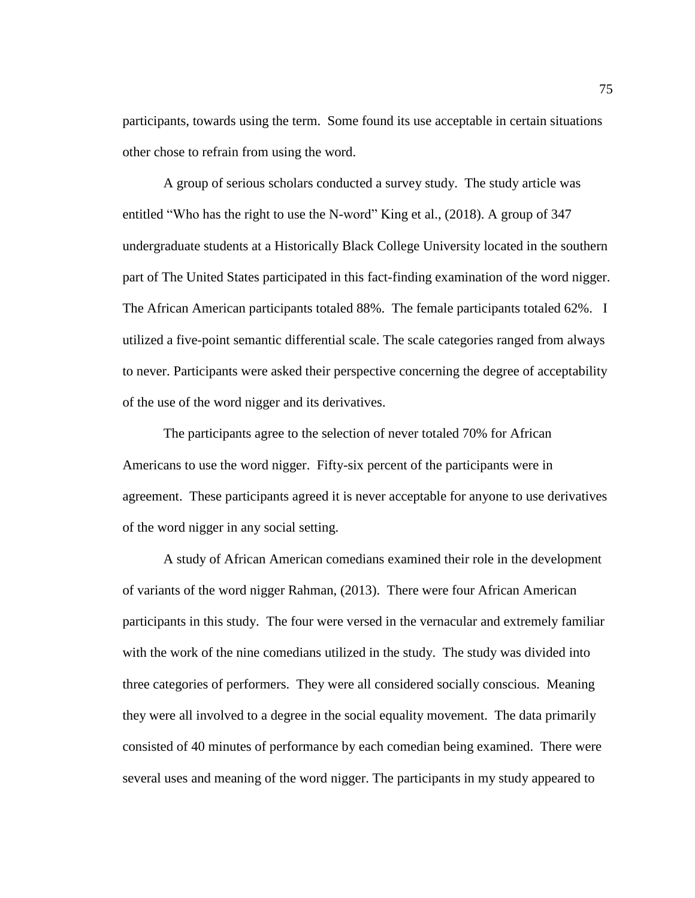participants, towards using the term. Some found its use acceptable in certain situations other chose to refrain from using the word.

A group of serious scholars conducted a survey study. The study article was entitled "Who has the right to use the N-word" King et al., (2018). A group of 347 undergraduate students at a Historically Black College University located in the southern part of The United States participated in this fact-finding examination of the word nigger. The African American participants totaled 88%. The female participants totaled 62%. I utilized a five-point semantic differential scale. The scale categories ranged from always to never. Participants were asked their perspective concerning the degree of acceptability of the use of the word nigger and its derivatives.

The participants agree to the selection of never totaled 70% for African Americans to use the word nigger. Fifty-six percent of the participants were in agreement. These participants agreed it is never acceptable for anyone to use derivatives of the word nigger in any social setting.

A study of African American comedians examined their role in the development of variants of the word nigger Rahman, (2013). There were four African American participants in this study. The four were versed in the vernacular and extremely familiar with the work of the nine comedians utilized in the study. The study was divided into three categories of performers. They were all considered socially conscious. Meaning they were all involved to a degree in the social equality movement. The data primarily consisted of 40 minutes of performance by each comedian being examined. There were several uses and meaning of the word nigger. The participants in my study appeared to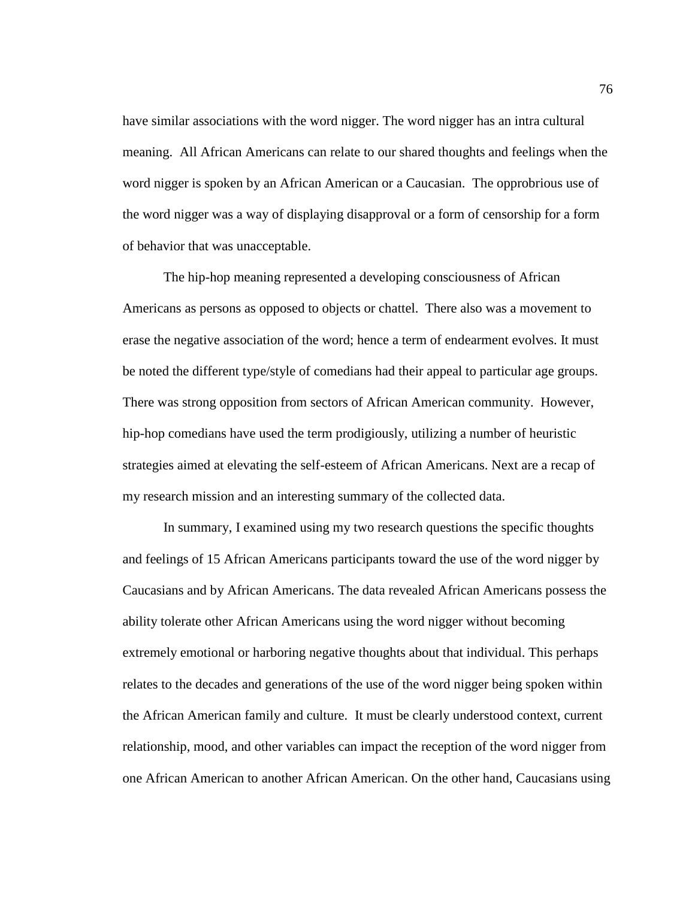have similar associations with the word nigger. The word nigger has an intra cultural meaning. All African Americans can relate to our shared thoughts and feelings when the word nigger is spoken by an African American or a Caucasian. The opprobrious use of the word nigger was a way of displaying disapproval or a form of censorship for a form of behavior that was unacceptable.

The hip-hop meaning represented a developing consciousness of African Americans as persons as opposed to objects or chattel. There also was a movement to erase the negative association of the word; hence a term of endearment evolves. It must be noted the different type/style of comedians had their appeal to particular age groups. There was strong opposition from sectors of African American community. However, hip-hop comedians have used the term prodigiously, utilizing a number of heuristic strategies aimed at elevating the self-esteem of African Americans. Next are a recap of my research mission and an interesting summary of the collected data.

In summary, I examined using my two research questions the specific thoughts and feelings of 15 African Americans participants toward the use of the word nigger by Caucasians and by African Americans. The data revealed African Americans possess the ability tolerate other African Americans using the word nigger without becoming extremely emotional or harboring negative thoughts about that individual. This perhaps relates to the decades and generations of the use of the word nigger being spoken within the African American family and culture. It must be clearly understood context, current relationship, mood, and other variables can impact the reception of the word nigger from one African American to another African American. On the other hand, Caucasians using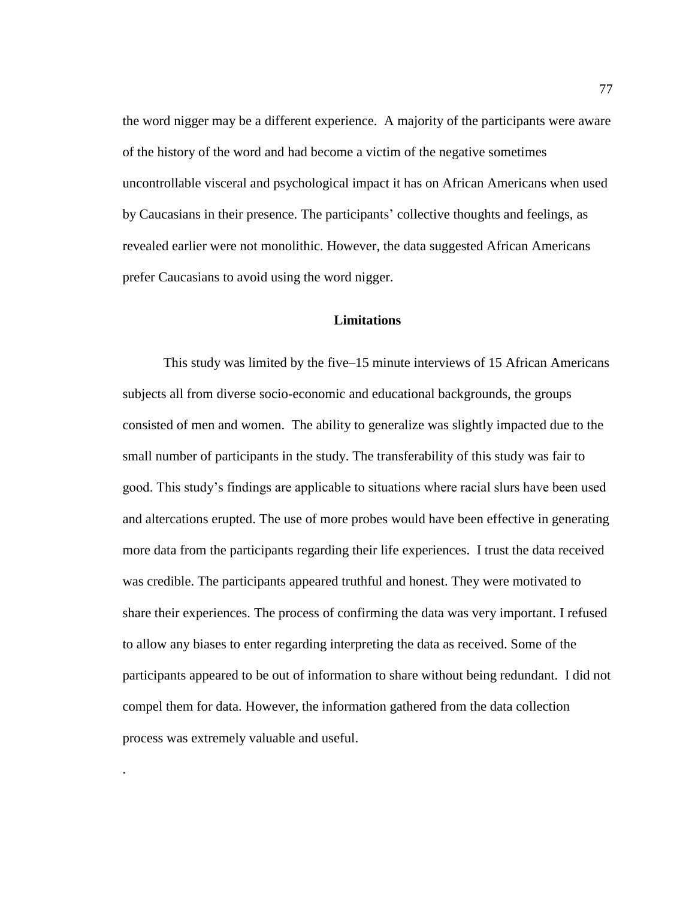the word nigger may be a different experience. A majority of the participants were aware of the history of the word and had become a victim of the negative sometimes uncontrollable visceral and psychological impact it has on African Americans when used by Caucasians in their presence. The participants' collective thoughts and feelings, as revealed earlier were not monolithic. However, the data suggested African Americans prefer Caucasians to avoid using the word nigger.

## **Limitations**

This study was limited by the five–15 minute interviews of 15 African Americans subjects all from diverse socio-economic and educational backgrounds, the groups consisted of men and women. The ability to generalize was slightly impacted due to the small number of participants in the study. The transferability of this study was fair to good. This study's findings are applicable to situations where racial slurs have been used and altercations erupted. The use of more probes would have been effective in generating more data from the participants regarding their life experiences. I trust the data received was credible. The participants appeared truthful and honest. They were motivated to share their experiences. The process of confirming the data was very important. I refused to allow any biases to enter regarding interpreting the data as received. Some of the participants appeared to be out of information to share without being redundant. I did not compel them for data. However, the information gathered from the data collection process was extremely valuable and useful.

.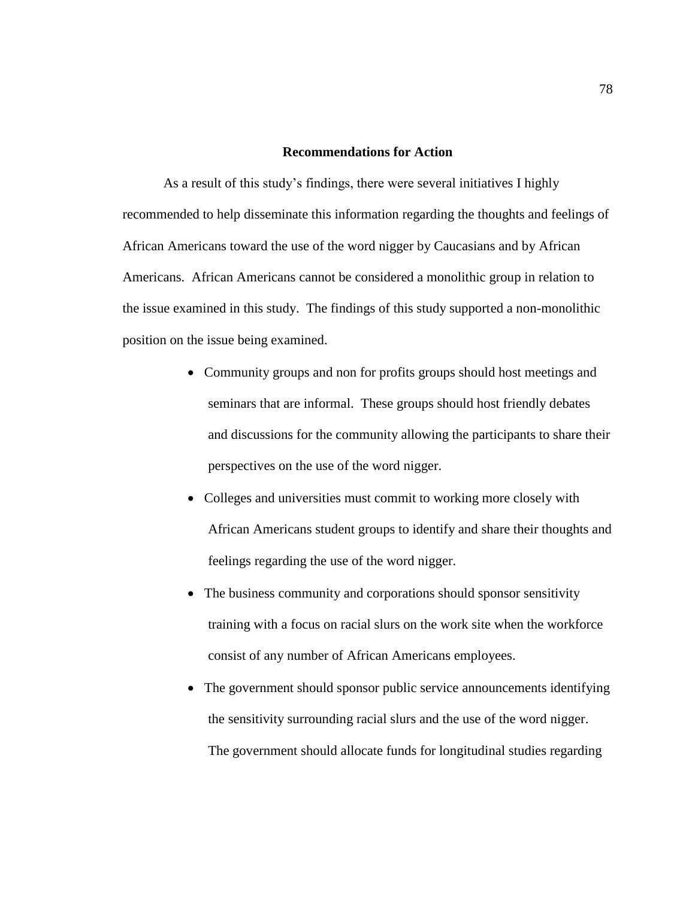## **Recommendations for Action**

As a result of this study's findings, there were several initiatives I highly recommended to help disseminate this information regarding the thoughts and feelings of African Americans toward the use of the word nigger by Caucasians and by African Americans. African Americans cannot be considered a monolithic group in relation to the issue examined in this study. The findings of this study supported a non-monolithic position on the issue being examined.

- Community groups and non for profits groups should host meetings and seminars that are informal. These groups should host friendly debates and discussions for the community allowing the participants to share their perspectives on the use of the word nigger.
- Colleges and universities must commit to working more closely with African Americans student groups to identify and share their thoughts and feelings regarding the use of the word nigger.
- The business community and corporations should sponsor sensitivity training with a focus on racial slurs on the work site when the workforce consist of any number of African Americans employees.
- The government should sponsor public service announcements identifying the sensitivity surrounding racial slurs and the use of the word nigger. The government should allocate funds for longitudinal studies regarding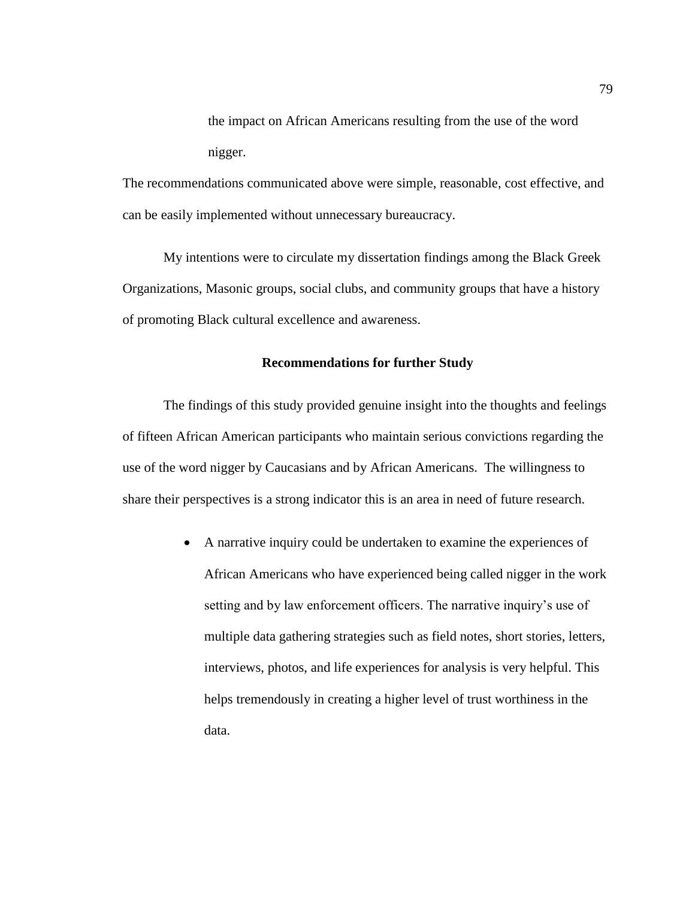the impact on African Americans resulting from the use of the word nigger.

The recommendations communicated above were simple, reasonable, cost effective, and can be easily implemented without unnecessary bureaucracy.

My intentions were to circulate my dissertation findings among the Black Greek Organizations, Masonic groups, social clubs, and community groups that have a history of promoting Black cultural excellence and awareness.

## **Recommendations for further Study**

The findings of this study provided genuine insight into the thoughts and feelings of fifteen African American participants who maintain serious convictions regarding the use of the word nigger by Caucasians and by African Americans. The willingness to share their perspectives is a strong indicator this is an area in need of future research.

> A narrative inquiry could be undertaken to examine the experiences of African Americans who have experienced being called nigger in the work setting and by law enforcement officers. The narrative inquiry's use of multiple data gathering strategies such as field notes, short stories, letters, interviews, photos, and life experiences for analysis is very helpful. This helps tremendously in creating a higher level of trust worthiness in the data.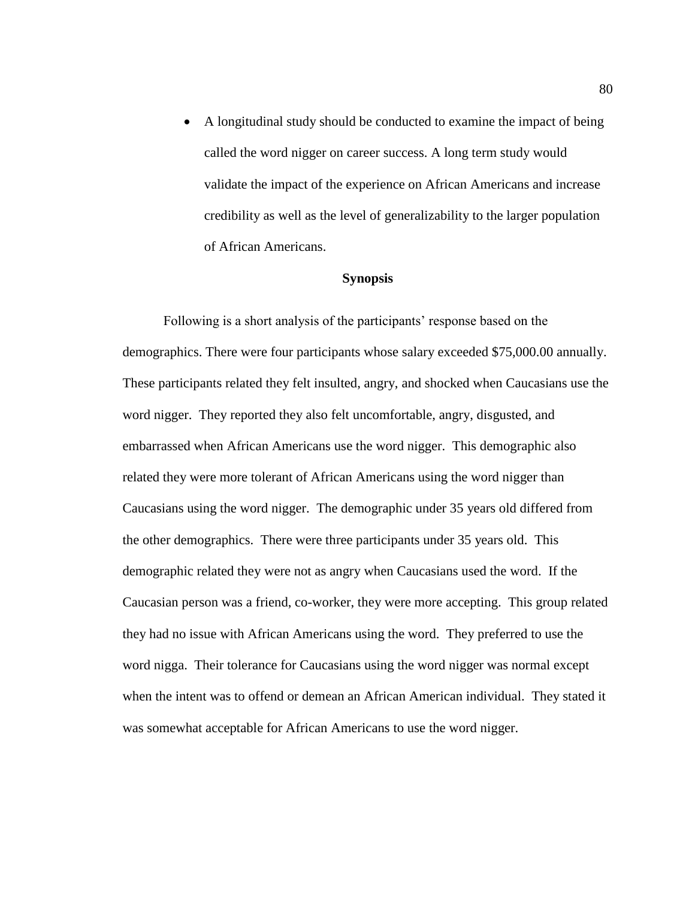A longitudinal study should be conducted to examine the impact of being called the word nigger on career success. A long term study would validate the impact of the experience on African Americans and increase credibility as well as the level of generalizability to the larger population of African Americans.

## **Synopsis**

Following is a short analysis of the participants' response based on the demographics. There were four participants whose salary exceeded \$75,000.00 annually. These participants related they felt insulted, angry, and shocked when Caucasians use the word nigger. They reported they also felt uncomfortable, angry, disgusted, and embarrassed when African Americans use the word nigger. This demographic also related they were more tolerant of African Americans using the word nigger than Caucasians using the word nigger. The demographic under 35 years old differed from the other demographics. There were three participants under 35 years old. This demographic related they were not as angry when Caucasians used the word. If the Caucasian person was a friend, co-worker, they were more accepting. This group related they had no issue with African Americans using the word. They preferred to use the word nigga. Their tolerance for Caucasians using the word nigger was normal except when the intent was to offend or demean an African American individual. They stated it was somewhat acceptable for African Americans to use the word nigger.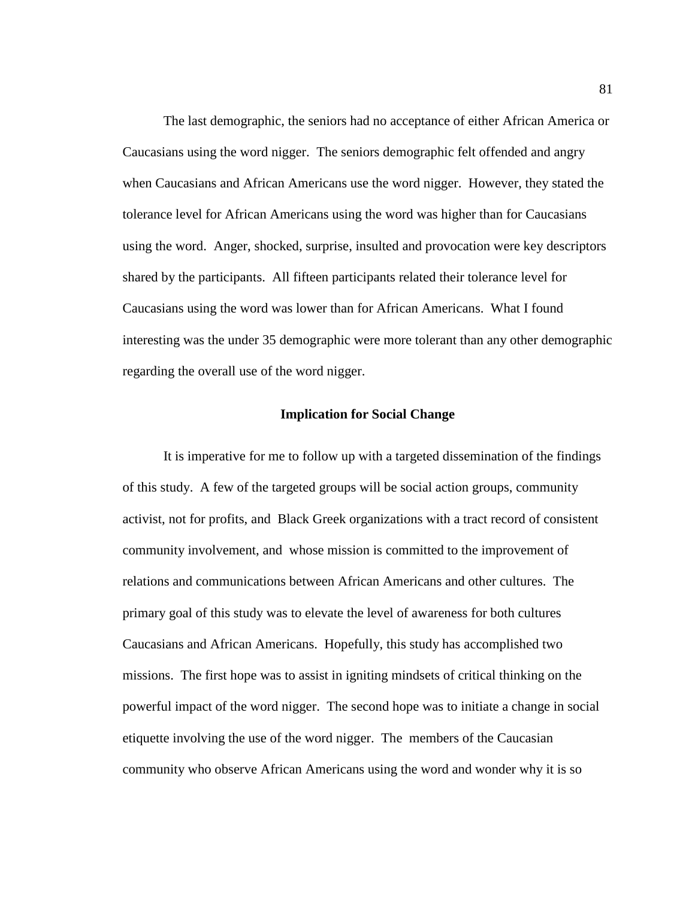The last demographic, the seniors had no acceptance of either African America or Caucasians using the word nigger. The seniors demographic felt offended and angry when Caucasians and African Americans use the word nigger. However, they stated the tolerance level for African Americans using the word was higher than for Caucasians using the word. Anger, shocked, surprise, insulted and provocation were key descriptors shared by the participants. All fifteen participants related their tolerance level for Caucasians using the word was lower than for African Americans. What I found interesting was the under 35 demographic were more tolerant than any other demographic regarding the overall use of the word nigger.

## **Implication for Social Change**

It is imperative for me to follow up with a targeted dissemination of the findings of this study. A few of the targeted groups will be social action groups, community activist, not for profits, and Black Greek organizations with a tract record of consistent community involvement, and whose mission is committed to the improvement of relations and communications between African Americans and other cultures. The primary goal of this study was to elevate the level of awareness for both cultures Caucasians and African Americans. Hopefully, this study has accomplished two missions. The first hope was to assist in igniting mindsets of critical thinking on the powerful impact of the word nigger. The second hope was to initiate a change in social etiquette involving the use of the word nigger. The members of the Caucasian community who observe African Americans using the word and wonder why it is so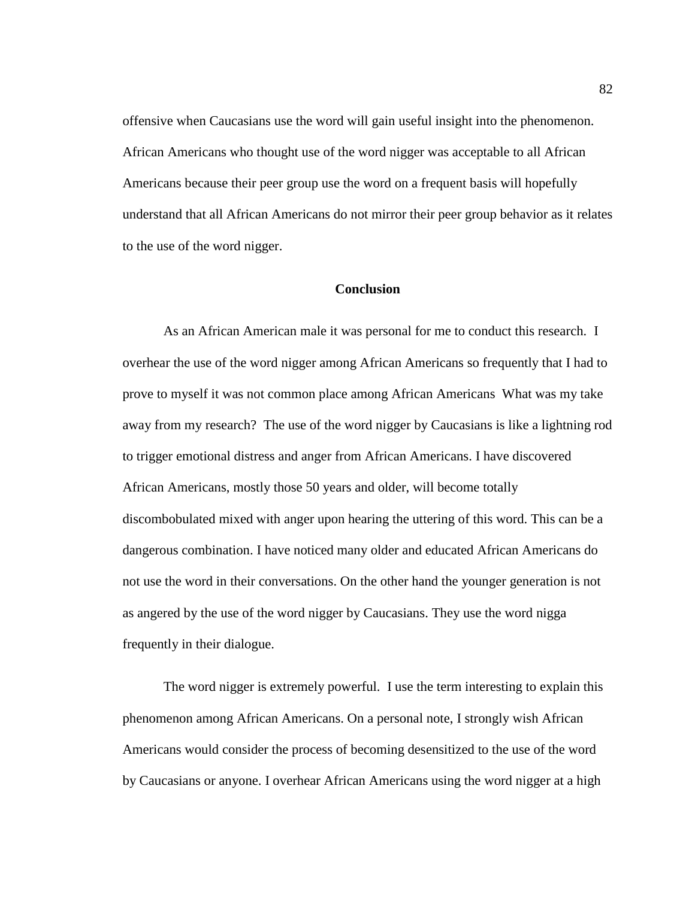offensive when Caucasians use the word will gain useful insight into the phenomenon. African Americans who thought use of the word nigger was acceptable to all African Americans because their peer group use the word on a frequent basis will hopefully understand that all African Americans do not mirror their peer group behavior as it relates to the use of the word nigger.

## **Conclusion**

As an African American male it was personal for me to conduct this research. I overhear the use of the word nigger among African Americans so frequently that I had to prove to myself it was not common place among African Americans What was my take away from my research? The use of the word nigger by Caucasians is like a lightning rod to trigger emotional distress and anger from African Americans. I have discovered African Americans, mostly those 50 years and older, will become totally discombobulated mixed with anger upon hearing the uttering of this word. This can be a dangerous combination. I have noticed many older and educated African Americans do not use the word in their conversations. On the other hand the younger generation is not as angered by the use of the word nigger by Caucasians. They use the word nigga frequently in their dialogue.

The word nigger is extremely powerful. I use the term interesting to explain this phenomenon among African Americans. On a personal note, I strongly wish African Americans would consider the process of becoming desensitized to the use of the word by Caucasians or anyone. I overhear African Americans using the word nigger at a high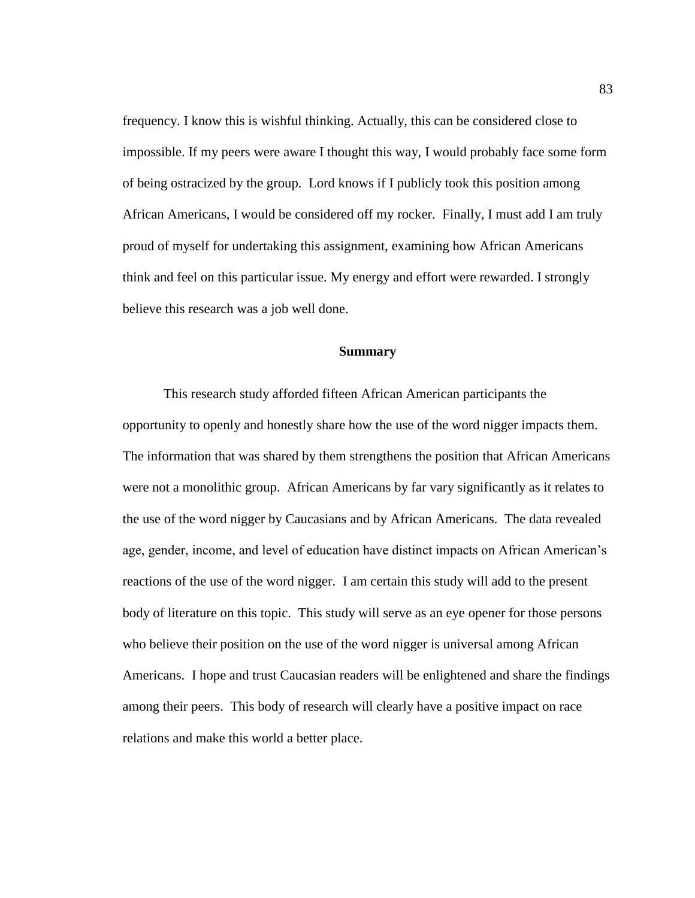frequency. I know this is wishful thinking. Actually, this can be considered close to impossible. If my peers were aware I thought this way, I would probably face some form of being ostracized by the group. Lord knows if I publicly took this position among African Americans, I would be considered off my rocker. Finally, I must add I am truly proud of myself for undertaking this assignment, examining how African Americans think and feel on this particular issue. My energy and effort were rewarded. I strongly believe this research was a job well done.

#### **Summary**

This research study afforded fifteen African American participants the opportunity to openly and honestly share how the use of the word nigger impacts them. The information that was shared by them strengthens the position that African Americans were not a monolithic group. African Americans by far vary significantly as it relates to the use of the word nigger by Caucasians and by African Americans. The data revealed age, gender, income, and level of education have distinct impacts on African American's reactions of the use of the word nigger. I am certain this study will add to the present body of literature on this topic. This study will serve as an eye opener for those persons who believe their position on the use of the word nigger is universal among African Americans. I hope and trust Caucasian readers will be enlightened and share the findings among their peers. This body of research will clearly have a positive impact on race relations and make this world a better place.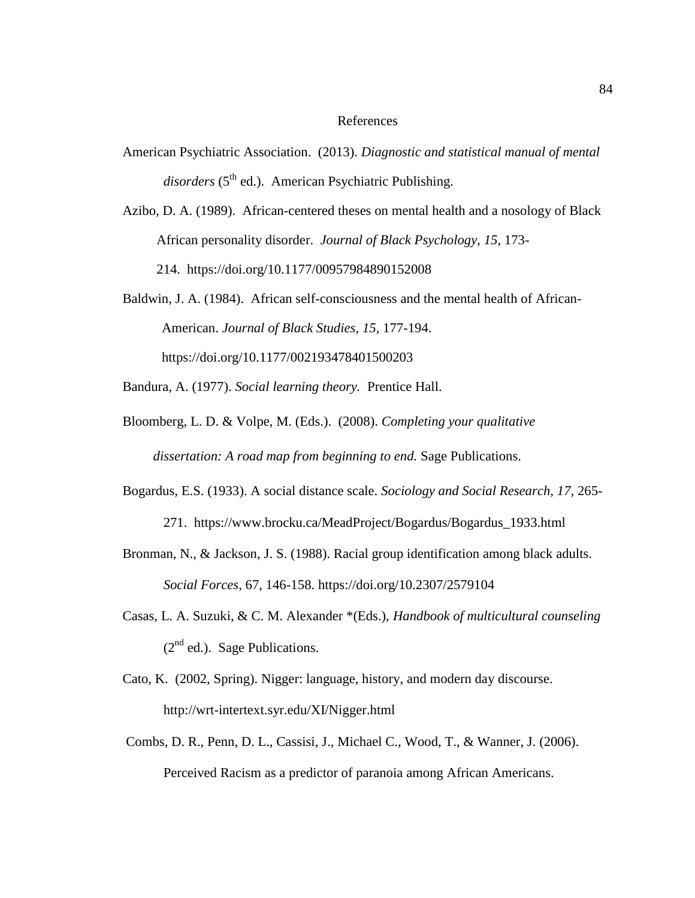## References

- American Psychiatric Association. (2013). *Diagnostic and statistical manual of mental*  disorders (5<sup>th</sup> ed.). American Psychiatric Publishing.
- Azibo, D. A. (1989). African-centered theses on mental health and a nosology of Black African personality disorder. *Journal of Black Psychology, 15,* 173- 214. [https://doi.org/10.1177/00957984890152008](https://psycnet.apa.org/doi/10.1177/00957984890152008)
- Baldwin, J. A. (1984). African self-consciousness and the mental health of African- American. *Journal of Black Studies, 15,* 177-194. https://doi.org/10.1177/002193478401500203
- Bandura, A. (1977). *Social learning theory.* Prentice Hall.
- Bloomberg, L. D. & Volpe, M. (Eds.). (2008). *Completing your qualitative dissertation: A road map from beginning to end.* Sage Publications.
- Bogardus, E.S. (1933). A social distance scale. *Sociology and Social Research, 17,* 265- 271. [https://www.brocku.ca/MeadProject/Bogardus/Bogardus\\_1933.html](https://www.brocku.ca/MeadProject/Bogardus/Bogardus_1933.html)
- Bronman, N., & Jackson, J. S. (1988). Racial group identification among black adults. *Social Forces*, 67, 146-158. [https://doi.org/10.2307/2579104](https://psycnet.apa.org/doi/10.2307/2579104)
- Casas, L. A. Suzuki, & C. M. Alexander \*(Eds.), *Handbook of multicultural counseling*  $(2<sup>nd</sup>$  ed.). Sage Publications.
- Cato, K. (2002, Spring). Nigger: language, history, and modern day discourse. <http://wrt-intertext.syr.edu/XI/Nigger.html>
- Combs, D. R., Penn, D. L., Cassisi, J., Michael C., Wood, T., & Wanner, J. (2006). Perceived Racism as a predictor of paranoia among African Americans.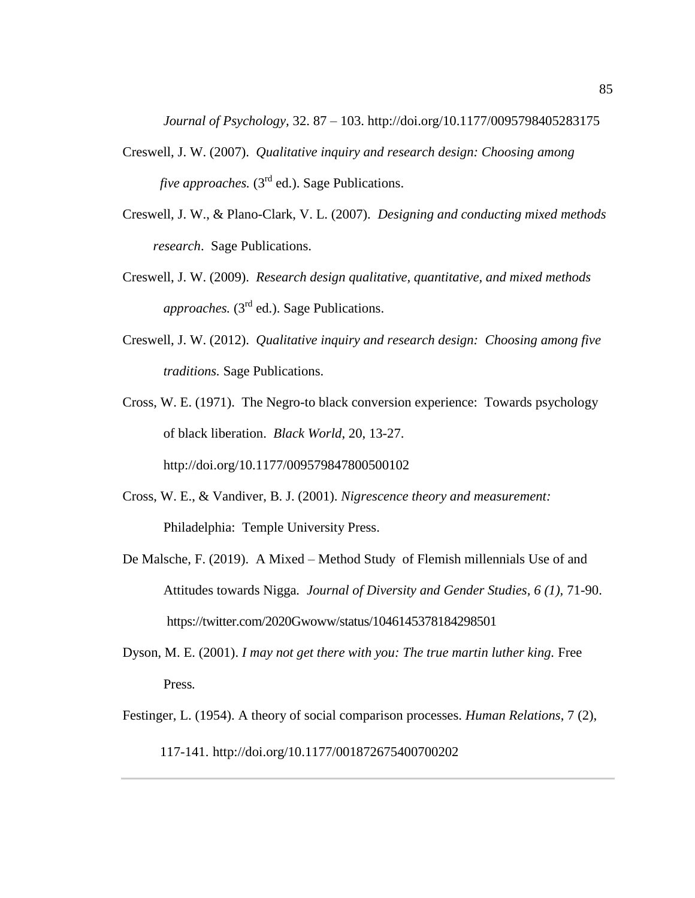*Journal of Psychology,* 32. 87 – 103. http://doi.org/10.1177/0095798405283175

- Creswell, J. W. (2007). *Qualitative inquiry and research design: Choosing among five approaches.*  $(3<sup>rd</sup>$  ed.). Sage Publications.
- Creswell, J. W., & Plano-Clark, V. L. (2007). *Designing and conducting mixed methods research*. Sage Publications.
- Creswell, J. W. (2009). *Research design qualitative, quantitative, and mixed methods approaches.* (3<sup>rd</sup> ed.). Sage Publications.
- Creswell, J. W. (2012). *Qualitative inquiry and research design: Choosing among five traditions.* Sage Publications.
- Cross, W. E. (1971). The Negro-to black conversion experience: Towards psychology of black liberation. *Black World*, 20, 13-27. http://doi.org/10.1177/009579847800500102
- Cross, W. E., & Vandiver, B. J. (2001). *Nigrescence theory and measurement:*  Philadelphia: Temple University Press.
- De Malsche, F. (2019). A Mixed Method Study of Flemish millennials Use of and Attitudes towards Nigga*. Journal of Diversity and Gender Studies, 6 (1),* 71-90. <https://twitter.com/2020Gwoww/status/1046145378184298501>
- Dyson, M. E. (2001). *I may not get there with you: The true martin luther king.* Free Press*.*
- Festinger, L. (1954). A theory of social comparison processes. *Human Relations*, 7 (2), 117-141. http://doi.org/10.1177/001872675400700202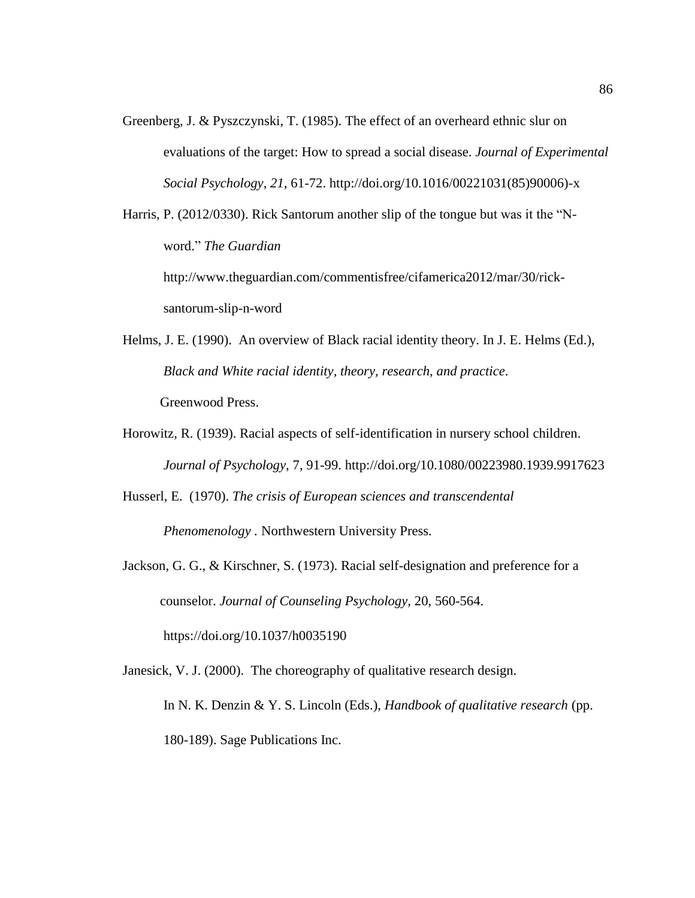Greenberg, J. & Pyszczynski, T. (1985). The effect of an overheard ethnic slur on evaluations of the target: How to spread a social disease. *Journal of Experimental Social Psychology*, *21*, 61-72. [http://doi.org/10.1016/00221031\(85\)90006\)-x](http://doi.org/10.1016/00221031(85)90006)-x)

Harris, P. (2012/0330). Rick Santorum another slip of the tongue but was it the "Nword." *The Guardian*

http://www.theguardian.com/commentisfree/cifamerica2012/mar/30/ricksantorum-slip-n-word

- Helms, J. E. (1990). An overview of Black racial identity theory. In J. E. Helms (Ed.), *Black and White racial identity, theory, research, and practice*. Greenwood Press.
- Horowitz, R. (1939). Racial aspects of self-identification in nursery school children. *Journal of Psychology*, 7, 91-99. http://doi.org/10.1080/00223980.1939.9917623

Husserl, E. (1970). *The crisis of European sciences and transcendental* 

 *Phenomenology .* Northwestern University Press.

Jackson, G. G., & Kirschner, S. (1973). Racial self-designation and preference for a counselor. *Journal of Counseling Psychology,* 20, 560-564.

https://doi.org/10.1037/h0035190

Janesick, V. J. (2000). The choreography of qualitative research design.

In N. K. Denzin & Y. S. Lincoln (Eds.), *Handbook of qualitative research* (pp. 180-189). Sage Publications Inc.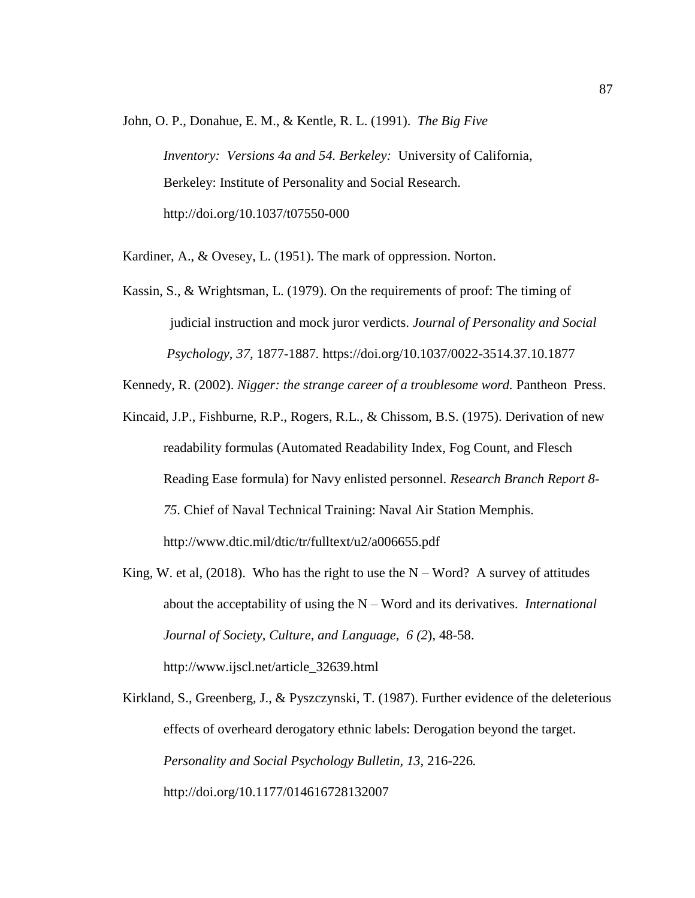John, O. P., Donahue, E. M., & Kentle, R. L. (1991). *The Big Five*

*Inventory: Versions 4a and 54. Berkeley:* University of California, Berkeley: Institute of Personality and Social Research. http://doi.org/10.1037/t07550-000

Kardiner, A., & Ovesey, L. (1951). The mark of oppression. Norton.

Kassin, S., & Wrightsman, L. (1979). On the requirements of proof: The timing of judicial instruction and mock juror verdicts. *Journal of Personality and Social Psychology*, *37,* 1877-1887*.* [https://doi.org/10.1037/0022-3514.37.10.1877](https://psycnet.apa.org/doi/10.1037/0022-3514.37.10.1877)

Kennedy, R. (2002). *Nigger: the strange career of a troublesome word.* Pantheon Press.

- Kincaid, J.P., Fishburne, R.P., Rogers, R.L., & Chissom, B.S. (1975). Derivation of new readability formulas (Automated Readability Index, Fog Count, and Flesch Reading Ease formula) for Navy enlisted personnel. *Research Branch Report 8- 75*. Chief of Naval Technical Training: Naval Air Station Memphis. <http://www.dtic.mil/dtic/tr/fulltext/u2/a006655.pdf>
- King, W. et al, (2018). Who has the right to use the  $N Word$ ? A survey of attitudes about the acceptability of using the N – Word and its derivatives. *International Journal of Society, Culture, and Language, 6 (2*), 48-58. http://www.ijscl.net/article\_32639.html

Kirkland, S., Greenberg, J., & Pyszczynski, T. (1987). Further evidence of the deleterious effects of overheard derogatory ethnic labels: Derogation beyond the target. *Personality and Social Psychology Bulletin, 13,* 216-226*.*  <http://doi.org/10.1177/014616728132007>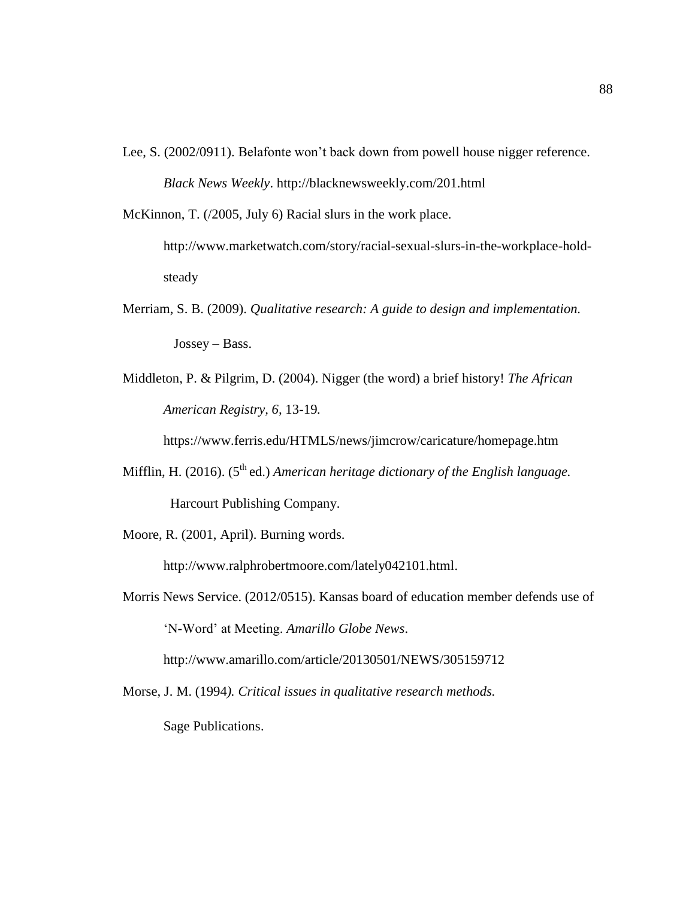Lee, S. (2002/0911). Belafonte won't back down from powell house nigger reference. *Black News Weekly*. http://blacknewsweekly.com/201.html

McKinnon, T. (/2005, July 6) Racial slurs in the work place.

[http://www.marketwatch.com/story/racial-sexual-slurs-in-the-workplace-hold](http://www.marketwatch.com/story/racial-sexual-slurs-in-the-workplace-hold-steady)[steady](http://www.marketwatch.com/story/racial-sexual-slurs-in-the-workplace-hold-steady)

- Merriam, S. B. (2009). *Qualitative research: A guide to design and implementation.*  Jossey – Bass.
- Middleton, P. & Pilgrim, D. (2004). Nigger (the word) a brief history! *The African American Registry, 6,* 13-19*.*

https://www.ferris.edu/HTMLS/news/jimcrow/caricature/homepage.htm

- Mifflin, H. (2016). (5<sup>th</sup> ed.) *American heritage dictionary of the English language.* Harcourt Publishing Company.
- Moore, R. (2001, April). Burning words.

[http://www.ralphrobertmoore.com/lately042101.html.](http://www.ralphrobertmoore.com/lately042101.html)

Morris News Service. (2012/0515). Kansas board of education member defends use of 'N-Word' at Meeting. *Amarillo Globe News*.

http://www.amarillo.com/article/20130501/NEWS/305159712

Morse, J. M. (1994*). Critical issues in qualitative research methods.*  Sage Publications.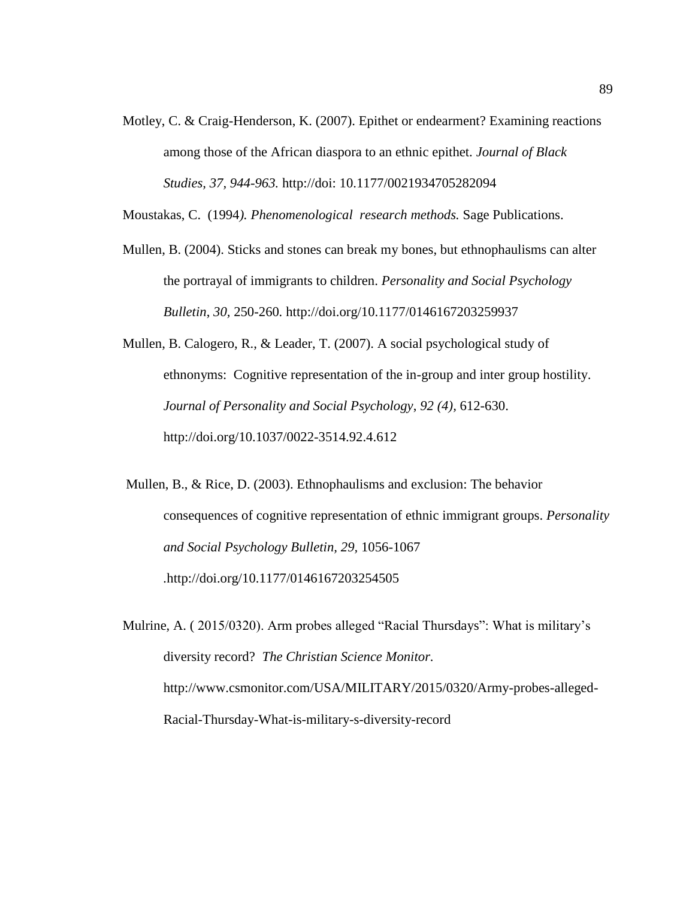Motley, C. & Craig-Henderson, K. (2007). Epithet or endearment? Examining reactions among those of the African diaspora to an ethnic epithet. *Journal of Black Studies, 37, 944-963.* http://doi: 10.1177/0021934705282094

Moustakas, C. (1994*). Phenomenological research methods.* Sage Publications.

- Mullen, B. (2004). Sticks and stones can break my bones, but ethnophaulisms can alter the portrayal of immigrants to children. *Personality and Social Psychology Bulletin*, *30,* 250-260*.* http://doi.org/10.1177/0146167203259937
- Mullen, B. Calogero, R., & Leader, T. (2007). A social psychological study of ethnonyms: Cognitive representation of the in-group and inter group hostility. *Journal of Personality and Social Psychology*, *92 (4),* 612-630. http://doi.org/10.1037/0022-3514.92.4.612
- Mullen, B., & Rice, D. (2003). Ethnophaulisms and exclusion: The behavior consequences of cognitive representation of ethnic immigrant groups. *Personality and Social Psychology Bulletin, 29,* 1056-1067 *.*http://doi.org[/10.1177/0146167203254505](https://doi.org/10.1177/0146167203254505)
- Mulrine, A. ( 2015/0320). Arm probes alleged "Racial Thursdays": What is military's diversity record? *The Christian Science Monitor.* [http://www.csmonitor.com/USA/MILITARY/2015/0320/Army-probes-alleged-](http://www.csmonitor.com/USA/MILITARY/2015/0320/Army-probes-alleged-Racial-Thursday-What-is-military-s-diversity-record)[Racial-Thursday-What-is-military-s-diversity-record](http://www.csmonitor.com/USA/MILITARY/2015/0320/Army-probes-alleged-Racial-Thursday-What-is-military-s-diversity-record)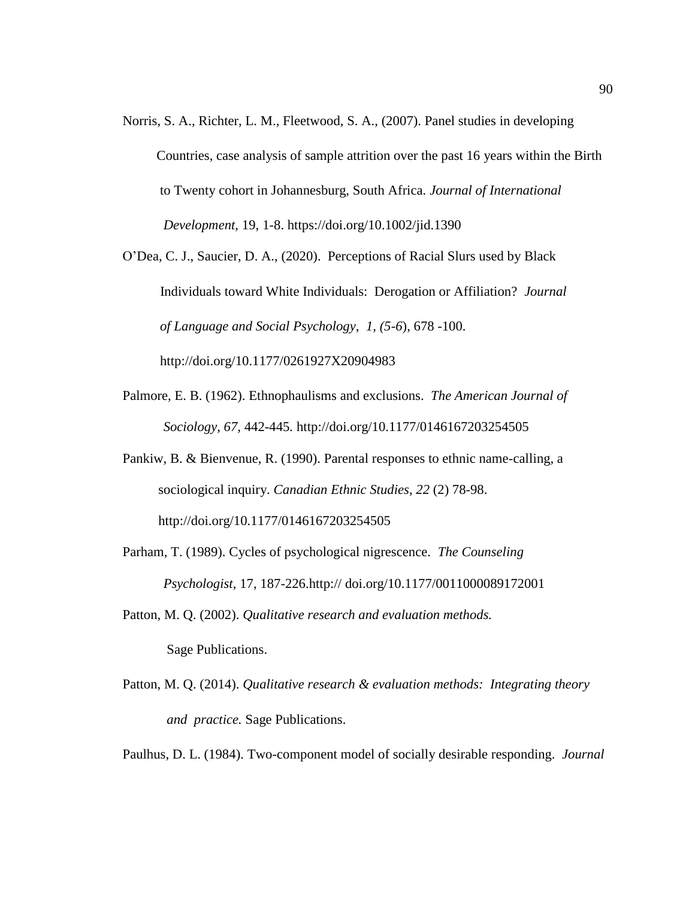- Norris, S. A., Richter, L. M., Fleetwood, S. A., (2007). Panel studies in developing Countries, case analysis of sample attrition over the past 16 years within the Birth to Twenty cohort in Johannesburg, South Africa. *Journal of International Development,* 19, 1-8. <https://doi.org/10.1002/jid.1390>
- O'Dea, C. J., Saucier, D. A., (2020). Perceptions of Racial Slurs used by Black Individuals toward White Individuals: Derogation or Affiliation? *Journal of Language and Social Psychology*, *1, (5-6*), 678 -100.

http://doi.org/10.1177/0261927X20904983

- Palmore, E. B. (1962). Ethnophaulisms and exclusions. *The American Journal of Sociology, 67,* 442-445*.* http://doi.org/10.1177/0146167203254505
- Pankiw, B. & Bienvenue, R. (1990). Parental responses to ethnic name-calling, a sociological inquiry. *Canadian Ethnic Studies*, *22* (2) 78-98. http://doi.org/10.1177/0146167203254505
- Parham, T. (1989). Cycles of psychological nigrescence. *The Counseling Psychologist,* 17, 187-226.http:// doi.org/10.1177/0011000089172001
- Patton, M. Q. (2002). *Qualitative research and evaluation methods.* Sage Publications.
- Patton, M. Q. (2014). *Qualitative research & evaluation methods: Integrating theory and practice.* Sage Publications.

Paulhus, D. L. (1984). Two-component model of socially desirable responding. *Journal*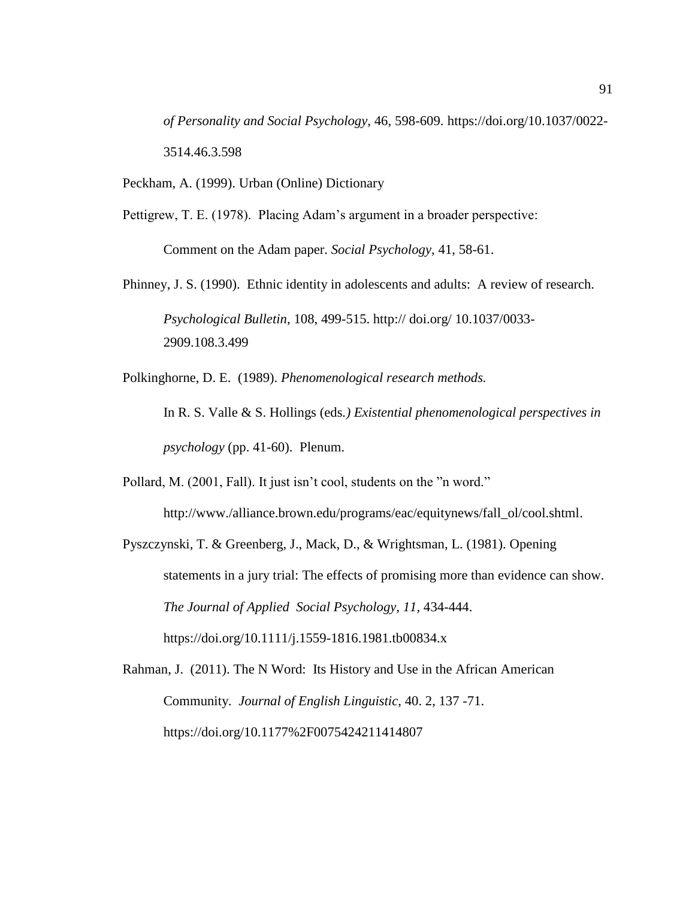*of Personality and Social Psychology,* 46, 598-609. [https://doi.org/10.1037/0022-](https://psycnet.apa.org/doi/10.1037/0022-3514.46.3.598) [3514.46.3.598](https://psycnet.apa.org/doi/10.1037/0022-3514.46.3.598)

Peckham, A. (1999). Urban (Online) Dictionary

Pettigrew, T. E. (1978). Placing Adam's argument in a broader perspective:

Comment on the Adam paper. *Social Psychology*, 41, 58-61.

Phinney, J. S. (1990). Ethnic identity in adolescents and adults: A review of research. *Psychological Bulletin,* 108, 499-515. http:// doi.org/ 10.1037/0033- 2909.108.3.499

Polkinghorne, D. E. (1989). *Phenomenological research methods.*

In R. S. Valle & S. Hollings (eds*.) Existential phenomenological perspectives in psychology* (pp. 41-60). Plenum.

Pollard, M. (2001, Fall). It just isn't cool, students on the "n word."

http://www./alliance.brown.edu/programs/eac/equitynews/fall\_ol/cool.shtml.

Pyszczynski, T. & Greenberg, J., Mack, D., & Wrightsman, L. (1981). Opening statements in a jury trial: The effects of promising more than evidence can show. *The Journal of Applied Social Psychology, 11,* 434-444. https://doi.org/10.1111/j.1559-1816.1981.tb00834.x

Rahman, J. (2011). The N Word: Its History and Use in the African American Community. *Journal of English Linguistic*, 40. 2, 137 -71. https://doi.org/10.1177%2F0075424211414807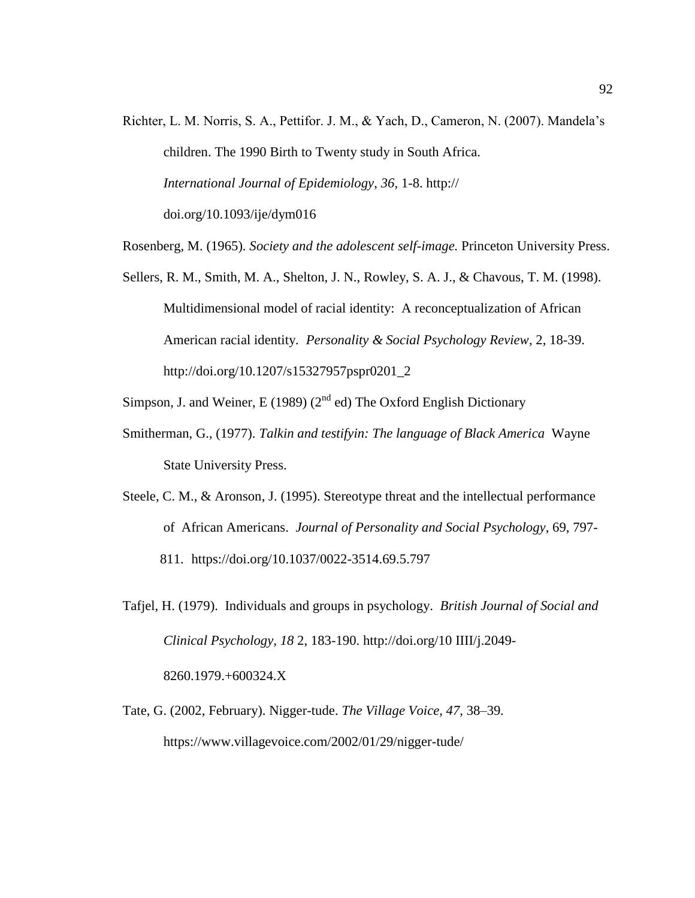- Richter, L. M. Norris, S. A., Pettifor. J. M., & Yach, D., Cameron, N. (2007). Mandela's children. The 1990 Birth to Twenty study in South Africa.  *International Journal of Epidemiology*, *36,* 1-8. http:// doi.org[/10.1093/ije/dym016](https://dx.doi.org/10.1093%2Fije%2Fdym016)
- Rosenberg, M. (1965). *Society and the adolescent self-image.* Princeton University Press.
- Sellers, R. M., Smith, M. A., Shelton, J. N., Rowley, S. A. J., & Chavous, T. M. (1998). Multidimensional model of racial identity: A reconceptualization of African American racial identity*. Personality & Social Psychology Review*, 2, 18-39. http://doi.org/10.1207/s15327957pspr0201\_2
- Simpson, J. and Weiner, E (1989) ( $2<sup>nd</sup>$  ed) The Oxford English Dictionary
- Smitherman, G., (1977). *Talkin and testifyin: The language of Black America* Wayne State University Press.
- Steele, C. M., & Aronson, J. (1995). Stereotype threat and the intellectual performance of African Americans. *Journal of Personality and Social Psychology*, 69, 797- 811. [https://doi.org/10.1037/0022-3514.69.5.797](https://psycnet.apa.org/doi/10.1037/0022-3514.69.5.797)
- Tafjel, H. (1979). Individuals and groups in psychology. *British Journal of Social and Clinical Psychology, 18* 2, 183-190. http://doi.org/10 IIII/j.2049- 8260.1979.+600324.X
- Tate, G. (2002, February). Nigger-tude. *The Village Voice*, *47,* 38–39*.* https://www.villagevoice.com/2002/01/29/nigger-tude/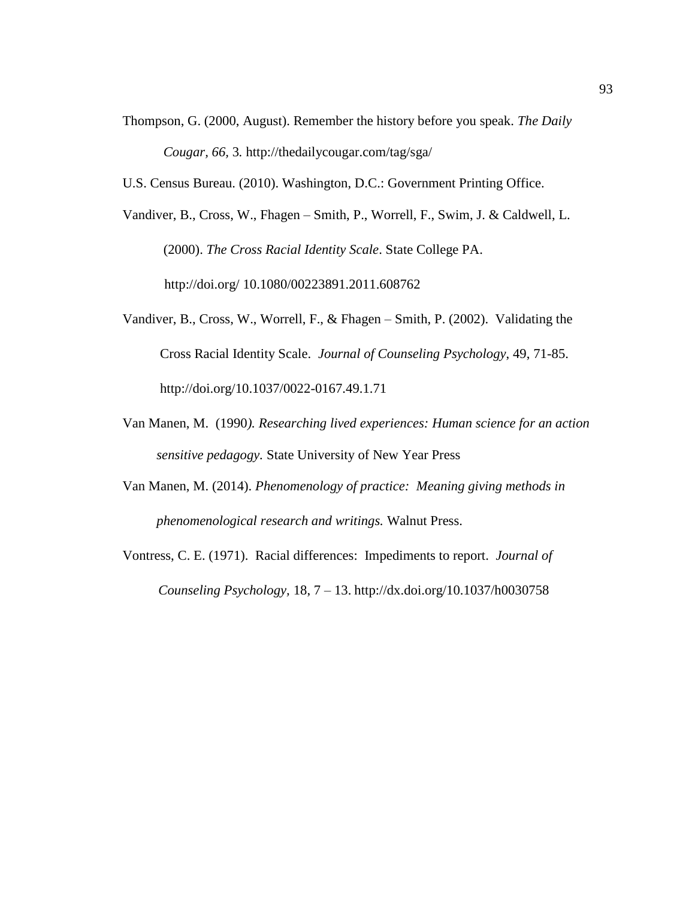- Thompson, G. (2000, August). Remember the history before you speak. *The Daily Cougar, 66,* 3*.* http://thedailycougar.com/tag/sga/
- U.S. Census Bureau. (2010). Washington, D.C.: Government Printing Office.

Vandiver, B., Cross, W., Fhagen – Smith, P., Worrell, F., Swim, J. & Caldwell, L. (2000). *The Cross Racial Identity Scale*. State College PA. http://doi.org/ [10.1080/00223891.2011.608762](https://www.researchgate.net/deref/http%3A%2F%2Fdx.doi.org%2F10.1080%2F00223891.2011.608762)

- Vandiver, B., Cross, W., Worrell, F., & Fhagen Smith, P. (2002). Validating the Cross Racial Identity Scale. *Journal of Counseling Psychology*, 49, 71-85. http://doi.org/10.1037/0022-0167.49.1.71
- Van Manen, M. (1990*). Researching lived experiences: Human science for an action sensitive pedagogy.* State University of New Year Press
- Van Manen, M. (2014). *Phenomenology of practice: Meaning giving methods in phenomenological research and writings.* Walnut Press.
- Vontress, C. E. (1971). Racial differences: Impediments to report. *Journal of Counseling Psychology,* 18, 7 – 13. http://dx.doi.org/10.1037/h0030758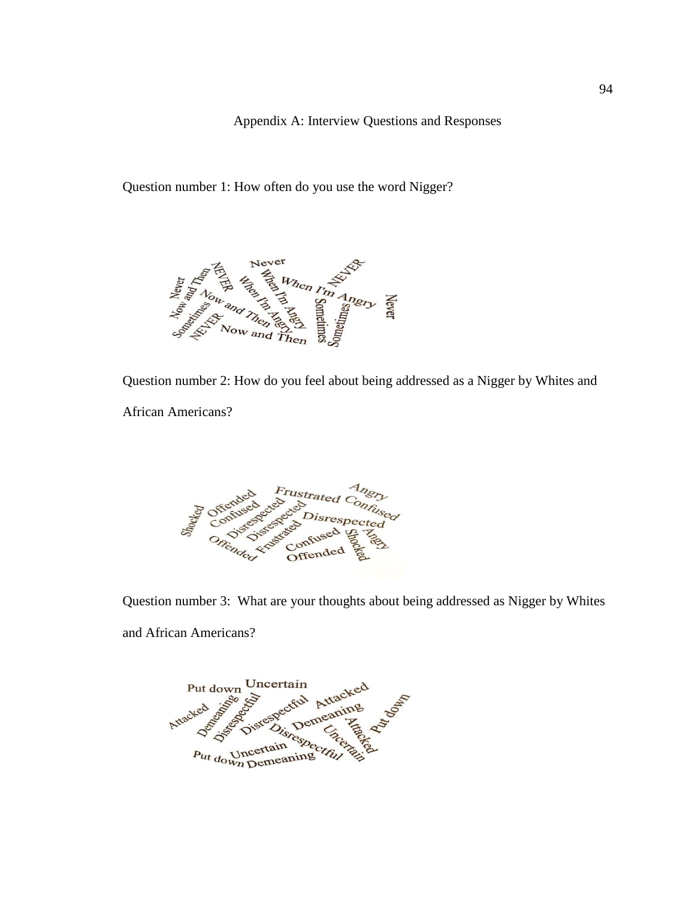Appendix A: Interview Questions and Responses

Question number 1: How often do you use the word Nigger?



Question number 2: How do you feel about being addressed as a Nigger by Whites and African Americans?



Question number 3: What are your thoughts about being addressed as Nigger by Whites and African Americans?

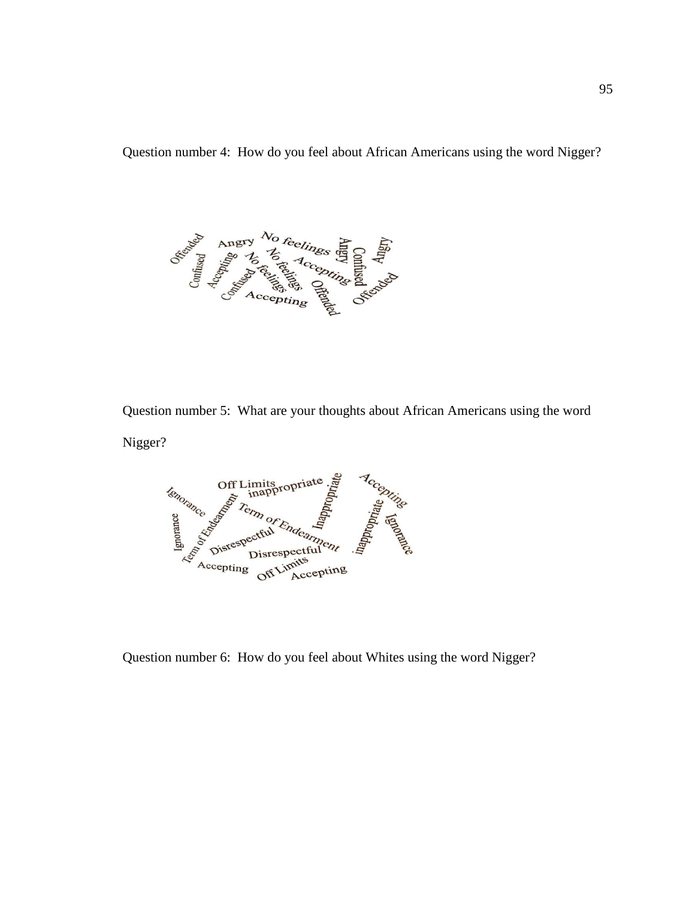Question number 4: How do you feel about African Americans using the word Nigger?



Question number 5: What are your thoughts about African Americans using the word Nigger?



Question number 6: How do you feel about Whites using the word Nigger?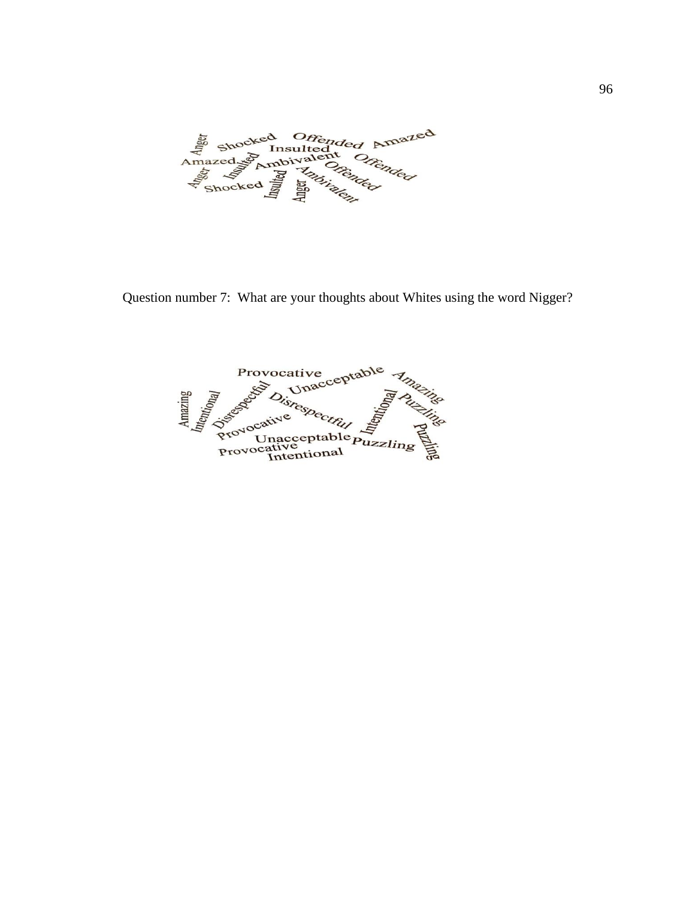Amazed Shocked Offended Amazed<br>Amazed Schmbivalent Offended d Offended Amazed

Question number 7: What are your thoughts about Whites using the word Nigger?

ive<br>nacceptable Provocative **Provocative**<br>Provocative<br>Provocative<br>Provocative<br>Provocative isrespectful nso Provocative<br>Provocative<br>Intentional Puzzling